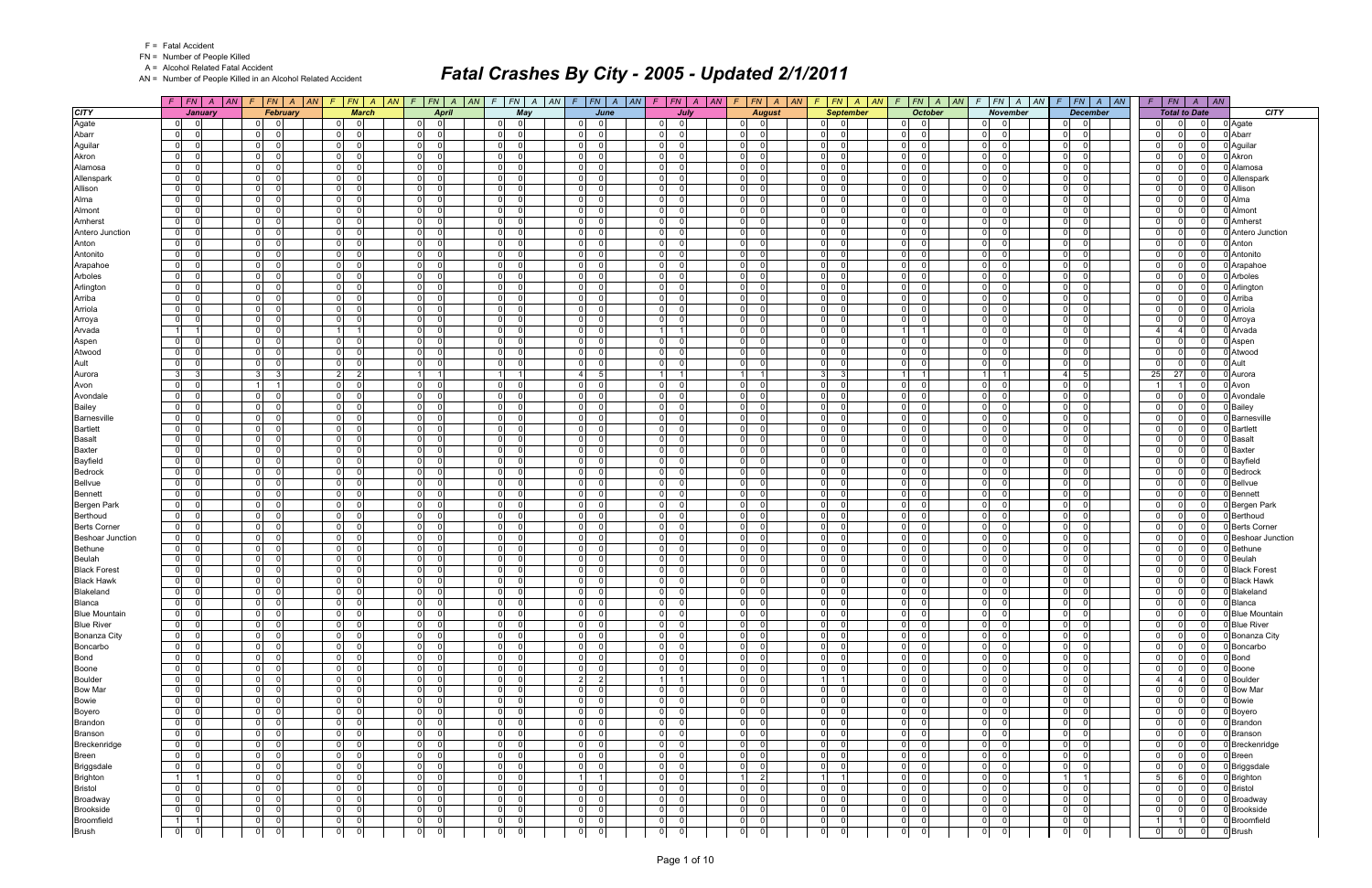|  | <b>Fatal Accident</b> |
|--|-----------------------|
|--|-----------------------|

A = Alcohol Related Fatal Accident

AN = Number of People Killed in an Alcohol Related Accident

|                         | $F$ $FN$ $A$<br> AN                        | F.                               | $ FN $ A $ AN $ F $ FN $ A $ AN$           | $F$ $FN$ $A$<br> AN                       | $F$ $FN$ $A$ $AN$                          |                                           | $F$   $FN$   $A$   $AN$ | $F$   FN   A   AN   F   FN   A            | AN                                      | $F$ $FN$ $A$ $AN$                          | $\mathcal{F}$                    | FN A AN F FN A AN                         | $F$ $ FN $ $A$ $ AN$          | F | FN                               | $A \mid AN$                              |
|-------------------------|--------------------------------------------|----------------------------------|--------------------------------------------|-------------------------------------------|--------------------------------------------|-------------------------------------------|-------------------------|-------------------------------------------|-----------------------------------------|--------------------------------------------|----------------------------------|-------------------------------------------|-------------------------------|---|----------------------------------|------------------------------------------|
| <b>CITY</b>             | <b>January</b>                             | February                         | <b>March</b>                               | <b>April</b>                              | May                                        |                                           | June                    | July                                      | <b>August</b>                           | <b>September</b>                           | <b>October</b>                   | <b>November</b>                           | <b>December</b>               |   | <b>Total to Date</b>             | <b>CITY</b>                              |
| Agate                   | $\overline{0}$<br>$\Omega$                 | 0 <br>- 0                        | $\overline{0}$<br>$\Omega$                 | $\mathbf 0$<br>$\overline{0}$             | 0 <br>$\Omega$                             | $\Omega$<br>$\overline{0}$                |                         | 01<br>$\Omega$                            | $\overline{0}$<br>$\Omega$              | $\overline{0}$<br>- 0                      | 01<br>$\Omega$                   | $\overline{0}$                            | - 0<br>$\Omega$               |   | $\overline{0}$<br>$\Omega$       | 0 Agate<br>$\overline{0}$                |
| Abarr                   | $\overline{0}$<br>$\sqrt{ }$               | 0 <br>$\Omega$                   | 0 <br>$\Omega$                             | 0 <br>- 0                                 | 01<br>- 0                                  | -ol<br><sup>n</sup>                       |                         | $\mathbf{0}$<br>$\Omega$                  | -ol<br>$\Omega$                         | $\overline{0}$                             | $\Omega$<br>$\Omega$             | 0 <br>∩                                   | $\overline{0}$<br>$\Omega$    |   | $\overline{0}$                   | 0 Abarr<br>- 0                           |
| Aguilar                 | $\overline{0}$<br>- 0                      | $\overline{0}$<br>$\cap$         | $\overline{0}$<br>$\Omega$                 | 0 <br>- 0                                 | $\overline{0}$<br>$\Omega$                 | 0 <br>$\Omega$                            |                         | 0 <br>$\Omega$                            | 0 <br>$\Omega$                          | $\overline{0}$<br>- 0                      | 0 <br>$\Omega$                   | $\overline{0}$<br>$\cap$                  | -01<br>- 0                    |   | $\overline{0}$<br>$\Omega$       | 0 Aguilar<br>$\Omega$                    |
| Akron                   | $\overline{0}$                             | $\overline{0}$                   | $\overline{0}$<br>$\Omega$                 | 0 <br>$\Omega$                            | $\overline{0}$<br>- 0                      | 0 <br>$\Omega$                            |                         | $\overline{0}$                            | 0 <br>$\Omega$                          | $\overline{0}$                             | $\Omega$<br>$\Omega$             | $\overline{0}$                            | 0 <br>O                       |   | $\overline{0}$<br>0              | 0 Akron<br>$\Omega$                      |
| Alamosa                 | $\overline{0}$                             | $\overline{0}$                   | $\overline{0}$<br>$\Omega$                 | 0 <br>$\Omega$                            | 0 <br>$\Omega$                             | - ol<br>$\Omega$                          |                         | $\overline{0}$<br>$\Omega$                | -01<br>$\Omega$                         | $\overline{0}$                             | $\overline{0}$<br>$\Omega$       | $\overline{0}$<br>$\Omega$                | -01<br>$\Omega$               |   | $\overline{0}$                   | 0 Alamosa<br>$\Omega$                    |
| Allenspark              | $\overline{0}$<br>$\sqrt{ }$               | $\overline{0}$                   | 0 <br>$\Omega$                             | 0 <br>- 0                                 | $\overline{0}$<br>- 0                      | - Ol<br>$\Omega$                          |                         | 0 <br>$\Omega$                            | 0 <br>$\Omega$                          | $\overline{0}$                             | $\overline{0}$<br>$\Omega$       | 0 <br>∩                                   | $\overline{0}$<br>- 0         |   | $\overline{0}$<br>$\Omega$       | 0 Allenspark<br>- 0                      |
| Allison                 | $\overline{0}$<br>$\mathsf{C}$             | $\overline{0}$                   | $\overline{0}$<br>$\Omega$                 | 0 <br>$\Omega$                            | $\overline{0}$<br>$\Omega$                 | 0 <br>$\Omega$                            |                         | 0 <br>$\Omega$                            | 0 <br>$\Omega$                          | $\overline{0}$                             | $\overline{0}$<br>$\Omega$       | $\overline{0}$<br>$\Omega$                | -01<br>$\Omega$               |   | $\overline{0}$                   | 0 Allison<br>$\Omega$                    |
| Alma                    | $\overline{0}$                             | $\overline{0}$                   | $\overline{0}$<br>$\Omega$                 | 0 <br>$\Omega$                            | $\overline{0}$<br>- 0                      | 0 <br>$\Omega$                            |                         | 0 <br>$\Omega$                            | -01<br>$\Omega$                         | $\overline{0}$                             | $\Omega$<br>$\Omega$             | $\overline{0}$<br>$\Omega$                | $\overline{0}$<br>- 0         |   | $\overline{0}$<br>U              | $\Omega$<br>0 Alma                       |
| Almont                  | $\overline{0}$<br>- 0                      | $\overline{0}$                   | $\overline{0}$<br>$\Omega$                 | 0 <br>$\Omega$                            | 0 <br>$\Omega$                             | - Ol<br>$\Omega$                          |                         | $\mathbf{0}$<br>$\Omega$                  | $\mathbf{0}$<br>$\Omega$                | $\overline{0}$                             | 0 <br>$\Omega$                   | $\overline{0}$                            | -01<br>$\Omega$               |   | $\overline{0}$<br>$\Omega$       | 0 Almont<br>$\Omega$                     |
| Amherst                 | $\overline{0}$<br>- 0                      | 0                                | 0 <br>$\Omega$                             | 0 <br>- 0                                 | $\overline{0}$<br>$\Omega$                 | ol<br>$\Omega$                            |                         | 0 <br>$\Omega$                            | -01<br>$\Omega$                         | $\overline{0}$<br>- 0                      | $\Omega$<br>$\Omega$             | 0 <br>∩                                   | $\Omega$<br>- 0               |   | $\overline{0}$                   | 0 Amherst<br>- 0                         |
| Antero Junction         | $\overline{0}$<br>- 0                      | $\overline{0}$                   | $\overline{0}$<br>$\Omega$                 | $\overline{0}$<br>$\Omega$                | $\overline{0}$<br>$\Omega$                 | $\overline{0}$<br>$\Omega$                |                         | 0 <br>$\Omega$                            | 0 <br>$\Omega$                          | $\overline{0}$                             | $\Omega$<br>$\Omega$             | $\overline{0}$                            | -01<br>$\Omega$               |   | $\overline{0}$                   | 0 Antero Junction<br>$\Omega$            |
| Anton                   | 0                                          | 0                                | $\overline{0}$<br>$\Omega$                 | 0 <br>$\Omega$                            | $\overline{0}$                             | 0 <br>$\Omega$                            |                         | $\overline{0}$                            | 0 <br>$\Omega$                          | 0                                          | $\Omega$<br>$\Omega$             | $\overline{0}$                            | $\overline{0}$                |   | $\overline{0}$                   | 0 Anton<br>- 0                           |
| Antonito                | $\overline{0}$                             | $\mathbf{0}$                     | $\overline{0}$<br>$\Omega$                 | 0 <br>$\Omega$                            | $\overline{0}$<br>$\Omega$                 | - ol<br>$\Omega$                          |                         | $\overline{0}$<br>$\Omega$                | $\overline{0}$<br>$\Omega$              | $\overline{0}$                             | $\Omega$<br>$\Omega$             | $\overline{0}$<br>$\Omega$                | $\overline{0}$<br>- 0         |   | $\overline{0}$                   | 0 Antonito<br>- 0                        |
| Arapahoe                | $\overline{0}$<br>- 6                      | $\overline{0}$                   | $\overline{0}$<br>$\Omega$                 | 0 <br>- 0                                 | $\overline{0}$<br>- 0                      | $\overline{0}$<br>$\Omega$                |                         | 0 <br>$\Omega$                            | 0 <br>$\Omega$                          | 0                                          | $\overline{0}$<br>- O I          | $\overline{0}$                            | $\overline{0}$<br>- 0         |   | $\overline{0}$<br><sup>n</sup>   | Arapahoe<br>- 0                          |
| Arboles                 | $\overline{0}$<br>$\overline{0}$           | 0                                | 0 <br>$\Omega$                             | 0 <br>- 0                                 | $\overline{0}$<br>$\Omega$                 | - ol<br>$\Omega$                          |                         | $\mathbf{0}$<br>$\Omega$                  | 0 <br>$\Omega$                          | $\overline{0}$                             | $\overline{0}$<br>$\Omega$       | 0 <br>$\Omega$                            | -01<br>$\Omega$               |   | $\overline{0}$                   | 0 Arboles<br>$\Omega$                    |
| Arlington               | $\overline{0}$                             | 0                                | $\overline{0}$<br>$\Omega$                 | 0 <br>$\Omega$                            | $\overline{0}$<br>- 0                      | 0 <br>$\Omega$                            |                         | 0                                         | 0 <br>$\Omega$                          | 0                                          | $\Omega$<br>$\Omega$             | $\overline{0}$<br>$\Omega$                | -01<br>- 0                    |   | $\overline{0}$                   | 0 Arlington<br>$\mathbf{0}^{\mathsf{T}}$ |
| Arriba                  | $\overline{0}$                             | $\overline{0}$                   | $\overline{0}$<br>$\Omega$                 | 0 <br>$\Omega$                            | $\overline{0}$<br>- 0                      | 0 <br>0                                   |                         | $\overline{0}$                            | 0 <br>$\Omega$                          | $\overline{0}$                             | $\Omega$<br>$\Omega$             | $\overline{0}$<br>U                       | -01<br>$\Omega$               |   | $\overline{0}$<br>0              | 0 Arriba<br>$\Omega$                     |
| Arriola                 | 0                                          | 0                                | 0 <br>$\Omega$                             | 0 <br>$\Omega$                            | $\overline{0}$<br>$\Omega$                 | - ol<br>$\Omega$                          |                         | 0 <br>$\Omega$                            | -ol<br>$\Omega$                         | 0                                          | $\overline{0}$<br>$\Omega$       | $\overline{0}$<br>$\Omega$                | $\Omega$<br>- 0               |   | $\overline{0}$                   | 0 Arriola<br>$\Omega$                    |
| Arroya                  | $\overline{0}$                             | $\overline{0}$                   | $\overline{0}$<br>$\Omega$                 | $\overline{0}$<br>- 0                     | $\overline{0}$<br>$\Omega$                 | - Ol<br>$\Omega$                          |                         | 0 <br>$\Omega$                            | 0 <br>$\Omega$                          | $\overline{0}$                             | $\Omega$<br>$\Omega$             | $\overline{0}$                            | $\mathbf{0}$<br>$\Omega$      |   | $\overline{0}$                   | 0 Arroya<br>$\Omega$                     |
| Arvada                  | 1                                          | 0                                | 1                                          | 0 <br>$\Omega$                            | $\overline{0}$<br>$\Omega$                 | 0 <br>$\Omega$                            |                         | 1                                         | $\Omega$<br>$\Omega$                    | 0                                          | 1                                | 0                                         | $\Omega$<br>$\sqrt{ }$        |   | $\overline{4}$                   | $\Omega$<br>Arvada                       |
| Aspen                   | $\overline{0}$                             | 0                                | $\overline{0}$<br>$\Omega$                 | 0 <br>$\Omega$                            | $\overline{0}$<br>$\Omega$                 | -ol<br>$\Omega$                           |                         | $\overline{0}$                            | -01<br>$\Omega$                         | $\overline{0}$                             | $\Omega$<br>$\Omega$             | $\overline{0}$                            | $\overline{0}$<br>$\Omega$    |   | $\overline{0}$                   | $\Omega$<br>J Aspen                      |
| Atwood                  | $\overline{0}$<br>- 0                      | $\overline{0}$                   | $\overline{0}$<br>$\Omega$                 | 0 <br>$\Omega$                            | $\overline{0}$<br>- 0                      | - ol<br>$\Omega$                          |                         | 0 <br>$\Omega$                            | 0 <br>$\Omega$                          | $\overline{0}$                             | $\overline{0}$<br>$\Omega$       | $\overline{0}$                            | -01<br>- 0                    |   | $\overline{0}$<br><sup>0</sup>   | $\Omega$<br>0 Atwood                     |
| Ault                    | $\overline{0}$<br>- 0                      | 0                                | 0 <br>$\Omega$                             | $\mathbf{0}$<br>$\Omega$                  | $\overline{0}$<br>$\Omega$                 | -ol<br>$\Omega$                           |                         | $\mathbf{0}$<br>$\Omega$                  | -ol<br>$\Omega$                         | $\overline{0}$                             | $\Omega$<br>$\Omega$             | 0 <br>$\Omega$                            | -01<br>$\sqrt{ }$             |   | $\overline{0}$<br>U              | 0 Ault<br>$\Omega$                       |
| Aurora                  | 3                                          | 3                                | $2 \vert$<br>$\overline{2}$                | 1                                         | $1 \vert$                                  | $\vert$ 4<br>5                            |                         | 11                                        | 1                                       | 3                                          | 11                               | 11                                        | $\overline{a}$                |   | 25<br>27                         | $\Omega$<br>ว Aurora                     |
| Avon                    | $\overline{0}$                             | 1                                | 0 <br>$\Omega$                             | 0 <br>$\Omega$                            | $\overline{0}$<br>- 0                      | 0 <br><sup>0</sup>                        |                         | 0                                         | 0 <br>$\Omega$                          | $\overline{0}$                             | $\overline{0}$<br>$\Omega$       | $\overline{0}$                            | -01<br>$\Omega$               |   |                                  | $\Omega$<br>0 Avon                       |
| Avondale                | $\overline{0}$                             | 0                                | $\overline{0}$<br>$\Omega$                 | 0 <br>$\Omega$                            | $\overline{0}$<br>- 0                      | - ol<br><sup>n</sup>                      |                         | $\mathbf{0}$                              | -01<br>$\Omega$                         | 0                                          | $\overline{0}$<br>$\Omega$       | 0                                         | -01<br>- 0                    |   | $\overline{0}$                   | 0 Avondale<br>$\Omega$                   |
| <b>Bailey</b>           | $\overline{0}$<br>- 0                      | $\overline{0}$<br>$\cap$         | 0 <br>$\Omega$                             | 0 <br>- 0                                 | $\overline{0}$<br>- 0                      | - Ol<br>$\Omega$                          |                         | 0 <br>$\Omega$                            | 0 <br>$\Omega$                          | $\overline{0}$<br>- 0                      | $\overline{0}$<br>- O I          | $\overline{0}$<br>∩                       | $\overline{0}$<br>- 0         |   | $\overline{0}$<br>$\Omega$       | D Bailey<br>$\Omega$                     |
| Barnesville             | $\overline{0}$<br>- 0                      | 0                                | $\overline{0}$<br>$\Omega$                 | 0 <br>$\Omega$                            | $\overline{0}$<br>$\Omega$                 | - Ol<br>$\Omega$                          |                         | 0 <br>$\Omega$                            | -ol<br>$\Omega$                         | $\overline{0}$                             | $\overline{0}$<br>$\Omega$       | $\overline{0}$                            | -01<br>$\Omega$               |   | $\overline{0}$                   | $\Omega$<br><b>Barnesville</b>           |
| <b>Bartlett</b>         | $\overline{0}$                             | $\overline{0}$                   | $\overline{0}$<br>$\Omega$                 | 0 <br>$\Omega$                            | $\overline{0}$<br>- 0                      | 0 <br>$\Omega$                            |                         | 0                                         | -01<br>$\Omega$                         | 0                                          | $\Omega$<br>$\Omega$             | $\overline{0}$<br>$\Omega$                | $\overline{0}$<br>- 0         |   | $\overline{0}$                   | 0 Bartlett<br>$\Omega$                   |
| <b>Basalt</b>           | $\overline{0}$<br>- 0                      | $\overline{0}$                   | $\overline{0}$<br>$\Omega$                 | 0 <br>$\Omega$                            | 0 <br>$\Omega$                             | - Ol<br>$\Omega$                          |                         | 0 <br>$\Omega$                            | $\mathbf{0}$<br>$\Omega$                | $\overline{0}$                             | $\overline{0}$<br>$\Omega$       | $\overline{0}$<br>$\Omega$                | -01<br>$\Omega$               |   | $\overline{0}$<br>$\Omega$       | $\Omega$<br><b>Basalt</b>                |
| <b>Baxter</b>           | $\overline{0}$<br>$\sqrt{2}$               | 0                                | 0 <br>$\Omega$                             | 0 <br>- 0                                 | $\overline{0}$<br>$\Omega$                 | - ol<br>$\Omega$                          |                         | 0 <br>$\Omega$                            | -01<br>$\Omega$                         | $\overline{0}$<br>- 0                      | $\Omega$<br>$\Omega$             | 0 <br>$\cap$                              | $\Omega$<br>- 0               |   | $\overline{0}$                   | 0 Baxter<br>- 0                          |
| Bayfield                | $\overline{0}$                             | $\overline{0}$                   | $\overline{0}$<br>$\Omega$                 | $\overline{0}$<br>$\Omega$                | $\overline{0}$<br>$\Omega$                 | $\overline{0}$<br>$\Omega$                |                         | 0 <br>$\Omega$                            | 0 <br>$\Omega$                          | $\overline{0}$                             | $\Omega$<br>$\Omega$             | $\overline{0}$                            | -01<br>$\Omega$               |   | $\overline{0}$<br>U              | D Bayfield<br>$\Omega$                   |
| <b>Bedrock</b>          | $\overline{0}$                             | 0                                | $\overline{0}$<br>$\Omega$                 | 0 <br>$\Omega$                            | $\overline{0}$                             | 0 <br>$\Omega$                            |                         | $\overline{0}$                            | 0 <br>$\Omega$                          | 0                                          | $\Omega$<br>$\Omega$             | $\overline{0}$                            | $\overline{0}$<br>C           |   | $\overline{0}$                   | Bedrock<br>- 0                           |
| <b>Bellvue</b>          | $\overline{0}$<br>- 0                      | $\overline{0}$                   | $\overline{0}$<br>$\Omega$                 | 0 <br>$\Omega$                            | 0 <br>$\Omega$                             | - Ol<br>$\Omega$                          |                         | $\overline{0}$<br>$\Omega$                | $\mathbf{0}$<br>$\Omega$                | $\overline{0}$                             | $\overline{0}$<br>$\Omega$       | $\overline{0}$<br>$\cap$                  | -01<br>$\Omega$               |   | $\overline{0}$<br><sup>0</sup>   | D Bellvue<br>$\Omega$                    |
| <b>Bennett</b>          | $\overline{0}$<br>- 0                      | $\overline{0}$                   | 0 <br>$\Omega$                             | 0 <br>- 0                                 | $\overline{0}$<br>$\Omega$                 | $\circ$<br>$\Omega$                       |                         | 0 <br>$\Omega$                            | 0 <br>$\Omega$                          | 0                                          | $\overline{0}$<br>$\Omega$       | 0 <br>∩                                   | -01<br>- 0                    |   | $\overline{0}$<br>$\Omega$       | $\Omega$<br>Bennett                      |
| Bergen Park             | $\overline{0}$<br>$\overline{0}$           | 0                                | $\overline{0}$<br>$\Omega$                 | 0 <br>$\Omega$                            | $\overline{0}$<br>$\Omega$                 | 0 <br>$\Omega$                            |                         | 0 <br>$\Omega$                            | 0 <br>$\Omega$                          | 0                                          | $\Omega$<br>$\mathbf 0$          | 0 <br>$\Omega$                            | -01<br>- 0                    |   | $\overline{0}$                   | $\Omega$<br>0 Bergen Park                |
| Berthoud                | $\overline{0}$                             | 0                                | $\overline{0}$<br>$\Omega$                 | 0 <br>$\Omega$                            | $\overline{0}$<br>$\Omega$                 | 0 <br>$\Omega$                            |                         | $\overline{0}$                            | -01<br>$\Omega$                         | $\overline{0}$                             | $\Omega$<br>$\Omega$             | $\overline{0}$<br>$\Omega$                | -01<br>n                      |   | $\Omega$                         | 0 Berthoud<br>$\Omega$                   |
| <b>Berts Corner</b>     | $\overline{0}$<br>- 0                      | $\overline{0}$                   | $\overline{0}$<br>$\Omega$                 | 0 <br>$\Omega$                            | $\overline{0}$<br>- 0                      | 0 <br>$\Omega$                            |                         | $\mathbf{0}$<br>$\Omega$                  | 0 <br>$\Omega$                          | $\overline{0}$                             | $\overline{0}$<br>$\Omega$       | $\overline{0}$<br>$\Omega$                | -01<br>$\Omega$               |   | $\overline{0}$<br>U              | <b>Berts Corner</b><br>$\Omega$          |
| <b>Beshoar Junction</b> | 0 <br>- 0                                  | 0                                | 0 <br>- 0                                  | 0 <br>-0                                  | 0 <br>- 0                                  | - ol<br><sup>n</sup>                      |                         | 0 <br>n                                   | -01<br>- 0                              | $\overline{0}$                             | $\overline{0}$<br>- 0            | 0                                         | $\Omega$<br>- 0               |   | $\Omega$                         | <b>Beshoar Junction</b><br>$\Omega$      |
| <b>Bethune</b>          | $\overline{0}$<br>- 0                      | $\overline{0}$                   | $\overline{0}$<br>$\Omega$                 | $\mathbf{0}$<br>- 0                       | $\overline{0}$<br>$\Omega$                 | - Ol<br>$\Omega$                          |                         | 0 <br>$\Omega$                            | 0 <br>$\Omega$                          | $\overline{0}$                             | $\Omega$<br>$\Omega$             | $\overline{0}$                            | $\mathbf{0}$<br>$\Omega$      |   | $\overline{0}$<br>U              | <b>Bethune</b><br>$\Omega$               |
| Beulah                  | 0                                          | 0                                | $\overline{0}$<br>$\Omega$                 | 0 <br>$\Omega$                            | $\overline{0}$<br>$\Omega$                 | 0 <br>$\Omega$                            |                         | 0                                         | $\Omega$<br>$\Omega$                    | 0                                          | $\Omega$<br>$\Omega$             | $\overline{0}$                            | $\Omega$                      |   | $\overline{0}$                   | Beulah<br>$\Omega$                       |
| <b>Black Forest</b>     | $\overline{0}$                             | 0                                | $\overline{0}$<br>$\Omega$                 | 0 <br>- 0                                 | 0 <br>$\Omega$                             | -01<br>$\Omega$                           |                         | $\overline{0}$                            | $\mathbf{0}$<br>$\Omega$                | $\overline{0}$                             | $\Omega$<br>$\Omega$             | $\overline{0}$                            | $\overline{0}$<br>$\Omega$    |   | $\overline{0}$                   | <b>Black Forest</b><br>- 0               |
| <b>Black Hawk</b>       | $\overline{0}$<br>- 0                      | 0                                | 0 <br>$\Omega$                             | 0 <br>$\Omega$                            | $\overline{0}$<br>- 0                      | 0 <br><sup>n</sup>                        |                         | $\overline{0}$<br>$\Omega$                | 0 <br>$\Omega$                          | 0                                          | $\Omega$<br>$\Omega$             | $\overline{0}$                            | -01<br>- 0                    |   | $\overline{0}$<br>0              | $\Omega$<br><b>Black Hawk</b>            |
| Blakeland               | $\overline{0}$<br>- 0                      | $\overline{0}$<br>$\Omega$       | $\overline{0}$<br>$\overline{0}$           | 0 <br>$\overline{0}$                      | $\overline{0}$<br>$\overline{\mathbf{0}}$  | 0 <br>$\Omega$                            |                         | $\overline{0}$<br>$\overline{0}$          | 0 <br>$\Omega$                          | $\overline{0}$<br>- 0                      | $\overline{0}$<br>$\Omega$       | $\overline{0}$<br>$\Omega$                | 0 <br>- 0                     |   | $\overline{0}$<br>$\Omega$       | 0 Blakeland<br>$\Omega$                  |
| <b>Blanca</b>           | 0 <br>$\overline{0}$                       | $\overline{0}$<br>$\mathbf 0$    | $\overline{0}$<br>0                        | 0 <br>$\mathbf 0$                         | $\overline{0}$<br>$\mathbf 0$              | $\overline{0}$<br>$\mathbf 0$             |                         | $\mathbf 0$<br>$\overline{0}$             | $\mathbf{0}$<br>$\mathbf 0$             | 0                                          | $\overline{0}$<br>$\mathbf 0$    | $\overline{0}$<br>$\mathbf 0$             | $\mathbf 0$<br>$\mathbf 0$    |   | $\mathbf 0$                      | 0 Blanca                                 |
| <b>Blue Mountain</b>    | $0\qquad 0$                                | $\overline{0}$<br>$\Omega$       | $\overline{0}$<br>$\overline{0}$           | 0 <br>$\overline{0}$                      | $\overline{0}$<br>$\overline{\mathbf{0}}$  | $\overline{0}$<br>$\overline{0}$          |                         | 0 <br>$\Omega$                            | 0 <br>$\mathbf 0$                       | $\overline{0}$<br>$\overline{\phantom{0}}$ | $\overline{0}$<br>$\mathbf 0$    | $0$ 0                                     | 0 <br>$\Omega$                |   | $\overline{0}$<br>$\Omega$       | $\Omega$<br>0 Blue Mountain              |
| <b>Blue River</b>       | $0$ 0                                      | $\overline{0}$<br>$\overline{0}$ | $\overline{0}$<br>$\overline{0}$           | 0 <br>$\overline{0}$                      | $\overline{0}$<br>$\overline{\mathbf{0}}$  | $\overline{0}$<br>$\overline{0}$          |                         | $\overline{0}$<br>$\overline{0}$          | 0 <br>$\mathbf{0}$                      | $\overline{0}$<br>$\overline{\phantom{0}}$ | $\overline{0}$<br>$\overline{0}$ | $0$ 0                                     | 0 <br>$\overline{0}$          |   | $\overline{0}$                   | 0 Blue River<br>$\Omega$                 |
| Bonanza City            | $0\qquad 0$                                | 0 <br>$\Omega$                   | $ 0 $ 0                                    | $\overline{0}$<br>$\overline{\mathbf{0}}$ | $0$ 0                                      | 0 <br>$\overline{0}$                      |                         | $\overline{0}$<br>$\overline{0}$          | 0 <br>$\overline{0}$                    | $0$ 0                                      | $\overline{0}$<br>$\overline{0}$ | $0$ 0                                     | 0 <br>$\Omega$                |   | $\overline{0}$<br>$\Omega$       | $\Omega$<br>0 Bonanza City               |
| Boncarbo                | $0\qquad 0$                                | 0 <br>$\Omega$                   | $0$ 0                                      | 0 <br>$\overline{0}$                      | $0\qquad 0$                                | 0 <br>$\mathbf 0$                         |                         | 0 <br>$\mathbf 0$                         | 0 <br>$\mathbf 0$                       | 0                                          | $\overline{0}$<br>$\overline{0}$ | $0$ 0                                     | 0 <br>0                       |   | $\overline{0}$<br>$\Omega$       | 0 Boncarbo<br>$\Omega$                   |
| <b>Bond</b>             | $0$ 0                                      | $\overline{0}$<br>$\Omega$       | 0 <br>$\overline{0}$                       | 0 <br>$\Omega$                            | 0 <br>$\overline{\mathbf{0}}$              | $\overline{0}$<br>$\Omega$                |                         | $\overline{0}$<br>$\Omega$                | 0 <br>$\Omega$                          | $\overline{0}$                             | $\overline{0}$<br>$\mathbf 0$    | $0\qquad 0$                               | 0 <br>$\Omega$                |   | $\overline{0}$<br>0              | 0 Bond<br>$\Omega$                       |
| Boone                   | $\overline{0}$<br>$\overline{\phantom{0}}$ | $\overline{0}$<br>$\Omega$       | $\overline{0}$<br>$\overline{\phantom{0}}$ | $\overline{0}$<br>$\overline{0}$          | $0\qquad 0$                                | $\overline{0}$<br>$\overline{0}$          |                         | $\overline{0}$<br>$\Omega$                | 0 <br>$\mathbf{0}$                      | $\overline{0}$<br>$\overline{\phantom{0}}$ | $\overline{0}$<br>$\mathbf 0$    | $\overline{0}$<br>$\overline{\mathbf{0}}$ | 0 <br>$\Omega$                |   | $\overline{0}$<br>$\Omega$       | $\Omega$<br>0 Boone                      |
| <b>Boulder</b>          | $0 \vert 0$                                | $\overline{0}$<br>- 01           | 0 <br> 0                                   | 0 <br> 0                                  | $0$ 0                                      | $\overline{2}$<br>$\overline{2}$          |                         | $1 \vert$                                 | 0 <br>$\mathbf 0$                       | $\overline{1}$<br>$\overline{\phantom{1}}$ | $\overline{0}$<br>$\overline{0}$ | $\overline{0}$<br>$\overline{\mathbf{0}}$ | 0 <br>$\mathbf 0$             |   | 4 <sup>1</sup>                   | 0 Boulder<br>$\Omega$                    |
| <b>Bow Mar</b>          | $0 \vert 0$                                | 0 <br>$\Omega$                   | 0 <br>$\overline{0}$                       | $\overline{0}$<br>$\overline{0}$          | $\overline{0}$<br>$\overline{\phantom{0}}$ | $\overline{0}$<br>$\overline{0}$          |                         | $\overline{0}$<br>$\Omega$                | $\overline{0}$<br>$\mathbf{0}$          | $0 \vert 0$                                | $\overline{0}$<br>$\overline{0}$ | $0\qquad 0$                               | 0 <br>$\overline{0}$          |   | $\overline{0}$                   | $\Omega$<br>0 Bow Mar                    |
| <b>Bowie</b>            | $0 \vert 0$                                | 0 <br>$\Omega$                   | $0\qquad 0$                                | 0 <br>$\overline{0}$                      | $0\qquad 0$                                | 0 <br>$\mathbf 0$                         |                         | 0 <br>$\Omega$                            | 0 <br>$\mathbf 0$                       | 0 <br>$\overline{\phantom{0}}$             | $\overline{0}$<br>$\overline{0}$ | $0\qquad 0$                               | 0 <br>0                       |   | $\overline{0}$<br>$\Omega$       | $\Omega$<br>0 Bowie                      |
| Boyero                  | $0$ 0                                      | $\overline{0}$<br>$\overline{0}$ | $0$ 0                                      | 0 <br>$\overline{0}$                      | $0$ 0                                      | 0 <br>$\overline{0}$                      |                         | $\overline{0}$<br>$\overline{0}$          | $\mathbf{0}$<br>- 0 l                   | $\overline{0}$<br>$\overline{\phantom{0}}$ | $\overline{0}$<br>$\overline{0}$ | $0\qquad 0$                               | 0 <br>$\overline{0}$          |   | $\overline{0}$<br>$\Omega$       | - 0  <br>0 Boyero                        |
| Brandon                 | $0$ 0                                      | 0 <br>$\Omega$                   | $0$ 0                                      | 0 <br>$\overline{\mathbf{0}}$             | $0\qquad 0$                                | 0 <br>$\overline{0}$                      |                         | $\overline{0}$<br>$\mathbf 0$             | 0 <br>$\overline{0}$                    | $0$ 0                                      | $\overline{0}$<br>$\overline{0}$ | $0$ 0                                     | 0 <br>$\mathbf 0$             |   | $\overline{0}$<br>$\Omega$       | 0 Brandon<br>$\Omega$                    |
| <b>Branson</b>          | $0\qquad 0$                                | $\overline{0}$<br>$\Omega$       | $\overline{0}$<br>$\overline{\phantom{0}}$ | 0 <br>$\overline{0}$                      | $\overline{0}$<br>$\overline{\mathbf{0}}$  | $\overline{0}$<br>$\overline{0}$          |                         | $\overline{0}$<br>$\Omega$                | 0 <br>$\overline{0}$                    | $0\qquad 0$                                | $\overline{0}$<br>$\overline{0}$ | $\overline{0}$<br>$\Omega$                | 0 <br>$\Omega$                |   | $\overline{0}$<br>$\Omega$       | 0 Branson<br>$\Omega$                    |
| Breckenridge            | $0$ 0                                      | 0 <br>$\Omega$                   | 0 <br>$\overline{\mathbf{0}}$              | 0 <br>$\overline{0}$                      | 0 <br>$\overline{\phantom{0}}$             | 0 <br>$\overline{0}$                      |                         | 0 <br>$\Omega$                            | 0 <br>$\Omega$                          | 0                                          | 0 <br>$\mathbf 0$                | $0\qquad 0$                               | 0 <br>$\Omega$                |   | $\overline{0}$                   | $\Omega$<br>0 Breckenridge               |
| <b>Breen</b>            | $0$ 0                                      | 0 <br>$\Omega$                   | $ 0 $ 0                                    | $\overline{0}$<br>$\overline{0}$          | $0\qquad 0$                                | $\overline{0}$<br>$\overline{0}$          |                         | $\overline{0}$<br>$\overline{0}$          | $\overline{0}$<br>- ol                  | $\overline{0}$<br>$\overline{\mathbf{0}}$  | $\overline{0}$<br>$\overline{0}$ | $0\qquad 0$                               | 0 <br>$\overline{0}$          |   | $\overline{0}$<br>$\overline{0}$ | $\overline{0}$<br>0 Breen                |
| <b>Briggsdale</b>       | $0$ 0                                      | 0 <br>$\Omega$                   | $\boxed{0}$<br>$\overline{\phantom{0}}$    | 0 <br>$\overline{0}$                      | $0$ 0                                      | $\overline{0}$<br>$\overline{0}$          |                         | $\overline{0}$<br>$\overline{0}$          | 0 <br>$\overline{0}$                    | $\overline{0}$<br>$\overline{\phantom{0}}$ | $\overline{0}$<br>$\overline{0}$ | $\overline{0}$ o                          | 0 <br>$\Omega$                |   | $\overline{0}$<br>$\Omega$       | 0 Briggsdale<br>$\Omega$                 |
| <b>Brighton</b>         | $1$ 1                                      | $\overline{0}$<br>$\Omega$       | $\overline{0}$<br>$\overline{0}$           | $\overline{0}$<br>$\overline{\mathbf{0}}$ | $0\qquad 0$                                | 1<br>$\blacksquare$                       |                         | $\overline{0}$<br>$\Omega$                | 1<br>$\vert$ 2                          | 1<br>- 1                                   | $\overline{0}$<br>$\overline{0}$ | $0$ 0                                     | 1                             |   | 5 <sub>5</sub><br>6              | $\Omega$<br>0 Brighton                   |
| <b>Bristol</b>          | $0$ 0                                      | $\overline{0}$<br>$\Omega$       | 0 <br>$\overline{0}$                       | 0 <br>$\overline{0}$                      | $0 \qquad 0$                               | $\overline{0}$<br>$\mathbf 0$             |                         | $\overline{0}$<br>$\Omega$                | 0 <br>$\mathbf 0$                       | $0 \vert 0$                                | $\overline{0}$<br>$\overline{0}$ | $\overline{0}$<br>$\overline{\mathbf{0}}$ | 0 <br>- 0                     |   | $\overline{0}$<br>$\Omega$       | 0 Bristol<br>$\Omega$                    |
| Broadway                | $0$ 0                                      | $\overline{0}$<br>$\Omega$       | 0 <br>$\overline{0}$                       | $\overline{0}$<br>$\overline{0}$          | 0 <br>$\overline{\mathbf{0}}$              | $\overline{0}$<br>$\overline{0}$          |                         | $\overline{0}$<br>$\Omega$                | 0 <br>$\Omega$                          | $\overline{0}$<br>- 01                     | $\overline{0}$<br>$\mathbf 0$    | $\overline{0}$<br>$\overline{0}$          | 0 <br>- O I                   |   | $\overline{0}$<br>$\Omega$       | - 0  <br>0 Broadway                      |
| <b>Brookside</b>        | $0$ 0                                      | $\overline{0}$<br>- റ            | $0$ 0                                      | 0 <br>- 0                                 | $0$ 0                                      | 0 <br>$\Omega$                            |                         | $\overline{0}$<br>0                       | 0 <br>$\Omega$                          | $\overline{0}$<br>- 0                      | $\overline{0}$<br>$\mathbf 0$    | $\overline{0}$<br>$\overline{0}$          | 0 <br>-0                      |   | $\overline{0}$<br>$\Omega$       | 0 Brookside<br>- 0                       |
| Broomfield              | $\vert$ 1<br>$\overline{\phantom{1}}$      | $\overline{0}$<br>$\Omega$       | 0 <br>$\overline{0}$                       | $\overline{0}$<br>- 0                     | $\overline{0}$<br>$\overline{\mathbf{0}}$  | 0 <br>$\Omega$                            |                         | $\overline{0}$<br>$\Omega$                | 0 <br>$\Omega$                          | $\overline{0}$<br>- 0                      | $\overline{0}$<br>$\mathbf 0$    | 0 <br>$\Omega$                            | 0 <br>$\Omega$                |   |                                  | 0 Broomfield<br>$\mathbf{0}$             |
| <b>Brush</b>            | $0$ 0                                      | $\overline{0}$<br>$\overline{0}$ | $\overline{\mathbf{0}}$<br>$\overline{0}$  | 0 <br>$\overline{0}$                      | 0 <br>$\overline{0}$                       | $\overline{\mathbf{0}}$<br>$\overline{0}$ |                         | $\overline{\mathbf{0}}$<br>$\overline{0}$ | $\overline{\mathbf{0}}$<br>$\mathbf{0}$ | $\mathbf{0}$<br>$\overline{0}$             | 0 <br>$\overline{0}$             | 0 <br> 0                                  | $\overline{0}$<br>$\mathbf 0$ |   | $\overline{0}$<br>$\overline{0}$ | 0 <br>0 Brush                            |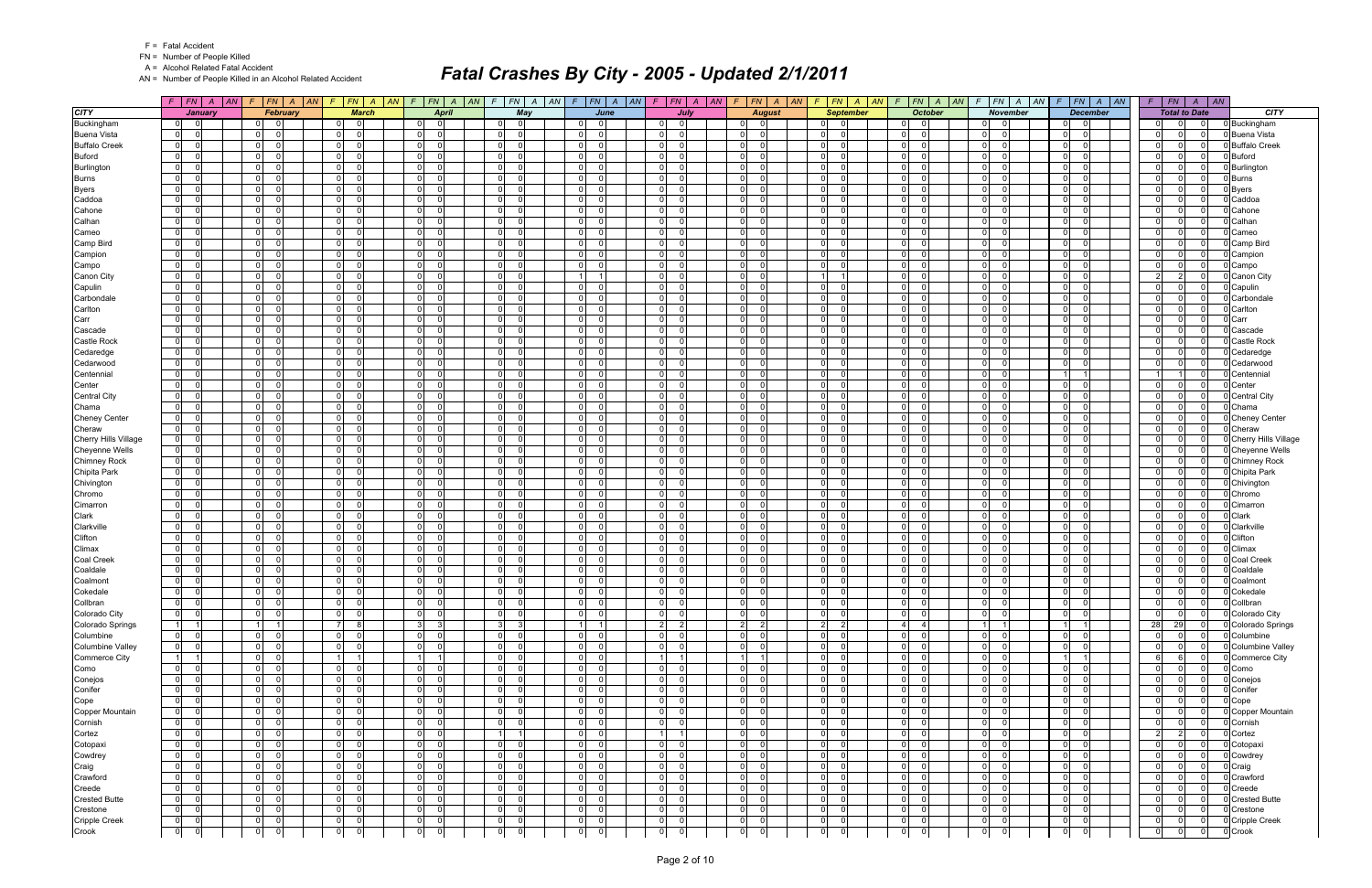|  | <b>Fatal Accident</b> |
|--|-----------------------|
|--|-----------------------|

A = Alcohol Related Fatal Accident

AN = Number of People Killed in an Alcohol Related Accident

|                                   | $F$   $FN$  <br>AN I             | F                                | FN A AN                       | $F$ $FN$ $A$ $AN$                                     | $\sqrt{F}$<br> FN A<br> AN                            | $FN$ $A$<br>F.                                               | $F$ $FN$ $A$<br> AN                            | AN | $F$ $FN$ $A$<br> AN                           | $FN \mid A$<br> AN<br>$\mathcal{F}$            | $F$ $FN$ $A$ $AN$                                           | $F N$ $A$<br> AN<br>$\mathcal{F}$                              | $F$ $FN$ $A$ $AN$                                        | F N A<br>$\vert AN$<br>$\sqrt{ }$             | F  | $\overline{AN}$<br> FN <br>$\overline{A}$                                  |                               |
|-----------------------------------|----------------------------------|----------------------------------|-------------------------------|-------------------------------------------------------|-------------------------------------------------------|--------------------------------------------------------------|------------------------------------------------|----|-----------------------------------------------|------------------------------------------------|-------------------------------------------------------------|----------------------------------------------------------------|----------------------------------------------------------|-----------------------------------------------|----|----------------------------------------------------------------------------|-------------------------------|
| <b>CITY</b>                       | January                          |                                  | February                      | <b>March</b>                                          | <b>April</b>                                          | May                                                          | June                                           |    | July                                          | <b>August</b>                                  | <b>September</b>                                            | <b>October</b>                                                 | <b>November</b>                                          | <b>December</b>                               |    | <b>Total to Date</b>                                                       | <b>CITY</b>                   |
| Buckingham                        | $\overline{0}$<br>- 0            | $\Omega$                         | $\Omega$                      | $\overline{0}$                                        | $\Omega$<br>$\Omega$                                  | $\overline{0}$<br>$\Omega$                                   | $\Omega$<br>$\overline{0}$                     |    | $\overline{0}$<br>$\Omega$                    | $\mathbf 0$<br>$\Omega$                        | $\overline{0}$<br>- 0                                       | 01<br>$\Omega$                                                 | $\overline{0}$<br>- 0                                    | - 0<br>.0                                     |    | $\Omega$<br>$\Omega$<br>$\Omega$                                           | 0 Buckingham                  |
| <b>Buena Vista</b>                | $\mathbf 0$                      | $\Omega$                         | $\Omega$                      | $\overline{0}$                                        | $\Omega$<br>$\Omega$                                  | $\overline{0}$<br>ി                                          | $\Omega$<br><sup>0</sup>                       |    | $\overline{0}$                                | ol<br>$\Omega$                                 | 0                                                           | $\Omega$<br>$\Omega$                                           | $\overline{0}$<br>$\Omega$                               | $\Omega$<br>- 0                               |    | $\Omega$<br>$\Omega$<br>$\Omega$                                           | <b>Buena Vista</b>            |
| <b>Buffalo Creek</b>              | $\mathbf 0$                      | $\overline{0}$                   | $\Omega$                      | $\overline{0}$<br>$\Omega$                            | 0 <br>$\Omega$                                        | $\overline{0}$<br>$\Omega$                                   | -ol<br>$\Omega$                                |    | $\overline{0}$<br>$\Omega$                    | 0 <br>$\Omega$                                 | $\overline{0}$<br>- C                                       | $\Omega$<br>$\Omega$                                           | 0 <br>$\cap$                                             | 0 I<br>- 0                                    |    | $\Omega$<br>$\Omega$<br>$\Omega$                                           | <b>Buffalo Creek</b>          |
| <b>Buford</b>                     | $\overline{0}$                   | $\overline{0}$                   | $\Omega$                      | $\overline{0}$<br>$\Omega$                            | $\mathbf 0$<br>$\Omega$                               | $\overline{0}$                                               | $\mathbf 0$<br><sup>0</sup>                    |    | $\overline{0}$                                | 0 <br>$\Omega$                                 | 0                                                           | $\Omega$<br>$\Omega$                                           | $\overline{0}$<br>$\Omega$                               | 0l<br>$\Omega$                                |    | $\Omega$<br>$\Omega$                                                       | <b>Buford</b>                 |
| Burlington                        | $\mathbf 0$                      | $\overline{0}$                   | $\Omega$                      | $\overline{0}$<br>$\Omega$                            | $\overline{0}$<br>$\Omega$                            | 0 <br>$\Omega$                                               | $\Omega$<br>U                                  |    | $\overline{0}$                                | -01<br>$\Omega$                                | 0                                                           | $\Omega$<br>$\Omega$                                           | 0 <br>$\Omega$                                           | - 0 l<br>$\Omega$                             |    | $\Omega$<br>$\Omega$<br>$\Omega$                                           | Burlington                    |
| <b>Burns</b>                      | $\mathbf 0$                      | 0                                | $\Omega$                      | $\circ$<br>$\Omega$<br>$\overline{0}$<br>$\Omega$     | $\overline{0}$<br>$\Omega$<br>$\mathbf 0$<br>$\Omega$ | $\overline{0}$<br>- 0<br>$\Omega$                            | ol<br>$\Omega$<br>-ol<br>U                     |    | 0 <br>$\Omega$<br> 0 <br>$\Omega$             | 0 <br>$\Omega$<br>-ol<br>$\Omega$              | 0                                                           | $\Omega$<br>$\Omega$<br>$\Omega$<br>$\Omega$                   | $\overline{0}$<br>$\Omega$<br>$\Omega$                   | $\mathbf 0$<br>$\Omega$<br>$\Omega$           |    | $\Omega$<br>$\Omega$<br>$\Omega$<br>$\Omega$<br>$\Omega$<br>$\Omega$       | <b>Burns</b>                  |
| <b>Byers</b><br>Caddoa            | $\mathbf 0$<br>$\mathbf 0$       | $\overline{0}$<br>$\overline{0}$ | $\Omega$                      | $\circ$<br>$\Omega$                                   | $\mathbf 0$<br>$\Omega$                               | $\overline{0}$<br>$\overline{0}$<br>- 0                      | $\mathbf 0$<br>$\Omega$                        |    | $\overline{0}$                                | -01<br>$\Omega$                                | $\overline{0}$<br> 0                                        | $\Omega$<br>$\Omega$                                           | $\overline{0}$<br>$\overline{0}$<br>$\Omega$             | - 0 l<br> 0 <br>$\Omega$                      |    | $\Omega$<br>$\Omega$<br>$\Omega$                                           | Byers<br>Caddoa               |
| Cahone                            | $\mathbf 0$                      | $\overline{0}$                   | $\Omega$                      | $\overline{0}$<br>$\Omega$                            | 0 <br>$\Omega$                                        | $\overline{0}$<br>$\Omega$                                   | - ol<br><sup>0</sup>                           |    | $\overline{0}$                                | $\mathbf{0}$<br>$\Omega$                       | $\overline{0}$                                              | $\Omega$<br>$\Omega$                                           | $\overline{0}$<br>$\Omega$                               | 0 I<br>$\Omega$                               |    | $\Omega$<br>$\Omega$<br>$\Omega$                                           | Cahone                        |
| Calhan                            | $\mathbf 0$                      | 0                                | $\Omega$                      | $\mathbf 0$<br>$\Omega$                               | $\mathbf 0$<br>$\Omega$                               | 0 <br>- 0                                                    | $\overline{0}$<br>$\Omega$                     |    | 0 <br>$\Omega$                                | -ol<br>$\Omega$                                | 0                                                           | $\Omega$<br>$\Omega$                                           | $\overline{0}$<br>$\Omega$                               | $\Omega$<br>$\Omega$                          |    | $\Omega$<br>$\Omega$<br>$\Omega$                                           | Calhan                        |
| Cameo                             | $\mathbf 0$                      | $\overline{0}$                   | $\Omega$                      | $\overline{0}$<br>$\Omega$                            | 0 <br>$\Omega$                                        | $\overline{0}$<br>$\Omega$                                   | 0 <br>$\Omega$                                 |    | 0                                             | 0 <br>$\Omega$                                 | $\overline{0}$                                              | $\Omega$<br>$\Omega$                                           | $\overline{0}$<br>$\Omega$                               | 0 I<br>$\Omega$                               |    | $\Omega$<br>$\Omega$<br>$\Omega$                                           | Cameo                         |
| Camp Bird                         | $\mathbf 0$                      | $\mathbf 0$                      |                               | $\mathbf 0$<br>$\Omega$                               | $\mathbf 0$<br>$\Omega$                               | $\overline{0}$                                               | $\mathbf 0$<br><sup>0</sup>                    |    | $\mathbf{0}$                                  | 0 <br>$\Omega$                                 | 0                                                           | $\Omega$<br>$\Omega$                                           | $\overline{0}$<br>$\Omega$                               | $\Omega$<br>$\Omega$                          |    | $\Omega$<br>$\Omega$                                                       | Camp Bird                     |
| Campion                           | $\mathbf 0$                      | $\Omega$                         |                               | $\overline{0}$<br>$\Omega$                            | $\mathbf 0$<br>$\Omega$                               | $\overline{0}$                                               | $\Omega$<br><sup>n</sup>                       |    | $\overline{0}$                                | -01<br>$\Omega$                                | 0                                                           | $\Omega$<br>$\Omega$                                           | $\overline{0}$<br>$\Omega$                               | $\mathbf 0$<br>$\Omega$                       |    | $\Omega$<br>$\Omega$<br>$\Omega$                                           | Campion                       |
| Campo                             | $\mathbf 0$                      | 0                                | $\Omega$                      | $\overline{0}$<br>- 0                                 | $\mathbf 0$<br>$\Omega$                               | 0 <br>- 0                                                    | 0 <br>$\Omega$                                 |    | 0 <br>n                                       | 0 <br>$\Omega$                                 | 0                                                           | $\overline{0}$<br>$\Omega$                                     | $\overline{0}$<br>∩                                      | $\Omega$<br>$\Omega$                          |    | $\Omega$<br>$\Omega$<br>$\Omega$                                           | Campo                         |
| Canon City                        | $\mathbf 0$                      | $\overline{0}$                   | $\Omega$                      | $\overline{0}$<br>$\Omega$                            | $\mathbf 0$<br>$\Omega$                               | 0 <br>$\Omega$                                               | $\overline{1}$                                 |    | 0 <br>$\Omega$                                | 0 <br>$\Omega$                                 | 11                                                          | $\Omega$<br>$\Omega$                                           | $\overline{0}$<br>$\Omega$                               | - 0 l<br>- 0                                  |    | $\mathcal{P}$<br>2<br>$\Omega$                                             | Canon City                    |
| Capulin                           | $\mathbf 0$                      | $\overline{0}$                   |                               | $\overline{0}$<br>$\Omega$                            | $\mathbf 0$<br>$\Omega$                               | 0 <br>$\Omega$                                               | 0 <br>$\Omega$                                 |    | 0                                             | 0 <br>$\Omega$                                 | 0                                                           | $\Omega$<br>$\Omega$                                           | $\overline{0}$<br>$\Omega$                               | $\Omega$<br>$\Omega$                          |    | $\Omega$<br>$\Omega$<br>$\Omega$                                           | Capulin                       |
| Carbondale                        | $\mathbf 0$                      | $\overline{0}$                   | $\Omega$                      | $\overline{0}$<br>$\Omega$                            | $\mathbf 0$<br>$\Omega$                               | $\overline{0}$                                               | 0 <br><sup>0</sup>                             |    | $\overline{0}$                                | 0 <br>$\Omega$                                 | $\overline{0}$                                              | $\Omega$<br>$\Omega$                                           | $\overline{0}$<br>$\Omega$                               | $\mathbf 0$<br>$\Omega$                       |    | $\Omega$<br>$\Omega$<br>$\Omega$                                           | Carbondale                    |
| Carlton                           | $\mathbf 0$                      | $\overline{0}$                   | $\Omega$                      | $\overline{0}$<br>$\Omega$                            | $\Omega$<br>$\Omega$                                  | $\overline{0}$<br>$\Omega$                                   | $\overline{0}$<br><sup>0</sup>                 |    | $\overline{0}$                                | -ol<br>$\Omega$                                | 0                                                           | $\Omega$<br>$\Omega$                                           | $\overline{0}$<br>$\Omega$                               | n l<br>$\Omega$                               |    | $\Omega$<br>$\Omega$<br>$\Omega$                                           | Carlton                       |
| Carr                              | $\mathbf 0$<br>$\mathbf 0$       | $\overline{0}$<br>$\mathbf 0$    | $\Omega$                      | $\overline{0}$<br>$\Omega$<br>$\overline{0}$          | $\mathbf{0}$<br>$\Omega$<br>$\mathbf 0$<br>$\Omega$   | 0 <br>$\Omega$<br>$\overline{0}$                             | -ol<br><sup>n</sup><br>$\mathbf 0$<br>U        |    | 0 <br>$\Omega$<br>$\overline{0}$              | 0 <br>$\Omega$<br>$\Omega$<br>$\Omega$         | $\overline{0}$<br> 0                                        | $\Omega$<br>$\Omega$<br>$\Omega$<br>$\Omega$                   | $\overline{0}$<br>$\Omega$<br>$\overline{0}$             | 0 I<br>- 0<br>n<br>$\Omega$                   |    | $\Omega$<br>$\Omega$<br>$\Omega$<br>$\Omega$<br>$\Omega$                   | Carr                          |
| Cascade<br><b>Castle Rock</b>     | $\mathbf 0$                      | $\Omega$                         |                               | $\overline{0}$<br>$\Omega$                            | $\mathbf 0$<br>$\Omega$                               | $\overline{0}$                                               | $\mathbf 0$                                    |    | $\overline{0}$                                | -01<br>$\Omega$                                | 0                                                           | $\Omega$<br>$\Omega$                                           | $\overline{0}$<br>$\Omega$                               | $\mathbf 0$<br>$\Omega$                       |    | $\Omega$<br>$\Omega$                                                       | Cascade<br><b>Castle Rock</b> |
| Cedaredge                         | $\mathbf 0$                      | $\overline{0}$                   | $\Omega$                      | $\overline{0}$<br>$\Omega$                            | $\mathbf 0$<br>$\Omega$                               | $\overline{0}$<br>- C                                        | 0 <br><sup>0</sup>                             |    | 0                                             | 0 <br>$\Omega$                                 | 0                                                           | $\Omega$<br>$\Omega$                                           | $\overline{0}$<br>$\Omega$                               | - 0 l<br>$\Omega$                             |    | $\Omega$<br>$\Omega$<br>$\Omega$                                           | Cedaredge                     |
| Cedarwood                         | $\mathbf 0$                      | $\overline{0}$                   | $\Omega$                      | $\mathbf 0$<br>$\Omega$                               | $\mathbf 0$<br>$\Omega$                               | $\mathbf 0$<br>- 0                                           | $\Omega$<br><sup>n</sup>                       |    | $\mathbf{0}$<br>$\Omega$                      | -ol<br>$\Omega$                                | $\overline{0}$<br>- 0                                       | $\Omega$<br>$\Omega$                                           | $\overline{0}$<br>$\Omega$                               | - 0 l<br>- 0                                  |    | $\Omega$<br>$\Omega$<br>$\Omega$                                           | Cedarwood                     |
| Centennial                        | $\mathbf 0$                      | $\overline{0}$                   |                               | $\overline{0}$                                        | $\mathbf 0$<br>$\Omega$                               | $\overline{0}$                                               | $\mathbf 0$<br>U                               |    | $\overline{0}$                                | -ol<br>$\Omega$                                | 0                                                           | $\Omega$<br>$\Omega$                                           | $\overline{0}$<br>$\Omega$                               |                                               |    | $\Omega$                                                                   | Centennial                    |
| Center                            | $\mathbf 0$                      | $\overline{0}$                   |                               | $\overline{0}$<br>$\Omega$                            | $\mathbf 0$<br>$\Omega$                               | $\overline{0}$                                               | $\mathbf 0$<br><sup>0</sup>                    |    | $\overline{0}$                                | 0 <br>$\Omega$                                 | 0                                                           | $\Omega$<br>$\Omega$                                           | $\overline{0}$<br>$\Omega$                               | $\mathbf 0$<br>$\Omega$                       |    | $\Omega$<br>$\Omega$                                                       | Center                        |
| <b>Central City</b>               | $\mathbf 0$                      | $\Omega$                         |                               | $\overline{0}$                                        | $\overline{0}$<br>$\Omega$                            | $\overline{0}$                                               | $\Omega$<br><sup>n</sup>                       |    | $\overline{0}$                                | -01<br>$\Omega$                                | 0                                                           | $\Omega$<br>$\Omega$                                           | $\overline{0}$                                           | - 0 l<br>$\Omega$                             |    | $\Omega$<br>$\Omega$<br>$\Omega$                                           | <b>Central City</b>           |
| Chama                             | $\mathbf 0$                      | 0                                | $\Omega$                      | $\overline{0}$<br>$\Omega$                            | $\overline{0}$<br>$\Omega$                            | 0 <br>- 0                                                    | $\overline{0}$<br>$\Omega$                     |    | 0 <br>n                                       | 0 <br>$\Omega$                                 | 0 <br>ſ                                                     | $\Omega$<br>$\Omega$                                           | $\overline{0}$<br>$\Omega$                               | $\mathbf 0$<br>$\Omega$                       |    | $\Omega$<br>$\Omega$<br>$\Omega$                                           | Chama                         |
| <b>Cheney Center</b>              | $\overline{0}$                   | $\overline{0}$                   |                               | $\overline{0}$<br>$\Omega$                            | $\mathbf 0$<br>$\Omega$                               | $\overline{0}$<br>$\Omega$                                   | -ol<br>U                                       |    | 0 <br>$\Omega$                                | -ol<br>$\Omega$                                | $\overline{0}$                                              | $\Omega$<br>$\Omega$                                           | $\overline{0}$<br>$\Omega$                               | $\Omega$<br>$\Omega$                          |    | $\Omega$<br>$\Omega$<br>$\Omega$                                           | <b>Chenev Center</b>          |
| Cheraw                            | $\mathbf 0$                      | $\overline{0}$                   | $\Omega$                      | $\overline{0}$<br>$\Omega$                            | $\mathbf 0$<br>$\Omega$                               | $\overline{0}$<br>- 0                                        | $\mathbf 0$<br>$\Omega$                        |    | $\overline{0}$                                | -01<br>$\Omega$                                | 0                                                           | $\Omega$<br>$\Omega$                                           | $\overline{0}$<br>$\Omega$                               | 0 <br>$\Omega$                                |    | $\Omega$<br>$\Omega$                                                       | Cheraw                        |
| Cherry Hills Village              | $\mathbf 0$                      | 0                                | $\Omega$                      | $\overline{0}$<br>$\Omega$                            | 0 <br>$\Omega$                                        | 0 <br>$\Omega$                                               | - ol<br><sup>0</sup>                           |    | $\overline{0}$                                | $\mathbf{0}$<br>$\Omega$                       | $\overline{0}$                                              | $\Omega$<br>$\Omega$                                           | $\overline{0}$<br>$\Omega$                               | 0 I<br>$\Omega$                               |    | $\Omega$<br>$\Omega$<br>$\Omega$                                           | Cherry Hills Village          |
| <b>Cheyenne Wells</b>             | $\mathbf 0$                      | 0                                | $\Omega$                      | $\mathbf 0$<br>$\Omega$                               | $\overline{0}$<br>$\Omega$                            | 0 <br>- 0                                                    | $\overline{0}$<br>$\Omega$                     |    | 0 <br>$\Omega$                                | -ol<br>$\Omega$                                | 0 <br>ſ                                                     | $\Omega$<br>$\Omega$                                           | $\overline{0}$<br>$\Omega$                               | $\Omega$<br>$\Omega$                          |    | $\Omega$<br>$\Omega$<br>$\Omega$                                           | <b>Cheyenne Wells</b>         |
| Chimney Rock                      | $\mathbf 0$                      | 0                                | $\Omega$                      | $\overline{0}$<br>$\Omega$                            | 0 <br>$\Omega$                                        | $\overline{0}$<br>$\Omega$                                   | 0 <br>$\Omega$                                 |    | 0                                             | 0 <br>$\Omega$                                 | $\overline{0}$                                              | $\Omega$<br>$\Omega$                                           | $\overline{0}$<br>$\Omega$<br>$\Omega$                   | 0 I<br>$\Omega$                               |    | $\Omega$<br>$\Omega$<br>$\Omega$<br>$\Omega$                               | <b>Chimney Rock</b>           |
| Chipita Park                      | $\mathbf 0$<br>$\mathbf 0$       | $\mathbf 0$<br>$\overline{0}$    | $\Omega$                      | $\mathbf 0$<br>$\Omega$<br>$\overline{0}$<br>$\Omega$ | $\mathbf 0$<br>$\Omega$<br>$\mathbf 0$<br>$\Omega$    | $\overline{0}$<br> 0 <br>- 0                                 | $\mathbf 0$<br><sup>0</sup><br>-ol<br>$\Omega$ |    | $\mathbf{0}$<br>$\overline{0}$                | 0 <br>$\Omega$<br>-01<br>$\Omega$              | 0 <br>$\overline{0}$                                        | $\Omega$<br>$\Omega$<br>$\Omega$<br>$\Omega$                   | $\overline{0}$<br> 0 <br>$\Omega$                        | $\Omega$<br>$\Omega$<br>0 I<br>$\overline{0}$ |    | $\Omega$<br>$\Omega$<br>$\Omega$<br>$\Omega$                               | Chipita Park<br>Chivington    |
| Chivington<br>Chromo              | $\mathbf 0$                      | 0                                | $\cap$                        | $\overline{0}$<br>$\Omega$                            | $\mathbf 0$<br>$\Omega$                               | 0 <br>- 0                                                    | ol<br>$\Omega$                                 |    | 0 <br>$\Omega$                                | 0 <br>$\Omega$                                 | 0                                                           | $\Omega$<br>$\Omega$                                           | $\overline{0}$<br>$\Omega$                               | $\mathbf 0$<br>$\Omega$                       |    | $\Omega$<br>$\Omega$<br>$\Omega$                                           | Chromo                        |
| Cimarron                          | $\mathbf 0$                      | $\overline{0}$                   | $\cap$                        | $\overline{0}$<br>$\Omega$                            | $\mathbf 0$<br>$\Omega$                               | 0 <br>- 0                                                    | 0 <br>$\Omega$                                 |    | 0 <br>$\Omega$                                | -ol<br>$\Omega$                                | 0 <br>$\sqrt{ }$                                            | $\Omega$<br>$\Omega$                                           | $\overline{0}$<br>$\Omega$                               | $\Omega$<br>$\Omega$                          |    | $\Omega$<br>$\Omega$<br>$\Omega$                                           | Cimarron                      |
| Clark                             | $\mathbf 0$                      | $\overline{0}$                   | $\Omega$                      | $\overline{0}$<br>$\Omega$                            | $\mathbf 0$<br>$\Omega$                               | $\overline{0}$                                               | $\mathbf{0}$<br><sup>0</sup>                   |    | $\overline{0}$                                | $\Omega$<br>$\Omega$                           | 0                                                           | $\Omega$<br>$\Omega$                                           | $\overline{0}$<br>$\Omega$                               | 0 <br>$\Omega$                                |    | $\Omega$<br>$\Omega$                                                       | Clark                         |
| Clarkville                        | $\mathbf 0$                      | $\overline{0}$                   | $\Omega$                      | $\overline{0}$<br>$\Omega$                            | $\overline{0}$<br>$\Omega$                            | $\overline{0}$                                               | $\mathbf 0$<br><sup>0</sup>                    |    | $\overline{0}$<br>$\Omega$                    | 0 <br>$\Omega$                                 | 0                                                           | $\Omega$<br>$\Omega$                                           | $\overline{0}$<br>$\Omega$                               | - 0 l<br>$\Omega$                             |    | $\Omega$<br>$\Omega$<br>$\Omega$                                           | Clarkville                    |
| Clifton                           | $\mathbf 0$                      | $\mathbf 0$                      | $\Omega$                      | $\mathbf 0$                                           | $\Omega$<br>- 0                                       | $\overline{0}$<br>- 0                                        | $\mathbf 0$<br><sup>n</sup>                    |    | 0                                             | -01<br>- 0                                     | 0                                                           | $\Omega$<br>- 0                                                | $\overline{0}$                                           | - Ol<br>$\Omega$                              |    | $\Omega$<br><sup>n</sup><br>$\Omega$                                       | Clifton                       |
| Climax                            | $\mathbf 0$                      | $\overline{0}$                   | $\Omega$                      | $\overline{0}$<br>$\Omega$                            | $\mathbf{0}$<br>$\Omega$                              | 0 <br>$\Omega$                                               | -ol<br><sup>n</sup>                            |    | 0 <br>$\Omega$                                | 0 <br>$\Omega$                                 | $\overline{0}$                                              | $\Omega$<br>$\Omega$                                           | $\overline{0}$<br>$\Omega$                               | 0 I<br>- 0                                    |    | $\Omega$<br>$\Omega$<br>$\Omega$                                           | Climax                        |
| <b>Coal Creek</b>                 | $\mathbf 0$                      | $\mathbf 0$                      |                               | $\mathbf 0$                                           | $\mathbf 0$<br>$\Omega$                               | $\overline{0}$<br>$\sqrt{ }$                                 | $\mathbf 0$<br>U                               |    | $\overline{0}$                                | $\Omega$<br>$\Omega$                           | 0                                                           | $\Omega$<br>$\Omega$                                           | $\overline{0}$<br>$\Omega$                               | n<br>$\Omega$                                 |    | $\Omega$<br>$\Omega$                                                       | <b>Coal Creek</b>             |
| Coaldale                          | $\mathbf 0$                      | $\Omega$                         |                               | $\overline{0}$                                        | $\overline{0}$<br>$\Omega$                            | $\overline{0}$                                               | $\mathbf 0$                                    |    | $\overline{0}$                                | -01<br>$\Omega$                                | $\overline{0}$                                              | $\Omega$<br>$\Omega$                                           | $\overline{0}$<br>$\Omega$                               | 0 I<br>$\Omega$                               |    | $\Omega$<br>$\Omega$                                                       | Coaldale                      |
| Coalmont                          | $\mathbf 0$                      | $\overline{0}$                   | $\Omega$                      | $\overline{0}$                                        | $\overline{0}$<br>$\Omega$                            | $\overline{0}$<br>- C                                        | $\overline{0}$<br><sup>0</sup>                 |    | $\overline{0}$<br>$\Omega$                    | 0 <br>$\Omega$                                 | 0                                                           | $\Omega$<br>$\Omega$                                           | $\overline{0}$                                           | $\Omega$<br>$\Omega$                          |    | $\Omega$<br>$\Omega$<br>$\Omega$                                           | Coalmon                       |
| Cokedale                          | $\mathbf 0$                      | 0                                | $\Omega$                      | $\overline{0}$<br>$\Omega$                            | $\overline{0}$<br>$\Omega$                            | $\overline{0}$<br>$\overline{0}$                             | 0 <br>0                                        |    | 0 <br>$\Omega$                                | 0 <br>$\Omega$                                 | $\overline{0}$<br>- 0                                       | $\overline{0}$<br>$\Omega$                                     | $\overline{0}$<br>$\Omega$                               | 0 I<br>- 0                                    |    | $\Omega$<br>$\Omega$<br>$\Omega$                                           | Cokedale                      |
| Collbran                          | $\mathbf 0$<br>$\overline{0}$    | 0 <br> 0                         | $\mathbf 0$<br>$\overline{0}$ | $\mathbf 0$<br>$\overline{0}$<br>$\Omega$             | $\mathbf 0$<br>$\mathbf 0$<br> 0 <br>0                | $\overline{0}$<br>$\mathbf 0$<br>$\overline{0}$<br>- 0       | $\mathbf 0$<br>$\mathbf 0$<br> 0 <br>$\Omega$  |    | $\Omega$<br>$\overline{0}$<br> 0 <br>$\Omega$ | $\mathbf{0}$<br>$\mathbf 0$<br> 0 <br>$\Omega$ | 0 <br>- 0<br>$\overline{0}$<br>$\overline{\phantom{0}}$     | $\overline{0}$<br>$\mathbf 0$<br>$\overline{0}$<br>$\mathbf 0$ | $\overline{0}$<br>$\mathbf 0$<br>$0$ 0                   | $\mathbf 0$<br> 0 <br>$\overline{0}$<br>- 01  |    | $\Omega$<br>$\mathbf{0}$<br>$\Omega$<br>$\Omega$                           | 0 Collbran<br>Colorado City   |
| Colorado City<br>Colorado Springs | $\vert$ 1                        | $\overline{1}$                   | $\overline{1}$                | 7<br>8                                                | 3 <br>-3                                              | 3<br>- 3                                                     | 1<br>$\overline{1}$                            |    | $\vert$ 2<br>$\overline{2}$                   | $\vert$ 2<br>2                                 | $2 \quad 2$                                                 | $\vert$ 4<br>$\overline{4}$                                    | $1 \quad 1$                                              | $1 \vert$<br>-1 I                             | 28 | 29<br>- Ol                                                                 | 0 Colorado Springs            |
| Columbine                         | 0 <br>$\overline{0}$             | $\overline{0}$                   | - Ol                          | $\overline{0}$<br>$\overline{\mathbf{0}}$             | 0 <br>$\mathbf 0$                                     | 0 <br>$\overline{0}$                                         | 0 <br>$\Omega$                                 |    | $\overline{0}$<br>$\Omega$                    | 0 <br>$\overline{0}$                           | 0 <br>$\overline{\mathbf{0}}$                               | $\overline{0}$<br>$\overline{0}$                               | $ 0 $ 0                                                  | $\overline{0}$<br>- 01                        |    | $\Omega$<br>$\Omega$<br>0 I                                                | Columbine                     |
| <b>Columbine Valley</b>           | $\overline{0}$                   | $\overline{0}$                   | $\mathbf 0$                   | 0 <br>$\mathbf 0$                                     | 0 <br>$\mathbf 0$                                     | $\overline{0}$<br>$\overline{\mathbf{0}}$                    | 0 <br>$\Omega$                                 |    | 0 <br>0                                       | 0 <br>$\mathbf 0$                              | $\overline{0}$<br>$\mathbf{0}$                              | $\overline{0}$<br>$\mathbf 0$                                  | $\overline{0}$<br>$\overline{\mathbf{0}}$                | $\overline{0}$<br>$\overline{0}$              |    | $\Omega$<br>$\mathbf 0$                                                    | 0 Columbine Valley            |
| Commerce City                     | 1                                | 0                                | $\Omega$                      | 1<br>$\overline{1}$                                   | $\vert$ 1<br>-1                                       | $\overline{0}$<br>$\overline{0}$                             | 0 <br>$\Omega$                                 |    | $1 \vert$                                     | 1<br>$\overline{1}$                            | $\overline{0}$<br>$\Omega$                                  | $\overline{0}$<br>$\mathbf 0$                                  | $\overline{0}$<br>$\Omega$                               | $1 \vert$<br>11                               |    | $6 \overline{6}$<br>$\overline{0}$                                         | 0 Commerce City               |
| Como                              | $\overline{0}$                   | $\overline{0}$                   | $\Omega$                      | 0 <br>$\Omega$                                        | 0 <br>0                                               | 0 <br>$\Omega$                                               | 0 <br>$\Omega$                                 |    | $\overline{0}$<br>$\Omega$                    | 0 <br>$\overline{0}$                           | $\overline{0}$<br>- 0                                       | $\overline{0}$<br>$\mathbf 0$                                  | 0 <br>$\overline{0}$                                     | $\overline{0}$<br>$\overline{0}$              |    | $\Omega$<br>$\Omega$<br>$\Omega$                                           | Como                          |
| Conejos                           | $\overline{0}$                   | $\overline{0}$                   | $\Omega$                      | $\overline{0}$<br>0                                   | 0 <br>0                                               | $\overline{0}$<br>$\overline{\phantom{0}}$                   | $\overline{0}$<br>$\Omega$                     |    | $\overline{0}$<br>$\Omega$                    | 0 <br>$\mathbf 0$                              | $\overline{0}$<br>$\overline{\mathbf{0}}$                   | $\overline{0}$<br>$\overline{0}$                               | $\overline{0}$<br>- 0                                    | $\overline{0}$<br> 0                          |    | $\Omega$<br>$\Omega$<br>$\Omega$                                           | Conejos                       |
| Conifer                           | 0                                | $\overline{0}$                   | $\Omega$                      | 0 <br>$\mathbf 0$                                     | 0 <br>$\mathbf 0$                                     | $\overline{0}$<br>$\overline{\mathbf{0}}$                    | 0 <br>$\Omega$                                 |    | 0 <br>$\Omega$                                | 0 <br>$\overline{0}$                           | $\overline{0}$<br>- 0                                       | $\overline{0}$<br>$\overline{0}$                               | 0 <br>$\Omega$                                           | $\overline{0}$<br>- 01                        |    | $\Omega$<br>$\overline{0}$<br>$\Omega$                                     | Conifer                       |
| Cope                              | $\overline{0}$                   | 0                                | $\Omega$                      | 0 <br>0                                               | 0 <br>0                                               | $\overline{0}$<br>$\overline{\mathbf{0}}$                    | 0 <br>$\Omega$                                 |    | 0                                             | 0 <br>$\overline{0}$                           | $\overline{0}$<br>- 0                                       | $\overline{0}$<br>$\overline{0}$                               | $0$ 0                                                    | 0 <br>$\overline{0}$                          |    | $\Omega$<br>$\mathbf 0$<br>$\Omega$                                        | Cope                          |
| Copper Mountain                   | $\mathbf 0$                      | 0                                | - Ol                          | 0 <br>$\overline{0}$                                  | 0 <br>$\Omega$                                        | 0 <br>$\overline{\mathbf{0}}$                                | $\overline{0}$<br>$\mathbf 0$                  |    | $\overline{0}$<br>$\Omega$                    | $\mathbf{0}$<br>$\overline{0}$                 | $\overline{0}$<br>- 01                                      | 0 <br>$\overline{0}$                                           | $0\qquad 0$                                              | $\overline{0}$<br> 0                          |    | $\Omega$<br>$\overline{0}$<br>$\overline{0}$                               | Copper Mountain               |
| Cornish                           | $\overline{0}$                   | $\overline{0}$                   | - 0                           | $\overline{0}$<br>$\overline{\mathbf{0}}$             | 0 <br>0                                               | $0\qquad 0$                                                  | $\overline{0}$<br>$\Omega$                     |    | $\overline{0}$<br>$\Omega$                    | 0 <br>$\overline{0}$                           | $\overline{0}$<br>$\overline{\mathbf{0}}$                   | $\overline{0}$<br>$\overline{0}$                               | $ 0 $ 0                                                  | $\overline{0}$<br>$\overline{\mathbf{0}}$     |    | $\Omega$<br>$\Omega$<br>0 I                                                | 0 Cornish                     |
| Cortez                            | $\overline{0}$<br>$\overline{0}$ | $\overline{0}$<br> 0             | $\Omega$<br>$\Omega$          | 0 <br>$\Omega$<br> 0 <br>$\Omega$                     | 0 <br>$\Omega$<br>$\Omega$                            | 1                                                            | $\overline{0}$<br>$\Omega$<br> 0 <br>$\Omega$  |    | 1<br>$\Omega$                                 | 0 <br>$\overline{0}$<br> 0 <br>$\Omega$        | $\overline{0}$<br>$\overline{\mathbf{0}}$<br>$\overline{0}$ | $\overline{0}$<br>$\overline{0}$<br> 0 <br>$\mathbf 0$         | $\overline{0}$<br>$\Omega$<br>$\overline{0}$<br>$\Omega$ | 0 <br> 0                                      |    | $\overline{2}$<br>$\overline{2}$<br>$\overline{0}$<br>$\Omega$<br>$\Omega$ | Cortez                        |
| Cotopaxi<br>Cowdrey               | $\mathbf 0$                      | $\overline{0}$                   | $\Omega$                      | $\overline{0}$<br>$\overline{0}$                      | 0 <br> 0 <br>$\mathbf 0$                              | $\overline{0}$<br>$\overline{\mathbf{0}}$<br> 0 <br>$\Omega$ | $\overline{0}$<br>$\Omega$                     |    | $\overline{0}$<br>$\overline{0}$<br>$\Omega$  | 0 <br>$\overline{0}$                           | $\overline{0}$<br>$\overline{0}$                            | $\overline{0}$<br>$\overline{0}$                               | $ 0 $ 0                                                  | $\overline{0}$<br> 0 <br>$\overline{0}$<br> 0 |    | $\Omega$<br>$\overline{0}$<br>- Ol                                         | Cotopaxi<br>Cowdrey           |
| Craig                             | $\mathsf{o}$                     | $\overline{0}$                   | $\Omega$                      | $\overline{0}$<br>$\overline{\mathbf{0}}$             | 0 <br>$\Omega$                                        | 0 <br>$\Omega$                                               | $\circ$<br>$\Omega$                            |    | $\overline{0}$<br>$\Omega$                    | 0 <br>$\overline{0}$                           | $\overline{0}$<br>- C                                       | $\overline{0}$<br>$\overline{0}$                               | $\overline{0}$<br>$\Omega$                               | $\overline{0}$<br> 0                          |    | $\Omega$<br>$\Omega$<br>$\Omega$                                           | Craig                         |
| Crawford                          | $\overline{0}$                   | $\overline{0}$                   | $\Omega$                      | 0 <br>$\overline{0}$                                  | 0 <br>$\mathbf 0$                                     | 0 <br>$\overline{\phantom{0}}$                               | $\overline{0}$<br>$\mathbf 0$                  |    | $\overline{0}$<br>$\Omega$                    | 0 <br>$\overline{0}$                           | $\overline{0}$<br>$\overline{\mathbf{0}}$                   | $\overline{0}$<br>$\overline{0}$                               | $ 0 $ 0                                                  | $\overline{0}$<br>- 01                        |    | $\Omega$<br>$\overline{0}$<br>$\overline{0}$                               | Crawford                      |
| Creede                            | $\overline{0}$                   | 0                                | 0                             | 0 <br>$\mathbf 0$                                     | 0 <br>0                                               | $\overline{0}$<br>$\overline{\phantom{0}}$                   | 0 <br>$\Omega$                                 |    | 0 <br>0                                       | 0 <br>$\mathbf 0$                              | $\overline{0}$                                              | 0 <br>$\mathbf 0$                                              | 0 <br>$\overline{0}$                                     | 0 <br>$\mathbf 0$                             |    | $\Omega$<br>$\Omega$<br>$\Omega$                                           | Creede                        |
| <b>Crested Butte</b>              | $\overline{0}$                   | 0                                | $\Omega$                      | 0 <br>$\Omega$                                        | 0 <br>$\Omega$                                        | $\overline{0}$<br>$\overline{0}$                             | $\overline{0}$<br>$\Omega$                     |    | $\overline{0}$<br>$\Omega$                    | 0 <br>$\Omega$                                 | $\overline{0}$<br>$\Omega$                                  | $\mathbf 0$<br>$\overline{0}$                                  | $\overline{0}$<br>$\Omega$                               | $\overline{0}$<br> 0                          |    | $\Omega$<br>$\Omega$<br>$\Omega$                                           | <b>Crested Butte</b>          |
| Crestone                          | $\mathbf 0$                      | $\overline{0}$                   | $\Omega$                      | 0 <br>0                                               | 0 <br>$\Omega$                                        | 0 <br>$\overline{0}$                                         | 0 <br>$\Omega$                                 |    | 0 <br>-0                                      | 0 <br>$\Omega$                                 | $\overline{0}$<br>- 0                                       | $\overline{0}$<br>$\mathbf 0$                                  | $\overline{0}$<br>$\overline{\mathbf{0}}$                | 0 <br>- 0                                     |    | $\Omega$<br>$\Omega$<br>$\Omega$                                           | 0 Crestone                    |
| <b>Cripple Creek</b>              | $\overline{0}$                   | $\overline{0}$                   | $\Omega$                      | $\overline{0}$<br>$\Omega$                            | 0 <br>$\Omega$                                        | $\overline{0}$<br>$\overline{0}$                             | 0 <br>$\Omega$                                 |    | 0 <br>$\Omega$                                | 0 <br>$\Omega$                                 | $\overline{0}$<br>- 0                                       | $\overline{0}$<br>$\overline{0}$                               | $\overline{0}$<br>$\overline{0}$                         | $\overline{0}$<br>- 01                        |    | $\Omega$<br>$\Omega$<br>$\overline{0}$                                     | 0 Cripple Creek               |
| Crook                             | $\overline{0}$<br>$\overline{0}$ | $\overline{0}$                   | $\circ$                       | $\mathbf{0}$<br>$\mathbf{0}$                          | $\mathbf{0}$<br>$\mathbf 0$                           | $\overline{\mathbf{0}}$<br>$\overline{0}$                    | $\mathbf{0}$<br>$\mathbf 0$                    |    | $\overline{\mathbf{0}}$<br>$\mathbf 0$        | $\overline{0}$<br>$\overline{0}$               | 0 <br>$\overline{0}$                                        | $\overline{0}$<br>$\overline{0}$                               | 0 <br>$\mathbf 0$                                        | 0 <br> 0                                      |    | 0 <br>$\mathbf 0$<br>$\overline{0}$                                        | 0 Crook                       |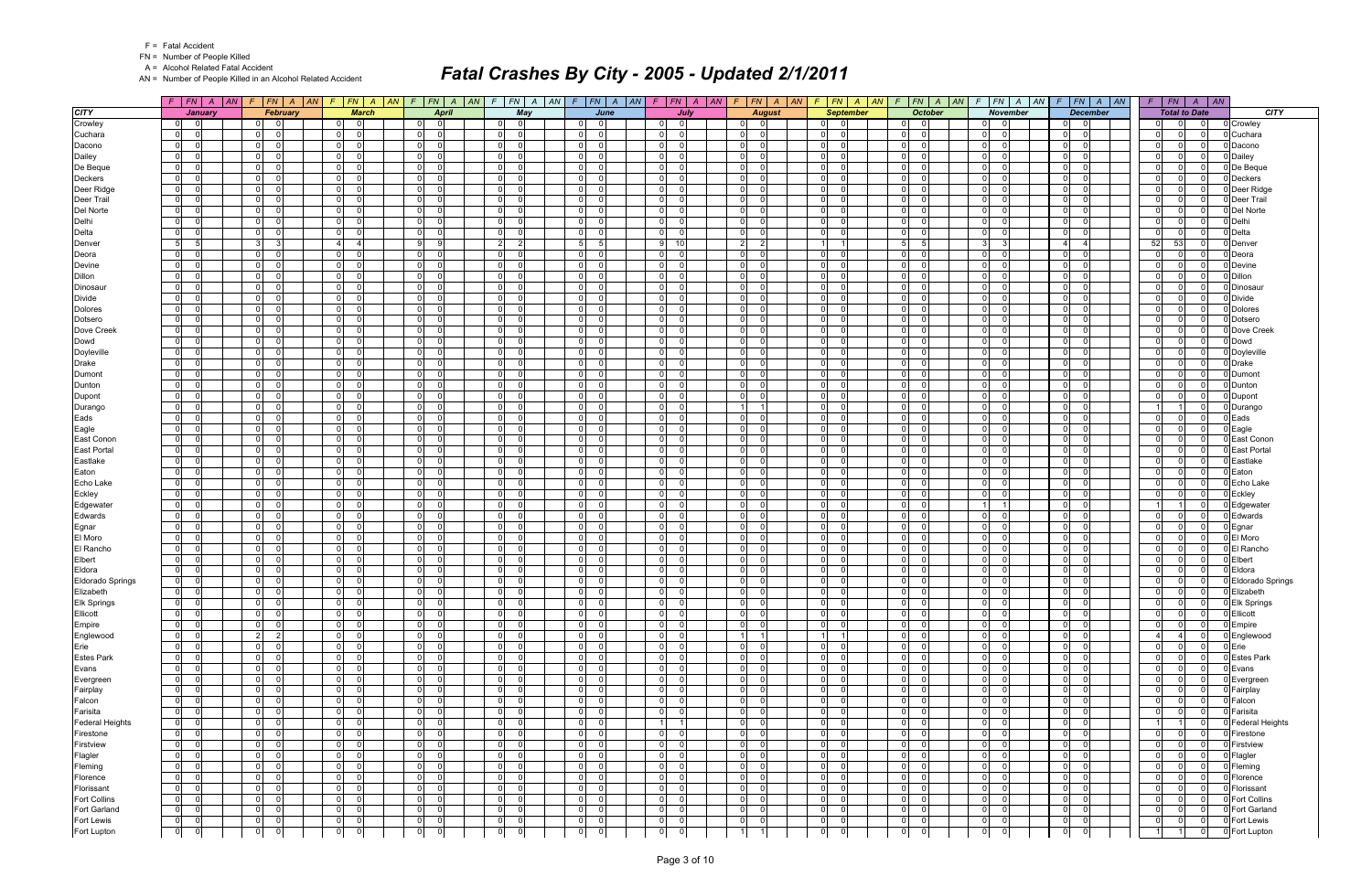|  | <b>Fatal Accident</b> |
|--|-----------------------|
|--|-----------------------|

A = Alcohol Related Fatal Accident

AN = Number of People Killed in an Alcohol Related Accident

|                            | $F$   $FN$   $A$   $AN$                                               | FN A AN<br>F.                                              | F<br> FN A AN                                            | $F$   $FN$   $A$   $AN$                                              | $FN$ $A$ $AN$<br>$\mathcal{F}$                            | $F$ $FN$ $A$ $AN$                                        | $F$ $ FN $ $A$ $ AN $                                                         | $\mathcal{F}$                                      | $FN \mid A \mid AN$<br>$F$   $FN$   $A$   $AN$                    | FN A AN<br>$\mathcal{F}$         | $F$   $FN$   $A$   $AN$                                             | $F$   $FN$   $A$   $AN$                               | $F$   $FN$   A   AN                                                                         |
|----------------------------|-----------------------------------------------------------------------|------------------------------------------------------------|----------------------------------------------------------|----------------------------------------------------------------------|-----------------------------------------------------------|----------------------------------------------------------|-------------------------------------------------------------------------------|----------------------------------------------------|-------------------------------------------------------------------|----------------------------------|---------------------------------------------------------------------|-------------------------------------------------------|---------------------------------------------------------------------------------------------|
| <b>CITY</b>                | January                                                               | February                                                   | <b>March</b>                                             | <b>April</b>                                                         | May                                                       | June                                                     | July                                                                          |                                                    | <b>August</b><br><b>September</b>                                 | <b>October</b>                   | <b>November</b>                                                     | <b>December</b>                                       | <b>CITY</b><br><b>Total to Date</b>                                                         |
| Crowley                    | $\overline{0}$<br>$\overline{\phantom{0}}$ 0 $\overline{\phantom{0}}$ | - 01<br>0                                                  | $\overline{\mathbf{0}}$<br> 0                            | $\overline{0}$<br>$\overline{\phantom{0}}$                           | 0 <br>01                                                  | $\overline{0}$<br>$\Omega$                               | $\overline{\mathbf{0}}$<br>- OI                                               | - O I<br>$\mathbf 0$                               | 0 <br>$\overline{0}$                                              | $\overline{\mathbf{0}}$<br>ΩI    | $\overline{0}$<br>ി                                                 | $\overline{0}$<br>$\Omega$                            | $\overline{0}$<br>0 Crowley<br>0 I<br>0                                                     |
| Cuchara                    | $\overline{0}$<br>$\Omega$                                            | 0 <br>- 0                                                  | $\overline{0}$<br> 0                                     | 0 <br>$\Omega$                                                       | $\Omega$<br> 0                                            | 0 <br>$\Omega$                                           | $\overline{0}$<br>$\Omega$                                                    | $\mathbf 0$                                        | $\overline{0}$<br>$\Omega$                                        | ol<br>$\Omega$                   | $\overline{0}$<br>$\Omega$                                          | $\Omega$<br>$\Omega$                                  | $\mathbf 0$<br>0 Cuchara<br>$\overline{0}$                                                  |
| Dacono                     | $\overline{0}$<br>- 01                                                | 0 <br>- 0                                                  | $\overline{0}$<br>$\overline{\mathbf{0}}$                | 0 <br>$\overline{\mathbf{0}}$                                        | 0 <br>$\overline{0}$                                      | $\overline{0}$<br>$\Omega$                               | 0 I<br> 0                                                                     | $\overline{0}$<br>$\overline{0}$                   | 0 <br>- 01                                                        | 0 <br>- 01                       | $\overline{0}$<br>$\overline{0}$                                    | $\overline{0}$<br>$\mathbf 0$                         | $\overline{0}$<br>0 I<br>Dacono<br>- 0                                                      |
| Dailey                     | $\overline{0}$<br>$\overline{0}$                                      | $\overline{0}$<br>$\Omega$                                 | $\overline{0}$<br>- ol                                   | 0 <br>$\overline{0}$                                                 | 0 <br>$\mathbf 0$                                         | $\overline{0}$<br>$\Omega$                               | $\Omega$<br>$\Omega$                                                          | $\Omega$<br>$\Omega$                               | $\overline{0}$<br>$\Omega$                                        | $\mathbf 0$<br>$\Omega$          | $\overline{0}$<br>$\Omega$                                          | $\Omega$<br>$\Omega$                                  | $\mathbf 0$<br>$\overline{0}$<br>0 Dailey                                                   |
| De Beque                   | $\overline{0}$<br>$\Omega$<br>$\Omega$                                | $\overline{0}$<br>- 0<br>$\Omega$                          | 0 <br>$\overline{0}$<br>$\Omega$                         | $\overline{0}$<br>- 0<br>-ol<br>$\Omega$                             | $\overline{0}$<br>$\overline{0}$                          | $\overline{0}$<br>$\Omega$<br>$\Omega$                   | 0 I<br>$\Omega$<br>$\Omega$                                                   | $\Omega$<br>$\Omega$<br>$\Omega$<br>$\Omega$       | $\overline{0}$<br>$\Omega$<br>$\Omega$                            | $\Omega$<br>$\Omega$<br>$\Omega$ | 0 I<br>$\Omega$<br>$\Omega$                                         | $\Omega$<br>$\Omega$<br>$\Omega$                      | $\mathbf 0$<br>$\overline{0}$<br>0 De Beque<br>- 0                                          |
| Deckers<br>Deer Ridge      | $\mathbf 0$<br>$\overline{0}$<br>- 0                                  | $\overline{0}$<br> 0 <br>- 0                               | $\overline{0}$<br>$\overline{0}$<br>- 01                 | $\overline{0}$<br>$\overline{0}$                                     | 0 <br>-01<br> 0 <br>$\overline{0}$                        | 0 <br>$\overline{0}$<br>$\Omega$                         | 0 I<br>0 I<br>$\Omega$                                                        | $\Omega$<br>$\Omega$                               | $\overline{0}$<br>$\overline{0}$<br>$\Omega$                      | ol<br>$\Omega$<br>$\Omega$       | $\overline{0}$<br>0 I<br>$\Omega$                                   | $\Omega$<br>$\Omega$<br>$\Omega$                      | $\mathbf 0$<br>$\overline{0}$<br>0 Deckers<br>$\mathbf 0$<br>$\overline{0}$<br>0 Deer Ridge |
| Deer Trail                 | 0 <br>$\Omega$                                                        | $\overline{0}$<br>$\Omega$                                 | $\overline{0}$<br>$\Omega$                               | 0 <br>$\Omega$                                                       | $\overline{0}$<br>$\Omega$                                | $\mathbf 0$<br>$\Omega$                                  | $\overline{0}$<br>$\Omega$                                                    | $\overline{0}$<br>$\Omega$                         | $\overline{0}$<br>$\Omega$                                        | $\Omega$<br>$\Omega$             | $\overline{0}$<br>$\Omega$                                          | $\Omega$<br>$\Omega$                                  | $\mathsf{O}$<br>$\Omega$<br>0 Deer Trail                                                    |
| Del Norte                  | $\overline{0}$<br>- 01                                                | 0 <br>- 0                                                  | 0 <br>$\overline{\mathbf{0}}$                            | $\overline{0}$<br>- 0                                                | 0 <br>$\overline{0}$                                      | $\mathbf 0$<br>$\Omega$                                  | 01<br>$\Omega$                                                                | $\Omega$<br>$\Omega$                               | $\mathbf 0$<br>$\Omega$                                           | - 01<br>$\Omega$                 | $\overline{0}$<br>$\Omega$                                          | $\Omega$<br>$\Omega$                                  | 0 Del Norte<br>$\mathbf 0$<br>$\overline{0}$<br>- 0                                         |
| Delhi                      | $\mathbf 0$<br>$\Omega$                                               | $\overline{0}$<br>$\Omega$                                 | $\overline{0}$<br>$\Omega$                               | -ol<br>$\Omega$                                                      | 0 <br>-ol                                                 | 0 <br>$\Omega$                                           | $\Omega$<br>$\Omega$                                                          | $\Omega$                                           | $\overline{0}$<br>$\Omega$                                        | ol<br>$\Omega$                   | $\overline{0}$<br>$\Omega$                                          | $\Omega$<br>$\Omega$                                  | $\mathbf 0$<br>0 Delhi<br>$\overline{0}$                                                    |
| Delta                      | $\overline{0}$<br>- 0                                                 | 0 <br>$\Omega$                                             | $\overline{0}$<br>$\overline{0}$                         | $\overline{0}$<br>$\overline{0}$                                     | 0 <br>$\overline{0}$                                      | $\overline{0}$<br>$\Omega$                               | 0 I<br>- 0                                                                    | $\overline{0}$<br>$\Omega$                         | $\overline{0}$<br>$\Omega$                                        | $\Omega$<br>- 01                 | $\overline{0}$<br>- 0                                               | $\Omega$<br>$\Omega$                                  | 0 <br>0 Delta<br>0 I<br>$\Omega$                                                            |
| Denver                     | 5 <sub>5</sub><br>-51                                                 | 3 <sup>l</sup><br>3                                        | $\overline{4}$<br>$\vert$ 4                              | 9 <br>9                                                              | $\overline{2}$<br>$\vert$ 2                               | 5 <sub>5</sub><br>5                                      | 9 <br>10 <sup>1</sup>                                                         | $\overline{2}$<br>$\vert$ 2                        | $\overline{1}$                                                    | 5<br>5                           | 3 <sup>1</sup><br>3 <sup>1</sup>                                    | $\Delta$<br>-4                                        | 52<br>53<br>0 Denver                                                                        |
| Deora                      | $\mathbf 0$<br>$\Omega$                                               | $\overline{0}$<br>$\Omega$                                 | $\Omega$<br> 0                                           | 0 <br>- 0                                                            | $\overline{0}$<br>-ol                                     | $\mathbf 0$<br>$\Omega$                                  | 0 I<br>$\Omega$                                                               | $\Omega$<br>$\Omega$                               | $\overline{0}$<br>$\Omega$                                        | $\Omega$<br>$\Omega$             | $\Omega$<br>$\Omega$                                                | $\Omega$<br>$\Omega$                                  | $\mathsf{O}$<br>$\Omega$<br>0 Deora                                                         |
| Devine                     | $\overline{0}$<br>- 0                                                 | 0 <br>- 0                                                  | $\overline{0}$<br>$\overline{0}$                         | $\overline{0}$<br>- 0                                                | $\overline{0}$<br>-01                                     | $\overline{0}$<br>$\Omega$                               | 0 I<br>$\Omega$                                                               | $\Omega$<br>$\Omega$                               | $\mathbf 0$<br>$\Omega$                                           | - 01<br>$\Omega$                 | $\overline{0}$<br>$\Omega$                                          | $\Omega$<br>$\Omega$                                  | $\mathbf 0$<br>$\overline{0}$<br>0 Devine<br>- 0                                            |
| Dillon                     | $\overline{0}$<br>- 01                                                | 0 <br>- 0                                                  | $\overline{0}$<br>$\overline{\mathbf{0}}$                | 0 <br>- 0                                                            | 0 <br> 0                                                  | $\mathsf{o}$<br>$\Omega$                                 | 0 I<br>$\Omega$                                                               | $\Omega$<br>$\Omega$                               | $\overline{0}$<br>$\Omega$                                        | $\Omega$<br>$\Omega$             | $\overline{0}$<br>$\Omega$                                          | $\Omega$<br>$\Omega$                                  | 0 Dillon<br>$\mathbf 0$<br>$\Omega$                                                         |
| Dinosaur                   | $\overline{0}$<br>$\Omega$                                            | $\overline{0}$<br>$\Omega$                                 | 0 <br>- 01                                               | $\overline{0}$<br>$\Omega$                                           | 0 <br>$\overline{\mathbf{0}}$                             | $\overline{0}$<br>$\Omega$                               | 0 I<br>$\Omega$                                                               | $\overline{0}$<br>$\Omega$                         | $\overline{0}$<br>$\Omega$                                        | ol<br> 0                         | $\overline{0}$<br>$\Omega$                                          | $\Omega$<br>$\Omega$                                  | 0 <br>Dinosaur<br>$\Omega$                                                                  |
| <b>Divide</b>              | $\overline{0}$<br>- 01                                                | 0 <br>- 0                                                  | $\overline{0}$<br>$\overline{\mathbf{0}}$                | $\overline{0}$<br>- 0                                                | 0 <br>$\overline{0}$                                      | $\overline{0}$<br>$\Omega$                               | 01<br>$\Omega$                                                                | $\Omega$<br>0                                      | $\overline{0}$<br>$\Omega$                                        | 0 <br>$\overline{0}$             | $\Omega$<br> 0                                                      | $\Omega$<br>$\Omega$                                  | 0 Divide<br>$\mathbf 0$<br>$\overline{0}$                                                   |
| <b>Dolores</b>             | $\overline{0}$<br>$\Omega$                                            | $\overline{0}$<br>- 0                                      | 0 <br>$\overline{0}$                                     | $\overline{0}$<br>$\overline{0}$                                     | -ol<br>$\overline{0}$                                     | $\overline{0}$<br>$\Omega$                               | 0 I<br>$\Omega$                                                               | $\Omega$<br>- 0 l                                  | $\mathbf 0$<br>$\Omega$                                           | ol<br>$\Omega$                   | 0 I<br>$\Omega$                                                     | $\Omega$<br>$\Omega$                                  | $\mathbf 0$<br>0 Dolores<br>$\overline{0}$                                                  |
| Dotsero                    | $\overline{0}$<br>- 0                                                 | 0 <br>- 0                                                  | $\overline{0}$<br>$\overline{\mathbf{0}}$                | $\overline{0}$<br>- 0                                                | 0 <br>- 01                                                | $\overline{0}$<br>$\Omega$                               | 0 I<br>$\Omega$                                                               | - Ol<br>$\Omega$                                   | $\overline{0}$<br>$\Omega$                                        | - 01<br>$\Omega$                 | $\overline{0}$<br>- 0                                               | $\Omega$<br>$\Omega$                                  | $\mathbf 0$<br>0 Dotsero<br>$\overline{0}$<br>- 0                                           |
| Dove Creek                 | $\overline{0}$<br>$\Omega$                                            | $\overline{0}$<br>$\Omega$                                 | 0 <br>- 01                                               | $\overline{0}$<br>$\overline{0}$                                     | 0 <br>$\overline{0}$                                      | $\overline{0}$<br>$\Omega$                               | 0 I<br>$\Omega$                                                               | $\overline{0}$<br>- 0 l                            | $\overline{0}$<br>$\Omega$                                        | ol<br>$\Omega$                   | $\overline{0}$<br>$\Omega$                                          | $\Omega$<br>$\Omega$                                  | $\mathbf 0$<br>0 Dove Creek<br>$\overline{0}$                                               |
| Dowd                       | $\overline{0}$<br>$\Omega$<br>$\Omega$                                | $\overline{0}$<br>$\Omega$<br>- 0                          | $\overline{0}$<br>$\Omega$<br>- 01                       | 0 <br>- 0<br>$\overline{0}$<br>$\overline{0}$                        | $\Omega$<br>$\overline{0}$                                | $\mathbf 0$<br>$\Omega$<br>$\Omega$                      | $\overline{0}$<br>$\Omega$<br>$\Omega$                                        | $\Omega$<br>$\Omega$<br>- Ol<br>$\Omega$           | $\overline{0}$<br>$\Omega$<br>$\Omega$                            | $\Omega$<br>$\Omega$<br>$\Omega$ | 0 <br>$\Omega$<br>$\Omega$                                          | $\Omega$<br>$\Omega$<br>$\Omega$<br>$\Omega$          | $\mathbf 0$<br>$\Omega$<br>0 Dowd<br>$\overline{0}$<br>- 0                                  |
| Doyleville<br><b>Drake</b> | $\overline{0}$<br>$\overline{0}$<br>- 01                              | 0 <br>$\overline{0}$<br>- 0                                | 0 <br>$\overline{0}$<br>$\overline{\mathbf{0}}$          | $\overline{0}$<br>$\overline{0}$                                     | $\overline{0}$<br>$\overline{0}$<br> 0 <br>$\overline{0}$ | $\mathbf 0$<br>$\overline{0}$<br>$\Omega$                | 0 I<br> 0 <br>$\Omega$                                                        | $\Omega$<br>$\Omega$                               | $\overline{0}$<br>$\overline{0}$<br>$\Omega$                      | - 01<br>ol<br>$\Omega$           | $\overline{0}$<br>$\overline{0}$<br>$\Omega$                        | $\Omega$<br>$\Omega$                                  | $\mathbf 0$<br>0 Doyleville<br>$\mathbf 0$<br>$\Omega$<br>0 Drake                           |
| Dumont                     | $\overline{0}$<br>- 0                                                 | $\overline{0}$<br>- 0                                      | 0 <br>0 <sup>1</sup>                                     | $\overline{0}$<br>$\overline{0}$                                     | 0 <br>$\overline{0}$                                      | $\overline{0}$<br>$\Omega$                               | 0 I<br>$\Omega$                                                               | $\overline{0}$<br>$\Omega$                         | 0 <br>$\Omega$                                                    | ol<br> 0                         | $\overline{0}$<br>$\Omega$                                          | $\overline{0}$<br>$\Omega$                            | 0 <br>$\Omega$<br>0 Dumont<br>$\cap$                                                        |
| Dunton                     | $\overline{0}$<br>$\overline{0}$                                      | $\overline{0}$<br>$\Omega$                                 | $\overline{0}$<br>$\Omega$                               | $\overline{0}$<br>- 0                                                | $\overline{0}$<br> 0                                      | $\overline{0}$<br>$\Omega$                               | $\overline{0}$<br>$\Omega$                                                    | $\Omega$<br>$\Omega$                               | $\overline{0}$<br>$\Omega$                                        | $\mathbf 0$<br>$\Omega$          | 0 <br>$\Omega$                                                      | $\Omega$<br>$\Omega$                                  | $\mathbf 0$<br>0 Dunton<br>$\overline{0}$                                                   |
| Dupont                     | $\mathbf 0$<br>$\Omega$                                               | $\overline{0}$<br>- 0                                      | 0 I<br>$\Omega$                                          | -ol<br>- 0                                                           | $\Omega$<br>$\Omega$                                      | $\mathbf{0}$<br>$\Omega$                                 | 0 I<br>$\Omega$                                                               | $\Omega$<br>$\Omega$                               | 0 <br>$\Omega$                                                    | $\Omega$<br>$\Omega$             | $\overline{0}$<br>$\Omega$                                          | $\Omega$<br>$\Omega$                                  | $\mathbf 0$<br>$\overline{0}$<br>0 Dupont                                                   |
| Durango                    | $\overline{0}$                                                        | 0 <br>- 0                                                  | $\overline{0}$<br>- 0                                    | -ol<br>- 0                                                           | 0 <br>0                                                   | $\mathbf 0$<br>$\Omega$                                  | 0 I<br>$\Omega$                                                               | - 1<br>-1                                          | $\overline{0}$                                                    | - 01<br>$\Omega$                 | $\overline{0}$<br>$\Omega$                                          | $\Omega$<br>- 0                                       | 11<br>0 Durango<br>11                                                                       |
| Eads                       | $\overline{0}$<br>$\Omega$                                            | 0 <br>- 0                                                  | $\overline{0}$<br>- 01                                   | $\overline{0}$<br>$\overline{0}$                                     | 0 <br>$\overline{0}$                                      | $\overline{0}$<br>$\Omega$                               | 0 I<br>$\Omega$                                                               | $\Omega$<br>$\Omega$                               | $\overline{0}$<br>$\Omega$                                        | $\Omega$<br>$\Omega$             | 0 I<br>$\Omega$                                                     | $\Omega$<br>$\Omega$                                  | 0 Eads<br> 0 <br>$\overline{0}$                                                             |
| Eagle                      | 0 <br>$\Omega$                                                        | $\overline{0}$<br>$\Omega$                                 | $\overline{0}$<br>$\Omega$                               | 0 <br>$\overline{0}$                                                 | $\overline{0}$<br>$\Omega$                                | $\mathbf 0$<br>$\Omega$                                  | $\overline{0}$<br>$\Omega$                                                    | n<br>$\Omega$                                      | $\overline{0}$<br>$\Omega$                                        | $\Omega$<br>$\Omega$             | $\overline{0}$<br>$\Omega$                                          | $\Omega$<br>$\Omega$                                  | $\mathsf{O}$<br>$\Omega$<br>0 Eagle                                                         |
| East Conon                 | $\overline{0}$<br>- 01                                                | 0 <br>- 0                                                  | 0 <br>$\overline{\mathbf{0}}$                            | $\overline{0}$<br>- 0                                                | 0 <br>$\overline{0}$                                      | $\overline{0}$<br>$\Omega$                               | 01<br>$\Omega$                                                                | $\Omega$<br>$\Omega$                               | $\mathbf 0$<br>$\Omega$                                           | - 01<br>$\Omega$                 | $\overline{0}$<br>$\Omega$                                          | $\Omega$<br>$\Omega$                                  | $\mathbf 0$<br>$\overline{0}$<br>0 East Conon<br>- റ                                        |
| <b>East Portal</b>         | $\overline{0}$<br>$\Omega$                                            | $\overline{0}$<br>$\Omega$                                 | $\overline{0}$<br>$\Omega$                               | -ol<br>$\Omega$                                                      | 0 <br>-ol                                                 | 0 <br>$\Omega$                                           | - Ol<br>$\Omega$                                                              | $\Omega$                                           | $\overline{0}$<br>$\Omega$                                        | ol<br>$\Omega$                   | $\overline{0}$<br>$\Omega$                                          | $\Omega$<br>$\Omega$                                  | $\mathbf 0$<br>0 East Portal<br>$\overline{0}$                                              |
| Eastlake                   | $\overline{0}$<br>- 0                                                 | $\overline{0}$<br>- 0                                      | $\overline{0}$<br>$\overline{0}$                         | $\overline{0}$<br>$\overline{0}$                                     | $\Omega$<br>$\overline{0}$                                | $\overline{0}$<br>$\Omega$                               | 0 I<br>- 0                                                                    | - Ol<br>$\Omega$                                   | $\overline{0}$<br>$\Omega$                                        | $\Omega$<br>- 0 l                | $\overline{0}$<br>- 0                                               | $\Omega$<br>$\Omega$                                  | 0 <br>$\overline{0}$<br>Eastlake<br>- 0                                                     |
| Eaton                      | 0 <br>$\Omega$                                                        | $\overline{0}$<br>$\Omega$                                 | $\overline{0}$<br>-ol                                    | $\overline{0}$<br>$\overline{0}$                                     | 0 <br> 0                                                  | $\overline{0}$<br>$\Omega$                               | 0 <br>$\Omega$                                                                | $\Omega$<br>$\Omega$                               | $\overline{0}$<br>$\Omega$                                        | $\mathbf{0}$<br>$\mathbf 0$      | $\overline{0}$<br>$\Omega$                                          | $\Omega$<br>$\Omega$                                  | $\mathbf 0$<br>$\overline{0}$<br>Eaton                                                      |
| Echo Lake                  | $\mathbf 0$<br>$\Omega$                                               | $\overline{0}$<br>- 0                                      | $\overline{0}$<br>0 I                                    | 0 <br>- 0                                                            | $\Omega$<br>$\Omega$                                      | $\mathbf{0}$<br>$\Omega$                                 | 0 I<br>$\Omega$                                                               | $\Omega$<br>$\Omega$                               | $\overline{0}$<br>$\Omega$                                        | $\Omega$<br>$\Omega$             | $\overline{0}$<br>$\Omega$                                          | $\Omega$<br>$\Omega$                                  | $\mathbf 0$<br>$\Omega$<br>0 Echo Lake                                                      |
| Eckley                     | $\mathbf 0$<br>$\Omega$                                               | $\overline{0}$<br>$\Omega$<br>$\Omega$                     | $\overline{0}$<br>$\overline{0}$                         | 0 <br>$\Omega$                                                       | 0 <br>-01                                                 | $\mathbf 0$<br>$\Omega$<br>$\Omega$                      | 0 I<br>$\Omega$<br>$\Omega$                                                   | $\Omega$<br>$\Omega$<br>$\Omega$                   | $\overline{0}$<br>$\Omega$                                        | ol<br>$\Omega$<br>$\Omega$       | $\overline{0}$<br>$\Omega$                                          | $\Omega$<br>$\Omega$<br>$\Omega$                      | $\overline{0}$<br>$\overline{0}$<br>0 Eckley<br>- 0<br>11                                   |
| Edgewater                  | $\overline{0}$<br>- 0<br>$\overline{0}$<br>$\Omega$                   | $\overline{0}$<br>$\overline{0}$<br>- 0                    | $\overline{0}$<br>- 01<br>$\overline{0}$<br>- ol         | $\overline{0}$<br>$\overline{0}$<br>$\overline{0}$<br>$\overline{0}$ | $\Omega$<br>$\overline{0}$<br> 0 <br> 0                   | $\overline{0}$<br>$\overline{0}$<br>$\Omega$             | 0 I<br>$\overline{0}$<br>$\Omega$                                             | $\Omega$<br>$\overline{0}$<br>$\Omega$             | $\overline{0}$<br>$\Omega$<br>$\overline{0}$<br>$\Omega$          | $\Omega$<br>$\Omega$<br>ol       | $\overline{0}$<br>$\Omega$                                          | $\Omega$<br>$\Omega$<br>$\Omega$                      | Edgewater<br>$1 \vert$<br> 0 <br>$\overline{0}$                                             |
| Edwards<br>Egnar           | $\overline{0}$<br> 0                                                  | 0 <br>- 0                                                  | 0 <br>01                                                 | $\overline{0}$<br>- 0                                                | 0 <br> 0                                                  | $\overline{0}$<br>$\Omega$                               | 01<br>$\Omega$                                                                | $\overline{0}$<br>$\Omega$                         | $\overline{0}$<br>$\Omega$                                        | 0 <br>$\overline{0}$             | $\overline{0}$<br>$\Omega$                                          | $\Omega$<br>$\Omega$                                  | 0 Edwards<br>$\mathbf 0$<br> 0 <br>0 Egnar<br>$\Omega$                                      |
| El Moro                    | $\mathbf 0$<br>$\Omega$                                               | $\overline{0}$<br>$\Omega$                                 | 0 I<br>$\Omega$                                          | $\overline{0}$<br>$\overline{0}$                                     | $\overline{0}$<br>-01                                     | $\overline{0}$<br>$\Omega$                               | 0 I<br>$\Omega$                                                               | $\Omega$                                           | $\mathbf 0$<br>$\Omega$                                           | $\Omega$<br>$\Omega$             | $\overline{0}$<br>$\Omega$                                          | $\Omega$<br>$\Omega$                                  | $\mathbf 0$<br>0 El Moro<br>$\Omega$                                                        |
| El Rancho                  | $\overline{0}$<br>- 0                                                 | 0 <br>- 0                                                  | $\overline{0}$<br>$\overline{\mathbf{0}}$                | $\overline{0}$<br>- 0                                                | 0 <br>$\overline{0}$                                      | $\overline{0}$<br>$\Omega$                               | 0 I<br>$\Omega$                                                               | - Ol<br>$\Omega$                                   | $\overline{0}$<br>$\Omega$                                        | - 01<br>$\Omega$                 | $\overline{0}$<br>- 0                                               | $\Omega$<br>$\Omega$                                  | $\mathbf 0$<br>0 El Rancho<br>$\overline{0}$<br>- 0                                         |
| Elbert                     | $\overline{0}$<br>$\Omega$                                            | $\overline{0}$<br>$\Omega$                                 | 0 <br>- 01                                               | $\overline{0}$<br>$\overline{0}$                                     | 0 <br>$\overline{0}$                                      | $\overline{0}$<br>$\Omega$                               | 0 I<br>$\Omega$                                                               | - Ol<br>- 0 l                                      | $\overline{0}$<br>$\Omega$                                        | ol<br>$\Omega$                   | $\overline{0}$<br>$\Omega$                                          | $\Omega$<br>$\Omega$                                  | 0 <br>0 Elbert<br>$\overline{0}$<br>$\Omega$                                                |
| Eldora                     | $\overline{0}$<br>$\overline{0}$                                      | $\overline{0}$<br>- 0                                      | 0 <br>$\overline{0}$                                     | 0 <br>$\overline{0}$                                                 | $\overline{0}$<br>$\overline{0}$                          | $\mathbf 0$<br>$\Omega$                                  | $\overline{0}$<br>$\Omega$                                                    | $\Omega$<br>$\Omega$                               | $\overline{0}$<br>$\Omega$                                        | $\Omega$<br>$\Omega$             | 0 <br>$\Omega$                                                      | $\Omega$<br>- 0                                       | $\mathbf 0$<br>$\Omega$<br>0 Eldora                                                         |
| <b>Eldorado Springs</b>    | $\overline{0}$<br>- 01                                                | $\overline{0}$<br>$\overline{0}$                           | 0 <br>- 01                                               | $\overline{0}$<br>$\overline{0}$                                     | $\overline{0}$<br>-01                                     | $\overline{0}$<br>$\Omega$                               | 0 I<br>- 0 l                                                                  | $\Omega$<br>- 0 l                                  | $\mathbf 0$<br>$\Omega$                                           | - 0 l<br>$\Omega$                | $\overline{0}$<br>$\Omega$                                          | $\Omega$<br>$\Omega$                                  | $\mathbf 0$<br>$\overline{0}$<br>0 Eldorado Springs<br>- റ                                  |
| Elizabeth                  | $\overline{0}$<br>$\overline{0}$                                      | $\overline{0}$<br>$\overline{0}$                           | 0 <br>$\overline{\mathbf{0}}$                            | $\overline{0}$<br>$\overline{0}$                                     | 0 <br> 0                                                  | $\overline{0}$<br>$\Omega$                               | $\overline{0}$<br>$\overline{0}$                                              | $\overline{0}$<br>- 0 l                            | $\overline{0}$<br>$\overline{0}$                                  | $\Omega$<br>$\overline{0}$       | $\overline{0}$<br>- 0 l                                             | $\mathbf 0$<br>$\Omega$                               | 0 <br>0 Elizabeth<br>$\overline{0}$                                                         |
| Elk Springs                | 0 <br> 0                                                              | $\overline{0}$<br>$\overline{0}$                           | 0 <br>$\Omega$                                           | 0 <br>$\Omega$                                                       | 0 <br> 0                                                  | $\Omega$<br>$\mathbf 0$                                  | 0 <br>$\Omega$                                                                | $\mathbf 0$                                        | $\overline{0}$<br>$\mathbf 0$                                     | $\mathbf 0$                      | 0 <br>$\mathbf 0$                                                   | $\mathbf 0$<br>$\Omega$                               | 0 <br>$\overline{0}$<br>0 Elk Springs                                                       |
| Ellicott                   | 0 <br>$\overline{\mathbf{0}}$                                         | $\overline{0}$<br>$\overline{0}$                           | $\overline{0}$<br>- ol                                   | $\overline{0}$<br> 0                                                 | 0 <br> 0                                                  | $\overline{0}$<br>$\Omega$                               | 0 <br>- 0 l                                                                   | $\overline{0}$<br>-ol                              | $\overline{0}$<br>- ol                                            | 0 <br> 0                         | 0 <br>- ol                                                          | $\overline{0}$<br>- 0 l                               | 0 <br>0 Ellicott<br>$\overline{0}$                                                          |
| Empire                     | $\overline{0}$<br>$\overline{\phantom{0}}$                            | $\overline{0}$<br>$\overline{0}$                           | - ol<br> 0                                               | $\overline{0}$<br>$\overline{0}$                                     | $\overline{0}$<br> 0                                      | $\overline{0}$<br>$\overline{0}$                         | 0 I<br> 0                                                                     | $\overline{0}$<br>- 0 l                            | 0 <br>$\overline{0}$                                              | 0 <br> 0                         | $\overline{0}$<br>- ol                                              | $\overline{0}$<br>$\mathbf 0$                         | 0 <br> 0 <br>0 Empire<br>- 0                                                                |
| Englewood                  | $ 0 $ 0                                                               | $\vert$ 2<br>$\overline{2}$                                | $\overline{0}$<br>$\overline{\mathbf{0}}$                | 0 <br>$\overline{\mathbf{0}}$                                        | $\overline{0}$<br> 0                                      | $\overline{0}$<br>$\Omega$                               | $\overline{0}$<br>$\overline{\mathbf{0}}$                                     | $\overline{1}$                                     | 1                                                                 | 0 <br> 0                         | $0\qquad 0$                                                         | $\overline{0}$<br>$\mathbf 0$                         | 0 Englewood<br>$\vert$ 4<br>$\overline{4}$                                                  |
| Erie                       | $0$ 0                                                                 | $\overline{0}$<br>$\Omega$                                 | $\overline{0}$<br>$\overline{0}$                         | $\overline{0}$<br>$\overline{0}$                                     | 0 <br> 0                                                  | $\overline{0}$<br>$\Omega$<br>$\overline{0}$<br>$\Omega$ | 0 I<br> 0                                                                     | $\overline{0}$<br>$\overline{0}$<br>$\overline{0}$ | 0 <br>$\overline{0}$                                              | 0 <br> 0                         | $\overline{0}$<br>$\Omega$                                          | $\overline{0}$<br>- 0 l                               | 0 <br>0 Erie<br>$\overline{0}$<br>- 0                                                       |
| <b>Estes Park</b><br>Evans | $0$ 0<br>$\overline{0}$<br>$\overline{\phantom{0}}$                   | $\overline{0}$<br>- 01<br>$\overline{0}$<br>$\overline{0}$ | 0 <br> 0 <br> 0 <br> 0                                   | $\overline{0}$<br>$\overline{0}$<br>$\overline{0}$<br>$\overline{0}$ | 0 <br> 0 <br> 0 <br> 0                                    | $\overline{0}$<br>$\Omega$                               | $\overline{0}$<br> 0 <br>$\overline{0}$<br> 0                                 | 0 <br>$\overline{0}$<br> 0                         | $\overline{0}$<br>$\mathbf 0$<br>$\overline{0}$<br>$\overline{0}$ | 0 <br> 0 <br> 0 <br> 0           | $\overline{0}$<br> 0 <br> 0 <br> 0                                  | $\overline{0}$<br> 0 <br>$\overline{0}$<br> 0         | 0 <br> 0 <br>0 Estes Park<br> 0 <br>$\overline{0}$<br>0 Evans<br>$\Omega$                   |
| Evergreen                  | 0 <br>- 01                                                            | $\overline{0}$<br>$\overline{0}$                           | $\overline{0}$<br>$\overline{0}$                         | 0 <br>$\overline{0}$                                                 | 0 <br> 0                                                  | $\mathbf 0$<br>$\Omega$                                  | 0 <br>$\Omega$                                                                | $\Omega$                                           | $\overline{0}$<br>$\Omega$                                        | 0 <br>$\Omega$                   | $\overline{0}$<br>$\Omega$                                          | $\Omega$<br>$\Omega$                                  | $\mathbf 0$<br>0 Evergreen<br>$\Omega$                                                      |
| Fairplay                   | 0 <br>- 01                                                            | $\overline{0}$<br>$\overline{0}$                           | $\overline{0}$<br>- ol                                   | 0 <br>$\overline{0}$                                                 | $\overline{0}$<br> 0                                      | $\overline{0}$<br>$\Omega$                               | $\overline{0}$<br>$\overline{\mathbf{0}}$                                     | $\overline{0}$<br>$\overline{0}$                   | 0 <br>$\overline{0}$                                              | 0 <br> 0                         | $0\qquad 0$                                                         | $\overline{0}$<br>$\mathbf 0$                         | $\overline{0}$<br>0 Fairplay<br>0 I                                                         |
| Falcon                     | $\overline{0}$<br>$\overline{\mathbf{0}}$                             | $\overline{0}$<br>$\overline{0}$                           | $\overline{0}$<br> 0                                     | $\overline{0}$<br>$\overline{0}$                                     | 0 <br> 0                                                  | $\overline{0}$<br>$\Omega$                               | 0 <br> 0                                                                      | $\overline{0}$<br>$\mathbf 0$                      | $\overline{0}$<br>$\overline{\mathbf{0}}$                         | 0 <br> 0                         | 0 <br>$\Omega$                                                      | $\overline{0}$<br> 0                                  | 0 <br>0 Falcon<br> 0                                                                        |
| Farisita                   | $\overline{0}$<br>$\overline{\mathbf{0}}$                             | $\overline{0}$<br>$\overline{0}$                           | - ol<br> 0                                               | $\overline{0}$<br>$\overline{0}$                                     | 0 <br> 0                                                  | $\overline{0}$<br>$\Omega$                               | $\overline{0}$<br> 0                                                          | $\overline{0}$<br>- 0 l                            | $\overline{0}$<br>$\overline{\mathbf{0}}$                         | 0 <br>$\Omega$                   | $\overline{0}$<br>$\Omega$                                          | $\Omega$<br>$\mathbf 0$                               | 0 <br> 0 <br>0 Farisita<br>- 0                                                              |
| <b>Federal Heights</b>     | $\overline{0}$<br>- 01                                                | $\overline{0}$<br>$\overline{0}$                           | $\overline{0}$<br> 0                                     | $\overline{0}$<br>$\overline{0}$                                     | 0 <br> 0                                                  | $\overline{0}$<br>$\Omega$                               | 11<br>11                                                                      | $\overline{0}$<br>-ol                              | $\overline{0}$<br>$\overline{0}$                                  | 0 <br>$\Omega$                   | $\overline{0}$<br>$\overline{0}$                                    | $\Omega$<br> 0                                        | 0 Federal Heights<br>1<br>11<br>- റ                                                         |
| Firestone                  | $\overline{0}$<br>$\overline{\phantom{0}}$                            | $\overline{0}$<br>$\overline{0}$                           | $\overline{0}$<br>$\overline{\mathbf{0}}$                | $\overline{0}$<br>$\overline{0}$                                     | 0 <br> 0                                                  | $\overline{0}$<br>$\Omega$                               | $\overline{0}$<br> 0                                                          | $\overline{0}$<br>- 0 l                            | $\overline{0}$<br>$\overline{0}$                                  | 0 <br>$\Omega$                   | $\overline{0}$<br>$\Omega$                                          | $\overline{0}$<br>- 0 l                               | $\overline{0}$<br>$\overline{0}$<br>0 Firestone                                             |
| Firstview                  | 0 <br> 0                                                              | $\overline{0}$<br>$\overline{0}$                           | $\overline{0}$<br> 0                                     | $\overline{0}$<br>$\overline{0}$                                     | 0 <br> 0                                                  | $\overline{0}$<br>$\Omega$                               | $\overline{0}$<br> 0                                                          | $\overline{0}$<br>$\Omega$                         | $\overline{0}$<br>$\overline{0}$                                  | 0 <br> 0                         | $\overline{0}$<br>- 0 l                                             | $\overline{0}$<br> 0                                  | $\overline{0}$<br>$\overline{0}$<br>0 Firstview                                             |
| Flagler                    | $\overline{0}$<br> 0                                                  | $\overline{0}$<br>$\overline{0}$                           | $\overline{\mathbf{0}}$<br> 0                            | $\overline{0}$<br>$\overline{0}$                                     | 0 <br>$\overline{0}$                                      | $\overline{0}$<br>$\Omega$                               | $\overline{0}$<br> 0                                                          | $\overline{0}$<br>- 0 l                            | $\overline{0}$<br>$\overline{0}$                                  | 0 <br> 0                         | $\overline{0}$<br>$\Omega$                                          | $\overline{0}$<br> 0                                  | 0 <br> 0 <br>0 Flagler<br>0                                                                 |
| Fleming                    | $\overline{0}$<br>$\overline{0}$                                      | $\overline{0}$<br>$\overline{0}$                           | $\overline{0}$<br> 0                                     | $\overline{0}$<br>$\overline{0}$                                     | 0 <br> 0                                                  | $\overline{0}$<br>$\Omega$                               | $\overline{0}$<br> 0                                                          | $\Omega$<br>- 0 l                                  | $\overline{0}$<br>$\Omega$                                        | 0 <br>$\Omega$                   | $\overline{0}$<br>-ol                                               | $\Omega$<br>$\Omega$                                  | $\mathbf 0$<br> 0 <br>0 Fleming                                                             |
| Florence                   | $ 0 $ 0                                                               | $\overline{0}$<br>$\overline{0}$                           | $\overline{0}$<br>$\overline{\phantom{0}}$               | 0 <br>$\overline{\mathbf{0}}$                                        | 0 <br> 0                                                  | 0 <br>$\Omega$                                           | $\overline{0}$<br> 0                                                          | $\overline{0}$<br>$\overline{\mathbf{0}}$          | $\overline{0}$<br>- 01                                            | 0 <br> 0                         | $0$ 0                                                               | $\mathbf 0$<br>$\mathbf 0$                            | $\overline{0}$<br> 0 <br>Florence                                                           |
| Florissant                 | $\overline{0}$<br>- ol                                                | $\overline{0}$<br>$\Omega$                                 | $\overline{0}$<br> 0                                     | $\overline{0}$<br>$\overline{0}$                                     | 0 <br> 0                                                  | $\overline{0}$<br>$\Omega$                               | 0 <br>$\Omega$                                                                | $\overline{0}$<br>$\Omega$                         | $\overline{0}$<br>-ol                                             | 0 <br> 0                         | 0 <br>$\Omega$                                                      | $\mathbf 0$<br>$\Omega$                               | 0 <br>$\overline{0}$<br>0 Florissant                                                        |
| <b>Fort Collins</b>        | $\overline{0}$<br> 0                                                  | $\overline{0}$<br>- 01                                     | 0 <br> 0                                                 | $\overline{0}$<br>$\overline{0}$                                     | 0 <br> 0                                                  | $\overline{0}$<br>$\Omega$<br>$\Omega$                   | $\overline{0}$<br> 0                                                          | $\overline{0}$<br> 0                               | $\overline{0}$<br> 0                                              | 0 <br> 0 <br>$\Omega$            | $\overline{0}$<br>$\overline{0}$                                    | $\overline{0}$<br>$\mathbf 0$                         | 0 <br>0 Fort Collins<br> 0 <br>- 0                                                          |
| Fort Garland<br>Fort Lewis | $\overline{0}$<br>- 01<br>$\overline{0}$<br> 0                        | 0 <br>$\overline{0}$<br>$\overline{0}$<br>$\overline{0}$   | 0 <br>- 01<br>$\overline{0}$<br>$\overline{\phantom{0}}$ | $\overline{0}$<br>$\overline{0}$<br>$\overline{0}$<br>$\overline{0}$ | 0 <br> 0 <br> 0 <br> 0                                    | $\overline{0}$<br>$\overline{0}$<br>$\Omega$             | $\overline{0}$<br>$\overline{\mathbf{0}}$<br>$\overline{0}$<br>$\overline{0}$ | $\overline{0}$<br>- 0 l<br>- Ol<br>$\mathbf 0$     | $\overline{0}$<br>$\overline{\mathbf{0}}$<br>$\overline{0}$<br> 0 | 0 <br> 0 <br> 0                  | $\overline{0}$<br>$\overline{\mathbf{0}}$<br>$\overline{0}$<br>- 01 | $\overline{0}$<br>$\mathbf 0$<br>$\Omega$<br>$\Omega$ | 0 <br>0 Fort Garland<br> 0 <br> 0 <br>0 Fort Lewis<br>0<br>- റ                              |
| Fort Lupton                | $0 \qquad 0$                                                          | $\mathbf{0}$<br>$\overline{0}$                             | $0\qquad 0$                                              | $\overline{0}$<br>$\overline{\mathbf{0}}$                            | $0\qquad 0$                                               | $\overline{0}$<br> 0                                     | 0 <br> 0                                                                      | $\overline{1}$<br>1                                | $\mathbf{0}$<br> 0                                                | 0 <br> 0                         | $\overline{0}$<br>$\overline{\mathbf{0}}$                           | 0 <br> 0                                              | 0 Fort Lupton<br>1<br>11<br>$\overline{0}$                                                  |
|                            |                                                                       |                                                            |                                                          |                                                                      |                                                           |                                                          |                                                                               |                                                    |                                                                   |                                  |                                                                     |                                                       |                                                                                             |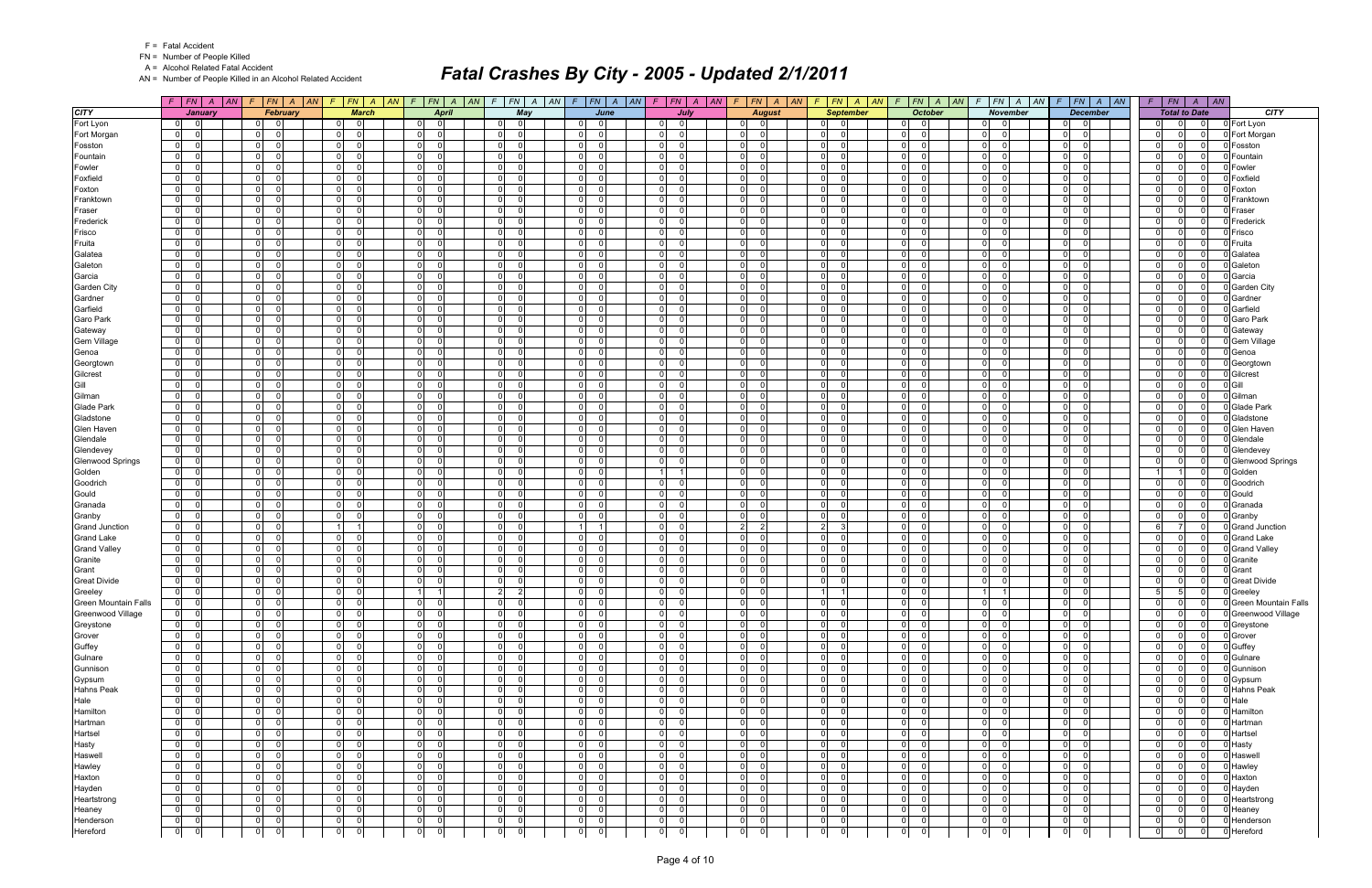FN = Number of People Killed

A = Alcohol Related Fatal Accident

AN = Number of People Killed in an Alcohol Related Accident

|                         |                                  |                                      | $F$   FN   A   AN   F   FN   A   AN   F   FN   A   AN | $F$ $FN$ $A$ $AN$                                        |                                                     | $F$   FN   A   AN   F   FN   A   AN   F   FN   A   AN   F   FN   A   AN |                                                 |                                         | $F$   $FN$   $A$   $AN$                   | $\sqrt{F}$                              | $ FN $ A $ AN $ F $ FN $ A $ AN $ | $F$ $ FN $ $A$ $ AN$       |                |                                              | $F$   $FN$   $A$   $AN$               |
|-------------------------|----------------------------------|--------------------------------------|-------------------------------------------------------|----------------------------------------------------------|-----------------------------------------------------|-------------------------------------------------------------------------|-------------------------------------------------|-----------------------------------------|-------------------------------------------|-----------------------------------------|-----------------------------------|----------------------------|----------------|----------------------------------------------|---------------------------------------|
| <b>CITY</b>             | <b>January</b>                   | February                             | <b>March</b>                                          | <b>April</b>                                             | May                                                 | June                                                                    | July                                            | <b>August</b>                           | <b>September</b>                          | <b>October</b>                          | <b>November</b>                   | <b>December</b>            |                |                                              | <b>CITY</b><br><b>Total to Date</b>   |
| Fort Lyon               | 0 <br>$\Omega$                   | - 0<br>0 I                           | 0 <br>- 0                                             | $\Omega$<br>$\Omega$                                     | $\Omega$<br>$\Omega$                                | - 0<br>$\Omega$                                                         | $\Omega$<br>0                                   | $\Omega$<br>-01                         | $\overline{0}$                            | $\overline{0}$<br>01                    | $\overline{0}$                    | - 0<br>0                   |                | 01<br>$\Omega$                               | 0 Fort Lyon<br>- 0                    |
| Fort Morgan             | $\overline{0}$                   | $\Omega$<br>$\Omega$                 | $\overline{0}$<br>$\Omega$                            | $\Omega$<br>$\Omega$                                     | $\Omega$<br>$\Omega$                                | $\mathbf 0$<br>$\Omega$                                                 | $\overline{0}$                                  | $\overline{0}$<br>$\Omega$              | 0                                         | $\Omega$<br>$\mathbf 0$                 | $\overline{0}$<br>$\Omega$        | $\overline{0}$<br>$\Omega$ |                | $\overline{0}$                               | Fort Morgan<br>$\Omega$               |
| Fosston                 | $\mathbf 0$                      | $\overline{0}$<br>$\Omega$           | $\overline{0}$<br>$\Omega$                            | $\Omega$<br>$\Omega$                                     | $\overline{0}$<br>$\Omega$                          | $\mathbf 0$<br>$\Omega$                                                 | $\overline{0}$                                  | $\mathbf 0$<br>$\Omega$                 | 0                                         | $\overline{0}$<br>$\mathbf 0$           | $\overline{0}$                    | $\mathbf 0$<br>- 0         | 0              |                                              | $\Omega$<br>Fosston                   |
| Fountain                | $\mathbf 0$                      | 0 <br>$\Omega$                       | $\overline{0}$<br>$\Omega$                            | $\Omega$<br>- 0                                          | $\overline{0}$                                      | $\mathbf 0$<br>U                                                        | $\Omega$                                        | $\mathbf 0$<br>$\Omega$                 | $\mathbf 0$                               | $\Omega$<br>$\Omega$                    | $\overline{0}$                    | $\overline{0}$<br>-C       | 0              |                                              | Fountain<br>0                         |
| Fowler                  | $\mathbf 0$                      | $\Omega$<br>$\Omega$                 | $\overline{0}$<br>$\Omega$                            | $\Omega$<br>- 0                                          | $\overline{0}$<br>- വ                               | $\mathbf 0$<br>U                                                        | $\overline{0}$                                  | $\Omega$<br>$\Omega$                    | $\mathbf 0$                               | $\Omega$<br>$\Omega$                    | $\overline{0}$                    | $\Omega$<br>- 0            | 0              |                                              | 0 Fowler<br>- 0                       |
| Foxfield                | $\mathbf 0$                      | $\overline{0}$<br>$\Omega$           | $\overline{0}$<br>$\Omega$                            | $\Omega$<br>- 0                                          | $\overline{0}$<br>$\Omega$                          | $\overline{0}$<br>$\Omega$                                              | $\overline{0}$<br>$\Omega$                      | $\mathbf 0$<br>$\Omega$                 | 0                                         | $\Omega$<br>$\Omega$                    | $\overline{0}$<br>$\Omega$        | $\mathbf 0$<br>$\Omega$    |                | $\overline{0}$<br>U                          | Foxfield<br>$\Omega$                  |
| Foxton                  | $\mathbf 0$                      | $\mathbf 0$<br>$\Omega$              | $\overline{0}$<br>$\Omega$                            | $\Omega$<br>- 0                                          | $\overline{0}$<br>- 0                               | $\mathbf 0$<br>$\Omega$                                                 | $\overline{0}$                                  | $\mathbf 0$<br>$\Omega$                 | 0                                         | $\mathbf 0$<br>$\mathbf 0$              | $\mathbf 0$                       | $\Omega$<br>$\Omega$       | 0              |                                              | Foxton<br>- 0                         |
| Franktown               | $\mathbf 0$                      | $\Omega$<br>$\Omega$                 | $\overline{0}$<br>$\Omega$                            | $\Omega$<br>- 0                                          | $\Omega$                                            | $\Omega$<br>U                                                           | $\overline{0}$                                  | $\Omega$<br>$\Omega$                    | $\mathbf 0$                               | $\Omega$<br>$\Omega$                    | $\overline{0}$                    | $\mathbf 0$<br>$\Omega$    | 0              |                                              | <b>J</b> Franktowr<br>$\Omega$        |
| Fraser                  | $\mathbf 0$                      | $\overline{0}$<br>$\Omega$           | $\overline{0}$<br>$\Omega$                            | $\Omega$<br>- 0                                          | $\overline{0}$<br>$\Omega$                          | $\mathbf 0$<br>U                                                        | $\overline{0}$                                  | $\mathbf 0$<br>$\Omega$                 | $\mathbf 0$                               | $\Omega$<br>$\Omega$                    | $\overline{0}$                    | $\mathbf 0$<br>- 0         | 0              | U                                            | $\Omega$<br>0 Fraser                  |
| Frederick               | $\mathbf 0$                      | $\Omega$<br>$\Omega$                 | $\overline{0}$<br>$\Omega$                            | $\Omega$<br>- 0                                          | $\Omega$                                            | $\Omega$<br>U                                                           | $\overline{0}$                                  | $\mathbf 0$<br>$\Omega$                 | $\mathbf 0$                               | $\Omega$<br>$\Omega$                    | $\Omega$                          | $\mathbf 0$<br>$\Omega$    | 0              |                                              | D Frederick<br>$\Omega$               |
| Frisco                  | $\mathbf 0$                      | $\overline{0}$                       | $\overline{0}$<br>$\Omega$                            | $\Omega$<br>$\Omega$                                     | $\overline{0}$<br>$\Omega$                          | $\Omega$<br>$\Omega$                                                    | $\overline{0}$                                  | $\Omega$<br>$\Omega$                    | $\mathbf 0$                               | $\Omega$<br>$\Omega$                    | $\overline{0}$                    | $\mathbf 0$<br>$\sqrt{ }$  | 0              |                                              | $\Omega$<br>D Frisco                  |
| Fruita                  | $\mathbf 0$                      | 0 <br>$\Omega$                       | $\overline{0}$<br>$\Omega$                            | - O I<br>- 0                                             | $\overline{0}$                                      | $\mathbf 0$<br>U                                                        | $\overline{0}$                                  | $\mathbf 0$<br>$\Omega$                 | $\mathbf 0$                               | $\Omega$<br>$\Omega$                    | $\overline{0}$                    | - O I<br>- 0               | 0              | U                                            | 0 Fruita<br>0                         |
| Galatea                 | $\mathbf 0$                      | $\Omega$<br>$\Omega$                 | $\overline{0}$<br>$\Omega$                            | $\Omega$<br>- 0                                          | $\overline{0}$<br>$\Omega$                          | $\Omega$<br>$\Omega$                                                    | $\overline{0}$                                  | $\overline{0}$<br>$\Omega$              | $\mathbf 0$                               | $\Omega$<br>$\mathbf 0$                 | $\overline{0}$                    | $\overline{0}$<br>$\Omega$ | 0              |                                              | Galatea<br>$\Omega$                   |
| Galeton                 | $\mathbf 0$                      | $\overline{0}$<br>$\Omega$           | $\overline{0}$<br>$\Omega$                            | n I<br>- 0                                               | $\overline{0}$<br>റ                                 | $\Omega$<br>U                                                           | $\overline{0}$                                  | $\mathbf 0$<br>$\Omega$                 | 0                                         | $\Omega$<br>$\Omega$                    | $\overline{0}$                    | $\overline{0}$<br>- 0      | 0              |                                              | Galeton<br>- 0                        |
| Garcia                  | $\mathbf 0$                      | $\overline{0}$<br>$\Omega$           | $\overline{0}$<br>$\Omega$                            | $\Omega$<br>$\Omega$                                     | $\overline{0}$<br>$\Omega$                          | $\mathbf 0$<br>$\Omega$                                                 | $\overline{0}$                                  | $\mathbf 0$<br>$\Omega$                 | 0                                         | $\Omega$<br>$\mathbf 0$                 | $\Omega$                          | $\overline{0}$<br>$\Omega$ | 0              |                                              | 0 Garcia<br>$\Omega$                  |
| Garden City             | $\mathbf 0$                      | $\overline{0}$<br>$\Omega$           | $\overline{0}$<br>$\Omega$                            | $\Omega$<br>$\Omega$                                     | $\overline{0}$<br>- 0                               | $\mathbf 0$<br>$\Omega$                                                 | $\overline{0}$                                  | $\Omega$<br>$\Omega$                    | $\overline{0}$                            | $\overline{0}$<br>$\Omega$              | $\overline{0}$                    | - O I<br>-C                | 0              |                                              | <b>Garden City</b><br>$\Omega$        |
| Gardner                 | $\mathbf 0$                      | $\overline{0}$<br>$\Omega$           | $\overline{0}$<br>$\Omega$                            | $\Omega$<br>- 0                                          | $\overline{0}$<br>$\Omega$                          | $\Omega$<br>$\Omega$                                                    | $\overline{0}$                                  | $\overline{0}$<br>$\Omega$              | 0                                         | $\Omega$<br>$\Omega$                    | $\overline{0}$                    | $\overline{0}$<br>- 0      | 0              | U                                            | $\Omega$<br>Gardner                   |
| Garfield                | $\mathbf 0$                      | $\Omega$<br>$\Omega$                 | $\mathbf 0$<br>$\Omega$                               | n I<br>- 0                                               | $\Omega$<br>റ                                       | $\mathbf 0$<br>U                                                        | $\overline{0}$                                  | $\Omega$<br>$\Omega$                    | $\mathbf 0$                               | $\Omega$<br>$\overline{0}$              | $\mathbf 0$                       | - O I<br>- 0               | 0              |                                              | 0 Garfield<br>- 0                     |
| Garo Park               | $\overline{0}$                   | 0 <br>$\Omega$                       | $\overline{0}$<br>$\Omega$                            | $\Omega$<br>$\Omega$                                     | $\overline{0}$<br>$\Omega$                          | $\mathbf 0$<br>U                                                        | $\overline{0}$<br>$\Omega$                      | $\mathbf 0$<br>$\Omega$                 | 0                                         | $\Omega$<br>$\Omega$                    | $\overline{0}$                    | $\mathbf 0$<br>$\Omega$    | 0              |                                              | $\Omega$<br>Garo Park                 |
| Gateway                 | $\mathbf 0$                      | $\overline{0}$<br>$\Omega$           | $\overline{0}$<br>$\Omega$                            | $\mathbf 0$<br>- 0                                       | $\overline{0}$<br>- 0                               | $\mathbf 0$<br>$\Omega$                                                 | $\overline{0}$                                  | $\mathbf 0$<br>$\Omega$                 | $\mathbf 0$                               | $\overline{0}$<br>$\mathbf 0$           | $\mathbf 0$                       | $\mathbf 0$<br>$\Omega$    | 0              | n.                                           | 0 Gateway<br>- 0                      |
| <b>Gem Village</b>      | $\mathbf 0$                      | $\Omega$<br>$\Omega$                 | $\overline{0}$<br>$\Omega$                            | $\Omega$<br>- 0                                          | $\Omega$<br>$\Omega$                                | $\Omega$<br>$\Omega$                                                    | $\overline{0}$                                  | $\Omega$<br>$\Omega$                    | $\mathbf 0$                               | $\Omega$<br>$\Omega$                    | $\overline{0}$                    | $\mathbf 0$<br>$\Omega$    | 0              |                                              | $\Omega$<br>0 Gem Village             |
| Genoa                   | $\mathbf 0$                      | $\overline{0}$<br>$\Omega$           | $\overline{0}$<br>$\Omega$                            | $\Omega$<br>- 0                                          | $\overline{0}$<br>- 0                               | $\overline{0}$<br>U                                                     | $\overline{0}$<br>$\Omega$                      | $\mathbf 0$<br>$\Omega$                 | 0                                         | $\Omega$<br>$\overline{0}$              | $\overline{0}$                    | - O I<br>- 0               | 0              | $\Omega$                                     | 0 Genoa<br>$\Omega$                   |
| Georgtown               | $\mathbf 0$                      | $\overline{0}$<br>$\Omega$           | $\overline{0}$<br>$\Omega$                            | $\Omega$<br>$\Omega$                                     | $\overline{0}$<br>$\Omega$                          | $\Omega$<br>$\Omega$                                                    | $\overline{0}$<br>$\Omega$                      | $\mathbf 0$<br>$\Omega$                 | 0                                         | $\Omega$<br>$\mathbf 0$                 | $\overline{0}$                    | $\mathbf 0$<br>$\Omega$    | 0              |                                              | $\Omega$<br>0 Georgtown               |
| Gilcrest                | $\mathbf 0$                      | $\mathbf 0$<br>$\Omega$              | $\mathbf 0$<br>$\Omega$                               | $\Omega$<br>- 0                                          | $\overline{0}$<br>$\cap$                            | $\Omega$<br>U                                                           | $\mathbf 0$                                     | $\Omega$<br>$\Omega$                    | $\mathbf 0$                               | $\Omega$<br>$\Omega$                    | $\mathbf 0$                       | $\Omega$<br>-C             | 0              |                                              | 0 Gilcrest<br>$\Omega$                |
| Gill                    | $\mathbf 0$                      | $\overline{0}$<br>$\Omega$           | $\overline{0}$<br>$\Omega$                            | $\mathbf 0$<br>- 0                                       | $\overline{0}$<br>- 0                               | $\Omega$<br>$\Omega$                                                    | $\overline{0}$                                  | $\overline{0}$<br>$\Omega$              | 0                                         | $\Omega$<br>$\mathbf 0$                 | $\overline{0}$                    | $\overline{0}$<br>- 0      | 0              | $\Omega$                                     | 0 Gill<br>-01                         |
| Gilman                  | $\mathbf 0$                      | $\Omega$<br>$\Omega$                 | $\mathbf 0$                                           | $\Omega$<br>$\Omega$                                     | $\Omega$<br>- ೧                                     | $\mathbf 0$<br>U                                                        | $\Omega$                                        | $\Omega$<br>$\Omega$                    | $\mathbf 0$                               | $\Omega$<br>$\Omega$                    | $\mathbf 0$                       | $\Omega$<br>-C             | 0              |                                              | 0 Gilman<br>$\Omega$                  |
| <b>Glade Park</b>       | $\mathbf 0$                      | $\overline{0}$<br>$\Omega$           | $\overline{0}$<br>$\Omega$                            | $\Omega$<br>- 0                                          | $\overline{0}$<br>$\cap$                            | $\mathbf 0$<br>U                                                        | $\overline{0}$                                  | $\mathbf 0$<br>$\Omega$                 | 0                                         | $\Omega$<br>$\Omega$                    | $\overline{0}$                    | $\overline{0}$<br>- 0      | 0              |                                              | <b>Glade Park</b><br>$\Omega$         |
| Gladstone               | $\mathbf 0$                      | $\mathbf 0$<br>$\Omega$              | $\overline{0}$<br>$\Omega$                            | $\Omega$<br>- 0                                          | $\overline{0}$                                      | $\mathbf 0$<br>$\Omega$                                                 | $\mathbf 0$                                     | $\mathbf 0$<br>$\Omega$                 | $\mathbf 0$                               | $\mathbf 0$<br>$\mathbf 0$              | $\mathbf 0$                       | $\Omega$<br>-C             | 0              |                                              | Gladstone<br>$\Omega$                 |
| Glen Haven              | $\mathbf 0$                      | $\Omega$<br>$\Omega$                 | $\overline{0}$<br>$\Omega$                            | $\Omega$<br>- 0                                          | $\Omega$                                            | $\Omega$<br>U                                                           | $\overline{0}$                                  | $\Omega$<br>$\Omega$                    | $\mathbf 0$                               | $\Omega$<br>$\Omega$                    | $\overline{0}$                    | $\overline{0}$<br>$\Omega$ | 0              |                                              | O Glen Haven<br>$\Omega$              |
| Glendale                | $\mathbf 0$                      | $\overline{0}$<br>$\Omega$           | $\overline{0}$<br>$\Omega$                            | $\Omega$<br>- 0                                          | $\overline{0}$<br>$\Omega$                          | $\overline{0}$<br>U                                                     | $\overline{0}$                                  | $\mathbf 0$<br>$\Omega$                 | $\mathbf 0$                               | $\Omega$<br>$\Omega$                    | $\overline{0}$                    | $\mathbf 0$<br>- 0         | 0              | <sup>0</sup>                                 | $\Omega$<br>Glendale                  |
| Glendevey               | $\Omega$                         | $\overline{0}$<br>$\Omega$           | $\overline{0}$<br>$\Omega$                            | $\Omega$<br>- 0                                          | $\Omega$                                            | $\Omega$<br>U                                                           | $\overline{0}$                                  | $\overline{0}$<br>$\Omega$              | $\mathbf 0$                               | $\Omega$<br>$\Omega$                    | $\overline{0}$                    | $\mathbf 0$<br>$\Omega$    | 0              |                                              | 0 Glendevey<br>0                      |
| <b>Glenwood Springs</b> | $\mathbf 0$                      | $\overline{0}$                       | $\overline{0}$<br>$\Omega$                            | $\Omega$<br>$\Omega$                                     | $\overline{0}$<br>$\Omega$                          | $\Omega$<br>U                                                           | $\overline{0}$                                  | $\mathbf{O}$<br>$\Omega$                | $\mathbf 0$                               | $\Omega$<br>$\Omega$                    | $\overline{0}$                    | $\mathbf 0$<br>$\Omega$    | 0              |                                              | $\Omega$<br><b>Glenwood Springs</b>   |
| Golden                  | $\mathbf 0$                      | 0 <br>$\Omega$                       | $\overline{0}$<br>$\Omega$                            | - O I<br>- 0                                             | $\overline{0}$                                      | $\overline{0}$<br>U                                                     | <u>1</u>                                        | $\mathbf 0$<br>$\Omega$                 | $\mathbf 0$                               | $\Omega$<br>$\Omega$                    | $\overline{0}$                    | - O I<br>$\Omega$          | 11             |                                              | 0 Golden<br>$\Omega$                  |
| Goodrich                | $\mathbf 0$                      | $\Omega$<br>$\Omega$                 | $\overline{0}$<br>$\Omega$                            | $\Omega$<br>- 0                                          | $\overline{0}$<br>$\Omega$                          | $\mathbf 0$<br>U                                                        | $\overline{0}$                                  | $\Omega$<br>$\Omega$                    | $\mathbf 0$                               | $\Omega$<br>$\overline{0}$              | $\overline{0}$                    | $\Omega$<br>$\Omega$       | 0              |                                              | Goodrich<br>$\Omega$                  |
| Gould                   | $\mathbf 0$                      | $\overline{0}$<br>$\Omega$           | $\overline{0}$<br>$\Omega$                            | $\Omega$<br>- 0                                          | $\overline{0}$<br>$\cap$                            | $\Omega$<br>U                                                           | $\overline{0}$<br>$\Omega$                      | $\mathbf 0$<br>$\Omega$                 | 0                                         | $\Omega$<br>$\Omega$                    | $\overline{0}$                    | $\overline{0}$<br>$\Omega$ |                | $\overline{0}$                               | 0 Gould<br>$\Omega$                   |
| Granada                 | $\mathbf 0$                      | $\mathbf 0$                          | $\overline{0}$                                        | $\Omega$<br>$\Omega$                                     | $\overline{0}$                                      | $\mathbf 0$<br>$\Omega$                                                 | $\overline{0}$                                  | $\Omega$<br>$\Omega$                    | $\mathbf 0$                               | $\mathbf 0$<br>$\Omega$                 | $\mathbf 0$                       | $\Omega$<br>-C             | 0              |                                              | Granada<br>- 0                        |
| Granby                  | $\mathbf 0$                      | $\Omega$                             | $\overline{0}$<br>$\Omega$                            | $\Omega$<br>- 0                                          | $\Omega$                                            | $\Omega$<br>U                                                           | $\Omega$                                        | $\Omega$<br>$\Omega$                    | $\mathbf 0$                               | $\Omega$<br>$\Omega$                    | $\overline{0}$                    | $\overline{0}$<br>-C       | 0              |                                              | 0 Granby<br>$\Omega$                  |
| <b>Grand Junction</b>   | $\mathbf 0$                      | $\overline{0}$<br>$\Omega$           | $\vert$ 1                                             | $\Omega$<br>- 0                                          | $\overline{0}$                                      | $\overline{1}$                                                          | $\overline{0}$                                  | $\overline{2}$<br>2                     | $\vert$ 2                                 | $\Omega$<br>$\mathbf 0$                 | $\overline{0}$                    | $\overline{0}$<br>- 0      | $6 \mid$       |                                              | Grand Junction<br>$\Omega$            |
| <b>Grand Lake</b>       | $\mathbf 0$                      | $\Omega$<br>$\Omega$                 | $\overline{0}$<br>$\Omega$                            | n I<br>- 0                                               | $\overline{0}$<br>$\Omega$                          | $\Omega$<br>U                                                           | $\overline{0}$                                  | $\Omega$<br>$\Omega$                    | $\mathbf 0$                               | $\Omega$<br>$\mathbf 0$                 | $\mathbf 0$                       | - O I<br>- 0               | 0              |                                              | 0 Grand Lake<br>- 0                   |
| <b>Grand Valley</b>     | $\overline{0}$                   | 0 <br>$\Omega$                       | $\overline{0}$<br>$\Omega$                            | $\Omega$<br>$\Omega$                                     | $\overline{0}$<br>$\Omega$                          | $\mathbf 0$<br>$\Omega$                                                 | $\overline{0}$<br>$\Omega$                      | $\mathbf 0$<br>$\Omega$                 | 0                                         | $\Omega$<br>$\Omega$                    | $\overline{0}$                    | $\mathbf 0$<br>$\Omega$    |                | $\overline{0}$                               | $\Omega$<br><b>Grand Valley</b>       |
| Granite                 | $\mathbf 0$                      | 0 <br>$\Omega$                       | $\overline{0}$<br>$\Omega$                            | $\mathbf 0$<br>- 0                                       | 0 <br>- 0                                           | $\mathbf 0$<br>U                                                        | $\overline{0}$                                  | 0<br>$\Omega$                           | 0                                         | $\overline{0}$<br>$\Omega$              | $\mathbf 0$                       | $\mathbf 0$<br>$\Omega$    | 0              | <sup>n</sup>                                 | 0 Granite<br>0                        |
| Grant                   | $\mathbf 0$                      | $\Omega$<br>$\Omega$                 | $\overline{0}$<br>$\Omega$                            | $\Omega$<br>- 0                                          | $\Omega$<br>$\Omega$                                | $\Omega$<br>U                                                           | $\overline{0}$                                  | $\Omega$<br>$\Omega$                    | $\mathbf 0$                               | $\Omega$<br>$\Omega$                    | $\overline{0}$                    | $\overline{0}$<br>$\Omega$ | 0              |                                              | $\Omega$<br>0 Grant                   |
| <b>Great Divide</b>     | $\mathbf 0$                      | 0 <br>- 0                            | $\overline{0}$<br>$\Omega$                            | $\Omega$<br>- 0                                          | 0 <br>- 0                                           | $\overline{0}$<br>U                                                     | 0 <br>0                                         | $\mathbf 0$<br>$\Omega$                 | 0                                         | $\Omega$<br>$\overline{0}$              | $\mathbf 0$                       | - O I<br>- 0               | 0              | <sup>n</sup>                                 | <b>Great Divide</b><br>$\Omega$       |
| Greeley                 | $\mathbf 0$                      | 0 <br>$\Omega$                       | $\overline{0}$<br>$\Omega$                            |                                                          | $\overline{2}$<br>$\overline{2}$                    | $\mathbf 0$<br>$\Omega$                                                 | $\overline{0}$<br>$\Omega$                      | $\mathbf 0$<br>$\Omega$                 | 1                                         | $\overline{0}$<br>$\mathbf 0$           |                                   | $\mathbf 0$<br>$\Omega$    | 5 <sup>1</sup> | 5                                            | 0 Greeley<br>-01                      |
| Green Mountain Falls    | ol<br> 0                         | $\mathbf{0}$<br> 0                   | 0 <br>$\mathbf{0}$                                    | $\mathbf 0$<br>$\mathbf 0$                               | 0 <br>$\overline{0}$                                | 0<br>$\mathbf{0}$                                                       | 0 <br>0                                         | $\Omega$<br> 0                          | 0                                         | $\mathbf{0}$<br>$\mathbf 0$             | 0 <br>$\mathbf 0$                 | 0<br>$\mathbf 0$           | 0              | $\Omega$                                     | 0 Green Mountain Falls                |
| Greenwood Village       | $\overline{0}$<br>$\Omega$       | 0 <br>ol                             | 0 <br>$\Omega$                                        | $\overline{0}$<br>$\overline{0}$                         | $\overline{0}$<br>$\overline{0}$                    | $\overline{0}$<br>$\Omega$                                              | 0 <br>$\overline{\mathbf{0}}$                   | 0 <br>$\overline{0}$                    | $\overline{0}$<br>$\overline{0}$          | 0 <br>$\overline{0}$                    | $0$ 0                             | 0 <br>$\mathbf 0$          |                | $\overline{0}$<br>$\overline{0}$             | 0 Greenwood Village<br>$\overline{0}$ |
| Greystone               | $\overline{0}$<br>$\overline{0}$ | 0 <br>- Ol                           | $\overline{0}$<br>$\overline{\mathbf{0}}$             | $\overline{0}$<br>$\mathbf 0$                            | 0 <br>- 01                                          | $\overline{0}$<br>$\Omega$                                              | $\overline{0}$<br>0                             | $\mathbf 0$<br>$\Omega$                 | $\overline{0}$<br>$\overline{0}$          | 0 <br>$\mathbf 0$                       | $\overline{0}$<br>$\overline{0}$  | 0 <br>0                    | 0              | $\Omega$                                     | 0 Greystone<br>$\Omega$               |
| Grover                  | 0 <br>$\Omega$                   | $\overline{0}$<br> 0                 | 0 <br>$\overline{\phantom{0}}$ 0                      | $\overline{0}$<br>- Ol                                   | 0 <br>$\overline{\mathbf{0}}$                       | $\overline{0}$<br>$\Omega$                                              | 0 <br>$\Omega$                                  | 0 <br>$\overline{0}$                    | 0 <br>$\overline{0}$                      | 0 <br>$\overline{0}$                    | $\overline{0}$<br>$\Omega$        | 0 <br>$\overline{0}$       |                | $\overline{0}$<br>$\Omega$                   | $\Omega$<br>0 Grover                  |
| Guffey                  | $\overline{0}$                   | 0 <br>$\Omega$                       | 0 <br>$\Omega$                                        | $\mathbf 0$<br>$\mathbf 0$                               | $\overline{0}$<br>$\overline{\phantom{0}}$ 0        | $\mathbf 0$<br>$\Omega$                                                 | $\overline{0}$<br>$\overline{0}$                | 0 <br>$\mathbf 0$                       | $\overline{0}$                            | 0 <br>$\mathbf 0$                       | 0 <br>$\Omega$                    | 0 <br>$\Omega$             |                | $\overline{0}$<br>0                          | 0 Guffey<br>$\Omega$                  |
| Gulnare                 | 0                                | 0l<br>- Ol                           | 0 <br>$\overline{\mathbf{0}}$                         | $\overline{0}$<br>- Ol                                   | $\overline{0}$<br>$\overline{\phantom{0}}$ 0        | $\overline{0}$<br>$\Omega$                                              | 0 <br>$\overline{\mathbf{0}}$                   | $\mathbf{0}$<br>$\overline{0}$          | $\overline{0}$<br>- 0                     | $\overline{0}$<br>$\mathbf 0$           | $\overline{0}$<br>$\overline{0}$  | $\mathbf{0}$<br>0          | 0              | $\Omega$                                     | 0 Gulnare<br>- 0                      |
| Gunnison                | $\overline{0}$                   | 0 <br>- 0                            | 0 <br>$\overline{\mathbf{0}}$                         | 0l<br>$\mathbf 0$                                        | $\overline{0}$<br>- 01                              | $\overline{0}$<br>$\Omega$                                              | 0 <br>0                                         | 0 <br>$\Omega$                          | $\overline{0}$<br>- 0                     | 0 <br>$\mathbf 0$                       | $\overline{0}$<br>- 0             | 0 <br>0                    |                | $\overline{0}$<br>$\Omega$                   | 0 Gunnison<br>- 0                     |
| Gypsum                  | $\overline{0}$                   | 0 <br>$\Omega$                       | 0 <br>- Ol                                            | 0l<br>- Ol                                               | 0 <br>- Ol                                          | $\overline{0}$<br>$\Omega$                                              | 0 <br>$\Omega$                                  | 0 <br>$\overline{0}$                    | $\overline{0}$<br>- 0                     | $\overline{0}$<br>$\mathbf 0$           | $\overline{0}$<br>$\Omega$        | 0 <br>0                    |                | $\overline{0}$<br>$\Omega$                   | 0 Gypsum<br>$\Omega$                  |
| <b>Hahns Peak</b>       | $\overline{0}$                   | $\overline{0}$<br>$\Omega$           | 0 <br>$\Omega$                                        | $\mathbf 0$<br>$\Omega$                                  | 0 <br>$\overline{\phantom{0}}$                      | $\overline{0}$<br>$\Omega$                                              | $\overline{0}$<br>$\Omega$                      | 0 <br>$\Omega$                          | $\overline{0}$                            | $\overline{0}$<br>$\mathbf 0$           | 0 <br>$\Omega$                    | 0 <br>$\Omega$             |                | $\overline{0}$                               | $\Omega$<br>0 Hahns Peak              |
| Hale                    | 0                                | 0 <br>$\Omega$                       | 0 <br>$\overline{\mathbf{0}}$                         | $\overline{0}$<br> 0                                     | $\overline{0}$<br>- 01                              | $\overline{0}$<br>$\Omega$                                              | 0 <br>$\Omega$                                  | 0 <br>$\overline{0}$                    | $\overline{0}$                            | 0 <br>$\mathbf 0$                       | 0 <br>$\Omega$                    | 0 <br>$\mathbf 0$          |                | $\overline{0}$<br>$\Omega$                   | 0 Hale<br>$\overline{0}$              |
| Hamilton                | $\overline{0}$                   | $\mathbf 0$<br>$\Omega$              | $\overline{0}$<br>$\overline{0}$                      | $\mathbf 0$<br>$\Omega$                                  | 0 <br>$\overline{\mathbf{0}}$                       | $\overline{0}$<br>$\Omega$                                              | $\overline{0}$<br>$\Omega$                      | $\mathbf 0$<br>$\Omega$                 | 0 <br>- 0                                 | $\overline{0}$<br>$\mathbf 0$           | 0 <br>$\Omega$                    | 0 <br>$\Omega$             | 0              |                                              | 0 Hamilton<br>$\Omega$                |
| Hartman                 | 0                                | 0 <br>- 0                            | 0 <br>$\overline{\mathbf{0}}$<br>$\Omega$             | 0l<br>- Ol<br>$\Omega$                                   | 0 <br>- 01                                          | $\overline{0}$<br>$\Omega$<br>$\Omega$                                  | 0 <br>$\Omega$                                  | 0 <br>$\overline{0}$                    | $\overline{0}$<br>- 0                     | 0 <br>$\mathbf 0$                       | $\overline{0}$<br>- 0             | 0 <br>0                    |                | $\overline{0}$                               | 0 Hartman<br>$\Omega$                 |
| Hartsel                 | $\overline{0}$                   | 0 <br>$\Omega$                       | $\overline{0}$                                        | $\mathbf 0$                                              | 0 <br>$\overline{\phantom{0}}$                      | $\overline{0}$                                                          | $\overline{0}$                                  | $\mathbf 0$<br>$\Omega$                 | $\overline{0}$                            | $\overline{0}$<br>$\mathbf 0$           | $\overline{0}$                    | $\mathbf 0$<br>$\Omega$    |                | $\overline{0}$                               | 0 Hartsel<br>0                        |
| Hasty                   | $\mathbf 0$                      | 0 <br>$\Omega$                       | 0 <br>$\overline{\mathbf{0}}$                         | $\mathbf 0$<br>- Ol                                      | 0 <br>$\Omega$                                      | $\mathbf 0$<br>$\Omega$<br>$\Omega$                                     | 0 <br>$\Omega$                                  | 0 <br>$\overline{0}$                    | $\overline{0}$                            | 0 <br>$\mathbf 0$                       | 0 <br>$\overline{0}$              | 0 <br>0                    |                | $\overline{0}$<br>$\Omega$<br>$\Omega$       | 0 Hasty<br>$\Omega$<br>$\Omega$       |
| Haswell                 | $\overline{0}$                   | 0 <br>$\Omega$                       | 0 <br>$\overline{0}$                                  | $\overline{0}$<br>$\Omega$                               | $\overline{0}$<br>$\overline{\phantom{0}}$ 0        | $\overline{0}$<br>$\overline{0}$                                        | 0 <br>$\Omega$                                  | 0 <br>$\overline{0}$                    | $\overline{0}$<br>- 0                     | 0 <br>$\mathbf 0$                       | 0 <br>$\Omega$<br>$\Omega$        | 0 <br>$\Omega$             |                | $\overline{0}$                               | 0 Haswell<br>0 Hawley                 |
| Hawley                  | $\overline{0}$                   | 0 <br>$\Omega$                       | $\overline{0}$<br>$\overline{\mathbf{0}}$<br>ol       | $\overline{0}$<br>- Ol                                   | $\overline{0}$<br>$\Omega$                          | $\Omega$<br>$\Omega$                                                    | $\overline{0}$<br>$\Omega$                      | $\mathbf 0$<br>$\overline{0}$<br> 0     | $\overline{0}$<br>- 0                     | $\overline{0}$<br>$\mathbf 0$           | $\overline{0}$<br>$\Omega$        | 0 <br>$\Omega$             |                | $\overline{0}$<br>$\Omega$<br>$\Omega$       | 0                                     |
| Haxton                  | $\overline{0}$<br>$\mathbf 0$    | 0 <br>$\mathbf 0$<br> 0 <br>$\Omega$ | 0 <br> 0 <br>- Ol                                     | $\overline{0}$<br>$\mathbf 0$<br>$\mathbf 0$<br>$\Omega$ | 0 <br>$\overline{\phantom{0}}$ 0<br> 0 <br>$\Omega$ | 0 <br>$\mathbf 0$<br>$\Omega$                                           | 0 <br>$\mathbf 0$<br>$\overline{0}$<br>$\Omega$ | $\overline{0}$<br> 0 <br>$\overline{0}$ | $\overline{0}$<br>$\overline{0}$          | 0 <br>$\mathbf 0$<br> 0 <br>$\mathbf 0$ | 0 <br> 0 <br>$\Omega$             | 0 <br>0<br> 0 <br>$\Omega$ |                | $\overline{0}$<br>$\overline{0}$<br>$\Omega$ | 0 Haxton<br>$\Omega$<br>- 0           |
| Hayden<br>Heartstrong   | $\mathbf 0$                      | $\overline{0}$<br>$\Omega$           | $\overline{0}$<br>$\Omega$                            | $\Omega$<br>$\Omega$                                     | $\overline{0}$<br>- 0                               | $\mathbf 0$<br>$\Omega$                                                 | $\overline{0}$<br>$\Omega$                      | $\overline{0}$<br>$\Omega$              | 0                                         | $\overline{0}$<br>$\mathbf 0$           | $\overline{0}$<br>$\Omega$        | $\overline{0}$<br>$\Omega$ | 0              |                                              | 0 Hayden<br>0 Heartstrong<br>$\Omega$ |
| Heaney                  | $\overline{0}$                   | 0 <br>$\Omega$                       | 0 <br>$\overline{\mathbf{0}}$                         | 0 I<br>$\mathbf 0$                                       | $\overline{0}$<br>- 01                              | $\overline{0}$<br>$\Omega$                                              | 0 <br>0                                         | 0 <br> 0                                | $\overline{0}$<br>$\overline{\mathbf{0}}$ | 0 <br>$\mathbf 0$                       | $\overline{0}$<br>0               | 0 <br>0                    |                | $\overline{0}$<br>$\Omega$                   | 0 Heaney<br>$\Omega$                  |
| Henderson               | $\mathbf 0$                      | $\overline{0}$<br>$\Omega$           | 0 <br>$\Omega$                                        | $\mathbf 0$<br>$\mathbf 0$                               | 0 <br>$\overline{\mathbf{0}}$                       | $\overline{0}$<br>$\Omega$                                              | $\overline{0}$<br>$\Omega$                      | $\mathbf 0$<br>$\Omega$                 | $\overline{0}$                            | $\overline{0}$<br>$\mathbf 0$           | $\overline{0}$<br>$\Omega$        | $\mathbf 0$<br>$\Omega$    |                | $\overline{0}$<br>$\Omega$                   | $\Omega$<br>0 Henderson               |
| Hereford                | $\overline{0}$<br> 0             | $\mathbf{0}$<br> 0                   | $\overline{0}$<br>$\mathbf{0}$                        | 0 <br>$\overline{0}$                                     | 0 <br>$\vert$ 0                                     | $\mathbf 0$<br>$\mathbf 0$                                              | $\mathbf{0}$<br>0                               | $\overline{0}$<br> 0                    | $\overline{\mathbf{0}}$<br>0              | $\mathbf{0}$<br>$\mathbf 0$             | $\mathbf{0}$<br>$\mathbf 0$       | $\overline{0}$<br>0        |                | $\overline{0}$<br>$\overline{0}$             | 0 Hereford<br> 0                      |
|                         |                                  |                                      |                                                       |                                                          |                                                     |                                                                         |                                                 |                                         |                                           |                                         |                                   |                            |                |                                              |                                       |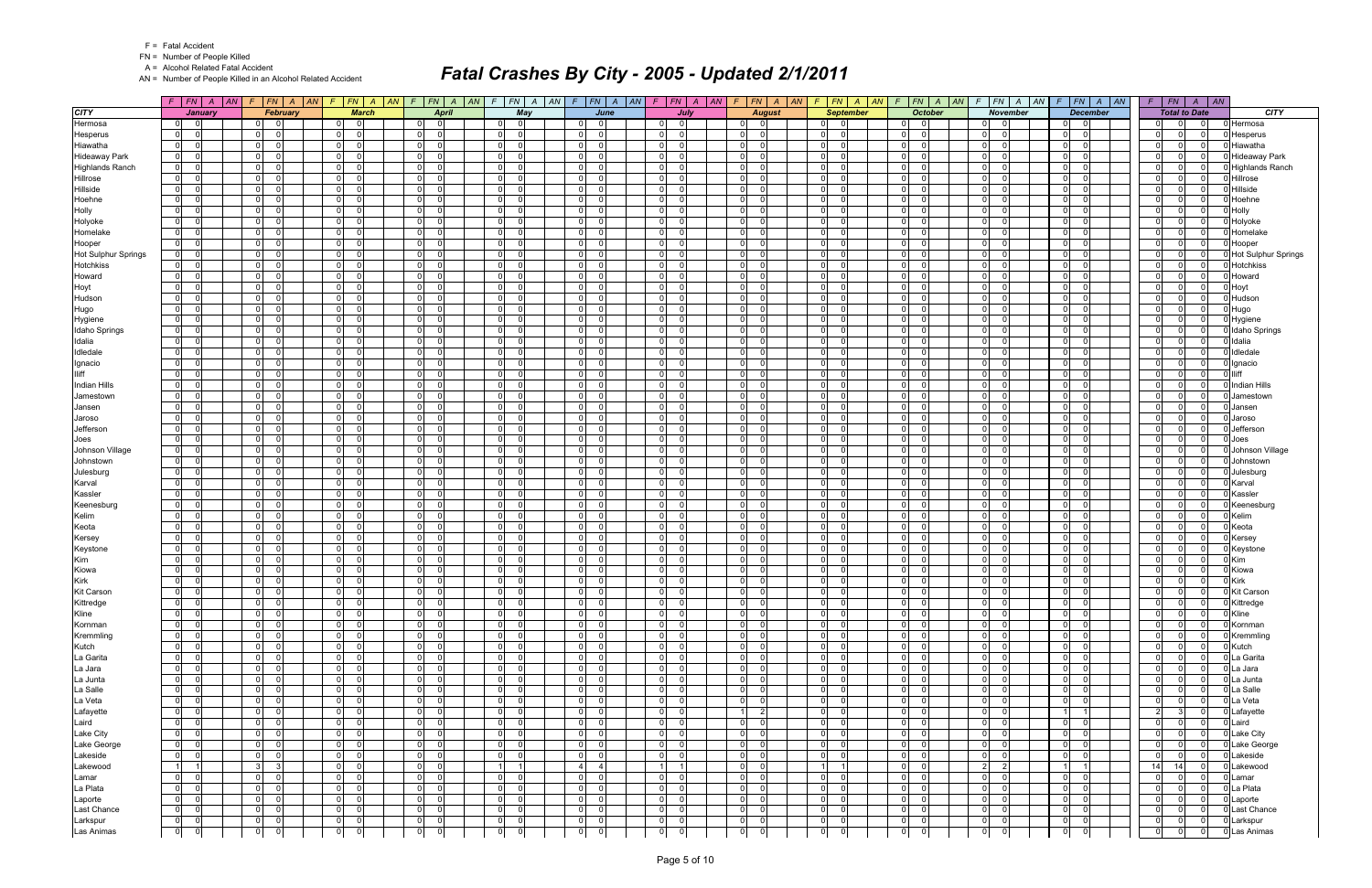| <b>Fatal Accident</b> |  |
|-----------------------|--|
|-----------------------|--|

A = Alcohol Related Fatal Accident

AN = Number of People Killed in an Alcohol Related Accident

|                         | $F$   $FN$   A                                                        | AN      | FN A AN                          | $F N$ $A$<br>$\vert AN$                      | $FN \mid A$<br> AN <br>$\sqrt{F}$       | $FN$ $A$<br>$\mathcal{F}$                    | $F$ $FN$ $A$<br> AN <br> AN                              | $F$ $FN$ $A$<br> AN                    | $FN \mid A$<br> AN<br>F                       | $F$ $FN$ $A$ $AN$                          | F N A<br>$\mathcal{F}$<br> AN             | $ FN A $ AN<br>F                                         | $ FN $ $A$ $ M$<br>$\sqrt{F}$                   | $\overline{AB}$<br>$\vert$ FN<br>$\overline{A}$    |                                |
|-------------------------|-----------------------------------------------------------------------|---------|----------------------------------|----------------------------------------------|-----------------------------------------|----------------------------------------------|----------------------------------------------------------|----------------------------------------|-----------------------------------------------|--------------------------------------------|-------------------------------------------|----------------------------------------------------------|-------------------------------------------------|----------------------------------------------------|--------------------------------|
| <b>CITY</b>             |                                                                       | January | <b>February</b>                  | <b>March</b>                                 | <b>April</b>                            | May                                          | June                                                     | July                                   | <b>August</b>                                 | <b>September</b>                           | <b>October</b>                            | <b>November</b>                                          | <b>December</b>                                 | <b>Total to Date</b>                               | <b>CITY</b>                    |
| Hermosa                 | 0 <br> 0                                                              |         | $\Omega$                         | 0 <br>$\Omega$                               | $\overline{0}$<br>$\Omega$              | $\Omega$<br>$\Omega$                         | $\Omega$<br>$\overline{0}$                               | $\overline{0}$<br>$\Omega$             | 0 <br>$\Omega$                                | $\overline{0}$<br>$\Omega$                 | $\Omega$<br> 0                            | $\overline{0}$                                           | - 0<br>$\Omega$                                 | $\overline{0}$<br>$\Omega$<br>$\Omega$             | Hermosa                        |
| Hesperus                | $\overline{0}$<br>$\Omega$                                            |         | $\Omega$<br>$\Omega$             | $\overline{0}$<br>$\Omega$                   | $\Omega$<br>$\Omega$                    | $\Omega$<br>$\Omega$                         | $\overline{0}$<br>$\Omega$                               | $\overline{0}$<br>$\Omega$             | 0 <br>$\Omega$                                | 0 <br>- 0                                  | $\Omega$<br>$\Omega$                      | $\overline{0}$<br>$\Omega$                               | $\Omega$<br>$\Omega$                            | $\Omega$<br>0<br>$\Omega$                          | Hesperus                       |
| Hiawatha                | 0 <br>$\Omega$                                                        |         | $\overline{0}$<br>$\Omega$       | 0 <br>$\Omega$                               | $\overline{0}$<br>$\Omega$              | 0 <br>$\Omega$                               | 0 <br>$\Omega$                                           | $\overline{0}$<br>$\Omega$             | 0 <br>$\Omega$                                | 0 <br>- 0                                  | 0 <br>$\overline{0}$                      | $\overline{0}$<br>$\Omega$                               | 0 I<br>$\Omega$                                 | - Ol<br>$\Omega$<br>- 0                            | Hiawatha                       |
| <b>Hideaway Park</b>    | $\overline{0}$<br>$\overline{0}$                                      |         | $\overline{0}$<br>$\Omega$       | $\overline{0}$<br>$\Omega$                   | $\Omega$<br>- 0                         | $\overline{0}$                               | $\mathbf 0$<br>$\Omega$                                  | $\overline{0}$                         | 0 <br>$\Omega$                                | $\overline{0}$                             | $\overline{0}$<br> 0                      | $\mathbf 0$<br>$\Omega$                                  | $\Omega$<br>$\Omega$                            | $\Omega$<br>0<br>0                                 | <b>Hideaway Park</b>           |
| <b>Highlands Ranch</b>  | $\overline{0}$<br>$\Omega$                                            |         | 0 <br>$\Omega$                   | $\overline{0}$<br>$\Omega$                   | $\Omega$<br>- 0                         | $\Omega$<br>$\Omega$                         | $\Omega$<br><sup>0</sup>                                 | $\overline{0}$                         | $\mathbf{0}$<br>$\Omega$                      | $\overline{0}$                             | $\Omega$<br> 0                            | $\overline{0}$<br>$\Omega$                               | $\overline{0}$<br>$\Omega$                      | $\Omega$<br>$\Omega$<br>$\Omega$                   | <b>Highlands Ranch</b>         |
| Hillrose                | $\overline{0}$<br>$\overline{0}$                                      |         | 0 <br>$\Omega$                   | $\overline{0}$<br>$\Omega$                   | $\Omega$<br>- 0                         | $\overline{0}$<br>$\Omega$                   | $\overline{0}$<br><sup>0</sup>                           | 0 <br>$\Omega$                         | 0 <br>$\Omega$                                | $\overline{0}$<br>ി                        | $\Omega$<br>$\Omega$                      | $\overline{0}$<br><sup>n</sup>                           | - O I<br>$\Omega$                               | $\Omega$<br>0<br>$\Omega$                          | Hillrose                       |
| Hillside                | $\overline{0}$<br>$\Omega$                                            |         | 0 <br>$\Omega$                   | $\overline{0}$<br>$\Omega$                   | $\Omega$<br>$\Omega$                    | $\overline{0}$<br>$\Omega$                   | $\overline{0}$<br><sup>0</sup>                           | 0 <br>$\Omega$                         | 0 <br>$\Omega$                                | $\overline{0}$<br>$\Omega$                 | -ol<br>$\Omega$                           | $\overline{0}$<br>$\Omega$                               | - Ol<br>$\Omega$                                | -ol<br>$\Omega$<br>$\Omega$                        | Hillside                       |
| Hoehne                  | $\mathbf 0$<br>$\Omega$                                               |         | 0 <br>$\Omega$                   | $\overline{0}$<br>$\Omega$                   | $\Omega$<br>$\Omega$                    | $\overline{0}$<br>$\Omega$                   | $\mathbf 0$<br>$\Omega$                                  | $\overline{0}$                         | 0 <br>$\Omega$                                | $\overline{0}$                             | $\overline{0}$<br>$\Omega$                | $\mathbf 0$<br><sup>0</sup>                              | $\overline{0}$<br>$\Omega$                      | $\Omega$<br>0<br>$\Omega$                          | Hoehne                         |
| Holly                   | $\overline{0}$<br>$\Omega$                                            |         | 0 <br>$\Omega$                   | 0 <br>$\Omega$                               | $\mathbf 0$<br>$\Omega$                 | $\overline{0}$<br>$\Omega$                   | $\overline{0}$<br><sup>0</sup>                           | $\overline{0}$<br>$\Omega$             | $\mathbf{0}$<br>$\Omega$                      | $\overline{0}$                             | 0 <br>-01                                 | $\overline{0}$<br>$\Omega$                               | $\overline{0}$<br>$\Omega$                      | -ol<br>$\Omega$<br>$\Omega$                        | Holly                          |
| Holyoke                 | $\mathbf 0$<br>$\Omega$                                               |         | $\Omega$<br>$\Omega$             | $\overline{0}$<br>$\Omega$                   | $\Omega$<br>- 0                         | $\overline{0}$<br>$\Omega$                   | $\overline{0}$<br>$\Omega$                               | 0 <br>$\Omega$                         | -ol<br>$\Omega$                               | $\overline{0}$<br>- 0                      | $\Omega$<br>$\overline{0}$                | $\mathbf 0$<br><sup>0</sup>                              | $\Omega$<br>$\Omega$                            | $\Omega$<br>0<br>$\Omega$                          | Holyoke                        |
| Homelake                | 0 <br>$\Omega$                                                        |         | 0 <br>$\Omega$                   | 0 <br>$\Omega$                               | $\overline{0}$<br>$\Omega$              | 0 <br>$\Omega$                               | 0 <br>$\Omega$                                           | 0 <br>$\Omega$                         | 0 <br>$\Omega$                                | 0 <br>- 0                                  | $\Omega$<br>$\Omega$                      | $\overline{0}$<br>$\Omega$                               | 0 I<br>$\Omega$                                 | - Ol<br>$\Omega$<br>$\Omega$                       | Homelake                       |
| Hooper                  | $\overline{0}$<br>$\Omega$                                            |         | $\overline{0}$<br>$\Omega$       | $\overline{0}$<br>$\Omega$                   | $\Omega$<br>$\Omega$                    | $\overline{0}$                               | $\mathbf 0$<br><sup>0</sup>                              | $\overline{0}$                         | 0 <br>$\Omega$                                | $\overline{0}$                             | $\overline{0}$<br>$\Omega$                | $\mathbf 0$<br>$\Omega$                                  | $\Omega$<br><sup>0</sup>                        | $\Omega$<br>0                                      | Hooper                         |
| Hot Sulphur Springs     | 0 <br>$\Omega$                                                        |         | $\Omega$<br>$\Omega$             | $\overline{0}$<br>$\Omega$                   | $\Omega$<br>$\Omega$                    | $\overline{0}$                               | $\Omega$<br><sup>0</sup>                                 | $\overline{0}$                         | -01<br>$\Omega$                               | $\overline{0}$<br>$\Omega$                 | $\Omega$<br>$\Omega$                      | $\Omega$<br><sup>n</sup>                                 | - O I<br>$\Omega$                               | -01<br>0<br>$\Omega$                               | <b>Hot Sulphur Springs</b>     |
| <b>Hotchkiss</b>        | $\overline{0}$<br>$\Omega$                                            |         | $\Omega$<br>$\Omega$             | $\overline{0}$<br>$\Omega$                   | $\Omega$<br>- 0                         | 0 <br>$\Omega$                               | $\overline{0}$<br>$\Omega$                               | 0 <br>n                                | 0 <br>$\Omega$                                | $\overline{0}$<br>$\Omega$                 | 0 <br>$\overline{0}$                      | 0 <br>$\Omega$                                           | - O I<br>$\Omega$                               | -01<br>$\Omega$<br>- 0                             | Hotchkiss                      |
| Howard                  | $\overline{0}$<br>$\Omega$                                            |         | 0 <br>$\Omega$                   | $\overline{0}$<br>$\Omega$                   | $\Omega$<br>- 0                         | $\overline{0}$<br>$\Omega$                   | $\overline{0}$<br><sup>0</sup>                           | 0 <br>$\Omega$                         | 0 <br>$\Omega$                                | $\overline{0}$<br>- 0                      | $\Omega$<br>$\overline{\mathbf{0}}$       | $\overline{0}$<br>$\Omega$                               | $\overline{0}$<br>$\Omega$                      | -01<br>0<br>- 0                                    | Howard                         |
| Hoyt                    | $\overline{0}$<br>$\Omega$                                            |         | 0 <br>$\Omega$                   | 0 <br>$\Omega$                               | $\Omega$<br>$\Omega$                    | $\overline{0}$<br>$\Omega$                   | $\mathbf 0$<br><sup>0</sup>                              | 0                                      | 0 <br>$\Omega$                                | $\overline{0}$<br>$\Omega$                 | $\Omega$<br>$\Omega$                      | $\mathbf 0$<br>$\Omega$                                  | $\overline{0}$<br>$\Omega$                      | $\Omega$<br>$\Omega$<br>$\Omega$                   | Hoyt                           |
| Hudson                  | $\overline{0}$<br>$\Omega$                                            |         | 0 <br>$\Omega$                   | $\overline{0}$<br>$\Omega$                   | $\Omega$<br>- 0                         | $\overline{0}$                               | $\mathbf 0$<br><sup>0</sup>                              | $\overline{0}$                         | 0 <br>$\Omega$                                | $\overline{0}$                             | $\overline{0}$<br> 0                      | $\mathbf 0$<br>$\Omega$                                  | $\overline{0}$<br>$\Omega$                      | -01<br>0<br>$\Omega$                               | Hudson                         |
| Hugo                    | 0                                                                     |         | $\Omega$<br>$\Omega$             | $\overline{0}$<br>$\Omega$                   | $\Omega$<br>$\Omega$                    | $\overline{0}$<br>$\Omega$                   | $\overline{0}$<br><sup>0</sup>                           | 0 <br>$\Omega$                         | -ol<br>$\Omega$                               | $\overline{0}$<br>$\Omega$                 | $\Omega$<br>$\Omega$                      | $\mathbf 0$<br>$\Omega$                                  | $\Omega$<br>$\Omega$                            | - Ol<br>$\Omega$<br>$\Omega$                       | Hugo                           |
| Hygiene                 | 0 <br>$\Omega$                                                        |         | 0 <br>$\Omega$                   | 0 <br>$\Omega$                               | $\Omega$<br>$\Omega$                    | $\overline{0}$<br>$\Omega$                   | $\overline{0}$<br><sup>0</sup>                           | 0 <br>$\Omega$                         | 0 <br>$\Omega$                                | 0 <br>- 0                                  | $\Omega$<br>$\Omega$                      | $\overline{0}$<br>$\Omega$                               | 0 I<br>$\Omega$                                 | -01<br>0<br>- 0                                    | Hygiene                        |
| Idaho Springs           | $\overline{0}$<br>$\Omega$                                            |         | $\Omega$                         | $\overline{0}$<br>$\Omega$                   | $\Omega$<br>$\Omega$                    | $\overline{0}$                               | $\mathbf 0$<br>U                                         | $\overline{0}$                         | $\Omega$<br>$\Omega$                          | $\overline{0}$                             | $\Omega$<br>$\Omega$                      | $\mathbf 0$<br>$\Omega$                                  | $\Omega$<br>$\Omega$                            | $\Omega$<br>U                                      | <b>Idaho Springs</b>           |
| Idalia                  | $\mathbf 0$<br>$\Omega$                                               |         | $\Omega$<br>$\Omega$             | $\overline{0}$<br>$\Omega$                   | $\Omega$<br>- 0                         | $\Omega$                                     | $\mathbf 0$<br><sup>0</sup>                              | $\overline{0}$                         | $\mathbf{0}$<br>$\Omega$                      | $\overline{0}$                             | $\Omega$<br>$\Omega$                      | $\Omega$<br><sup>n</sup>                                 | $\overline{0}$<br>$\Omega$                      | -01<br>$\Omega$<br>$\Omega$                        | Idalia                         |
| Idledale                | $\mathbf 0$<br>$\Omega$                                               |         | $\Omega$<br>$\Omega$             | $\overline{0}$<br>$\Omega$                   | $\Omega$<br>$\Omega$                    | 0 <br>$\Omega$                               | $\overline{0}$<br><sup>0</sup>                           | 0 <br>$\Omega$                         | 0 <br>$\Omega$                                | $\overline{0}$<br>$\Omega$                 | $\Omega$<br>-ol                           | $\mathbf 0$<br>$\Omega$                                  | - Ol<br>$\Omega$                                | -ol<br>$\Omega$<br>$\Omega$                        | Idledale                       |
| Ignacio                 | $\mathbf 0$<br>$\Omega$                                               |         | $\Omega$<br>$\Omega$             | $\overline{0}$<br>$\Omega$                   | $\Omega$<br>- 0                         | $\Omega$<br>$\Omega$                         | $\mathbf 0$<br><sup>0</sup>                              | 0 <br>$\Omega$                         | -ol<br>$\Omega$                               | $\overline{0}$<br>- 0                      | $\Omega$<br>$\overline{\mathbf{0}}$       | $\overline{0}$<br>$\Omega$                               | $\overline{0}$<br>$\Omega$                      | -01<br>0<br>$\Omega$                               | Ignacio                        |
| lliff                   | $\overline{0}$<br>$\Omega$                                            |         | 0 <br>$\Omega$                   | $\overline{0}$<br>$\Omega$                   | $\Omega$<br>$\Omega$                    | $\overline{0}$<br>$\Omega$                   | $\mathbf 0$<br><sup>0</sup>                              | 0                                      | 0 <br>$\Omega$                                | $\overline{0}$                             | $\overline{0}$<br>$\Omega$                | $\mathbf 0$<br>$\Omega$                                  | $\overline{0}$<br>$\Omega$                      | $\Omega$<br>$\Omega$<br>$\Omega$                   | lliff                          |
| <b>Indian Hills</b>     | $\mathbf 0$<br>$\Omega$                                               |         | $\Omega$<br>$\Omega$             | $\overline{0}$<br>$\Omega$                   | $\Omega$<br>- 0                         | $\overline{0}$                               | $\mathbf 0$<br><sup>0</sup>                              | $\overline{0}$                         | 0 <br>$\Omega$                                | $\overline{0}$                             | $\Omega$<br>$\Omega$                      | $\Omega$<br>$\Omega$                                     | $\overline{0}$<br>$\Omega$                      | -01<br>0<br>$\Omega$                               | Indian Hills                   |
| Jamestown               | $\mathbf 0$<br>$\Omega$                                               |         | $\Omega$<br>$\Omega$             | $\overline{0}$<br>$\Omega$                   | $\Omega$<br>$\Omega$                    | $\overline{0}$                               | $\Omega$<br><sup>0</sup>                                 | 0                                      | -01<br>$\Omega$                               | $\overline{0}$<br>$\cap$                   | $\Omega$<br>$\Omega$                      | $\mathbf 0$<br><sup>0</sup>                              | $\overline{0}$<br>$\Omega$                      | $\Omega$<br>0<br>$\Omega$                          | Jamestown                      |
| Jansen                  | $\overline{0}$<br>$\Omega$                                            |         | 0 <br>$\Omega$                   | 0 <br>$\Omega$                               | $\Omega$<br>$\Omega$                    | $\overline{0}$<br>$\Omega$                   | $\overline{0}$<br>$\Omega$                               | 0 <br>$\Omega$                         | 0 <br>$\Omega$                                | $\overline{0}$<br>- ೧                      | $\Omega$<br> 0                            | $\mathbf 0$<br>$\Omega$                                  | - O I<br>$\Omega$                               | -ol<br>$\Omega$<br>- 0                             | Jansen                         |
| Jaroso                  | $\overline{0}$<br>$\Omega$                                            |         | 0 <br>$\Omega$                   | $\overline{0}$<br>$\Omega$                   | $\Omega$<br>$\Omega$                    | $\overline{0}$<br>$\Omega$                   | $\mathbf 0$<br><sup>0</sup>                              | 0 <br>$\Omega$                         | 0 <br>$\Omega$                                | $\overline{0}$<br>- 0                      | $\Omega$<br>-01                           | $\overline{0}$<br>$\Omega$                               | - Ol<br>$\Omega$                                | -ol<br>$\Omega$<br>$\Omega$                        | Jaroso                         |
| Jefferson               | $\overline{0}$<br>$\Omega$                                            |         | 0 <br>$\Omega$                   | $\overline{0}$<br>$\Omega$                   | $\Omega$<br>$\Omega$                    | $\overline{0}$<br>$\Omega$                   | $\mathbf 0$<br>$\Omega$                                  | $\overline{0}$                         | 0 <br>$\Omega$                                | $\overline{0}$                             | $\overline{0}$<br>$\Omega$                | $\mathbf 0$<br>$\Omega$                                  | $\overline{0}$<br>$\Omega$                      | $\Omega$<br>0<br>$\Omega$                          | Jefferson                      |
| Joes                    | $\overline{0}$<br>$\Omega$                                            |         | 0 <br>$\Omega$                   | 0 <br>$\Omega$                               | $\Omega$<br>$\Omega$                    | $\overline{0}$<br>$\Omega$                   | $\overline{0}$<br><sup>0</sup>                           | 0 <br>$\Omega$                         | $\mathbf{0}$<br>$\Omega$                      | $\overline{0}$<br>$\Omega$                 | -ol<br> 0                                 | $\overline{0}$<br>$\Omega$                               | $\overline{0}$<br>$\Omega$                      | -ol<br>$\Omega$<br>$\overline{0}$                  | Joes                           |
| Johnson Village         | $\mathbf 0$<br>$\Omega$                                               |         | $\Omega$<br>$\Omega$             | $\overline{0}$<br>$\Omega$                   | $\Omega$<br>- 0                         | $\overline{0}$<br>$\Omega$                   | $\overline{0}$<br>$\Omega$                               | 0 <br>$\Omega$                         | -ol<br>$\Omega$                               | $\overline{0}$<br>- 0                      | $\Omega$<br>$\overline{0}$                | $\mathbf 0$<br><sup>0</sup>                              | $\Omega$<br>$\Omega$                            | $\Omega$<br>0<br>- 0                               | Johnson Village                |
| Johnstown               | 0 <br>$\Omega$                                                        |         | 0 <br>$\Omega$                   | 0 <br>$\Omega$                               | $\overline{0}$<br>$\Omega$              | 0 <br>$\Omega$                               | 0 <br>$\Omega$                                           | 0 <br>$\Omega$                         | 0 <br>$\Omega$                                | 0 <br>- 0                                  | $\Omega$<br>$\Omega$                      | $\overline{0}$<br>$\Omega$                               | 0 I<br>$\Omega$                                 | - Ol<br>$\Omega$<br>$\Omega$                       | Johnstown                      |
| Julesburg               | $\overline{0}$<br>$\Omega$                                            |         | $\overline{0}$<br>$\Omega$       | $\overline{0}$<br>$\Omega$                   | $\Omega$<br>$\Omega$                    | $\overline{0}$                               | $\mathbf 0$<br><sup>0</sup>                              | $\overline{0}$                         | 0 <br>$\Omega$                                | $\overline{0}$                             | $\overline{0}$<br>$\overline{0}$          | $\mathbf 0$<br>$\Omega$                                  | $\Omega$                                        | $\Omega$<br>0                                      | Julesburg                      |
| Karval                  | $\overline{0}$<br>$\Omega$                                            |         | $\Omega$<br>$\Omega$<br>$\Omega$ | $\overline{0}$<br>$\Omega$<br>$\Omega$       | $\Omega$<br>- 0                         | 0 <br><u>ິດ</u><br>$\Omega$                  | $\mathbf 0$<br>$\Omega$<br>$\Omega$                      | $\overline{0}$<br>$\Omega$<br>$\Omega$ | $\mathbf{0}$<br>$\Omega$<br>$\Omega$          | $\overline{0}$<br>- 0<br>- 0               | 0 <br>-01                                 | $\overline{0}$<br>$\Omega$<br><sup>0</sup>               | $\overline{0}$<br>$\Omega$                      | -01<br>$\Omega$<br>$\Omega$<br>- Ol<br>$\Omega$    | Karval                         |
| Kassler                 | $\mathbf 0$<br>$\Omega$<br>$\Omega$                                   |         | 0 <br> 0 <br>$\Omega$            | $\overline{0}$<br>$\overline{0}$<br>$\Omega$ | $\Omega$<br>- 0<br>$\Omega$<br>$\Omega$ | $\overline{0}$<br>$\overline{0}$<br>$\Omega$ | $\overline{0}$<br>$\mathbf 0$<br>$\Omega$                | 0 <br> 0 <br>$\Omega$                  | 0 <br> 0 <br>$\Omega$                         | $\overline{0}$<br>- 0                      | $\Omega$<br>-01<br>$\Omega$<br>-01        | $\overline{0}$<br>$\mathbf 0$<br>$\Omega$                | - O I<br>$\Omega$<br>$\overline{0}$<br>$\Omega$ | - 0<br>-ol<br>$\Omega$<br>$\Omega$                 | Kassler                        |
| Keenesburg<br>Kelim     | $\overline{0}$<br>$\overline{0}$<br>$\Omega$                          |         | 0 <br>$\Omega$                   | $\overline{0}$<br>$\Omega$                   | $\Omega$<br>$\Omega$                    | $\overline{0}$<br>$\Omega$                   | $\mathbf 0$<br><sup>0</sup>                              | $\overline{0}$                         | 0 <br>$\Omega$                                | $\overline{0}$<br>$\overline{0}$           | $\overline{0}$<br>-01                     | $\mathbf 0$<br>$\Omega$                                  | $\overline{0}$<br>$\Omega$                      | $\Omega$<br>$\Omega$<br>$\Omega$                   | Keenesburg<br>Kelim            |
| Keota                   | $\mathbf 0$<br>$\Omega$                                               |         | 0 <br>$\Omega$                   | $\overline{0}$<br>$\Omega$                   | $\Omega$<br>- 0                         | $\overline{0}$                               | $\mathbf 0$<br><sup>0</sup>                              | 0 <br>$\Omega$                         | 0 <br>$\Omega$                                | $\overline{0}$<br>$\Omega$                 | $\Omega$<br>$\Omega$                      | $\mathbf 0$<br>$\Omega$                                  | $\overline{0}$<br>$\Omega$                      | -01<br>$\Omega$<br>$\Omega$                        | Keota                          |
| Kersey                  | $\overline{0}$                                                        |         | $\Omega$<br>$\Omega$             | $\overline{0}$<br>$\Omega$                   | - 01<br>$\Omega$                        | $\Omega$<br>$\Omega$                         | $\overline{0}$<br><sup>n</sup>                           | 0                                      | -ol<br>- 0                                    | $\overline{0}$<br>$\Omega$                 | $\Omega$<br>$\Omega$                      | $\mathbf 0$<br><sup>n</sup>                              | $\Omega$<br>$\Omega$                            | $\Omega$<br><sup>n</sup>                           | Kersey                         |
| Keystone                | 0 <br>$\Omega$                                                        |         | 0 <br>$\Omega$                   | 0 <br>$\Omega$                               | $\Omega$<br>$\Omega$                    | $\overline{0}$<br>$\Omega$                   | $\overline{0}$<br><sup>0</sup>                           | 0 <br>$\Omega$                         | 0 <br>$\Omega$                                | $\overline{0}$<br>- 0                      | $\Omega$<br>$\overline{0}$                | $\overline{0}$<br>$\Omega$                               | 0 I<br>$\Omega$                                 | -01<br>$\Omega$<br>- 0                             | Keystone                       |
| Kim                     | $\overline{0}$<br>$\Omega$                                            |         | $\Omega$                         | $\overline{0}$<br>$\Omega$                   | $\Omega$<br>$\Omega$                    | $\overline{0}$<br>$\Omega$                   | $\overline{0}$<br><sup>0</sup>                           | $\overline{0}$                         | $\Omega$<br>$\Omega$                          | $\overline{0}$<br>$\Omega$                 | $\Omega$<br>$\Omega$                      | $\mathbf 0$<br>$\Omega$                                  | $\Omega$<br>$\Omega$                            | $\Omega$<br>$\Omega$<br>$\Omega$                   | <b>Kim</b>                     |
| Kiowa                   | $\overline{0}$<br>$\Omega$                                            |         | $\Omega$<br>$\Omega$             | $\overline{0}$<br>$\Omega$                   | $\Omega$<br>- 0                         | $\Omega$                                     | $\mathbf 0$<br><sup>0</sup>                              | $\overline{0}$                         | -01<br>$\Omega$                               | $\overline{0}$<br>- 0                      | $\Omega$<br>$\Omega$                      | $\Omega$<br><sup>n</sup>                                 | $\overline{0}$<br>$\Omega$                      | -01<br>0<br>$\Omega$                               | Kiowa                          |
| <b>Kirk</b>             | 0                                                                     |         | $\Omega$<br>$\Omega$             | $\overline{0}$<br>$\Omega$                   | $\Omega$<br>$\Omega$                    | $\overline{0}$<br>$\Omega$                   | $\overline{0}$<br><sup>0</sup>                           | $\overline{0}$<br>$\Omega$             | 0 <br>$\Omega$                                | $\overline{0}$<br>$\Omega$                 | $\overline{0}$<br>$\Omega$                | $\mathbf 0$<br>$\Omega$                                  | $\Omega$<br>$\Omega$                            | -ol<br>$\Omega$<br>$\Omega$                        | Kirk                           |
| <b>Kit Carson</b>       | $\overline{0}$                                                        |         | 0 <br>$\Omega$                   | $\overline{0}$<br>$\Omega$                   | $\Omega$<br>$\Omega$                    | $\overline{0}$<br>$\Omega$                   | $\mathbf 0$<br>0                                         | 0 <br>$\Omega$                         | 0 <br>$\Omega$                                | 0 <br>- 0                                  | $\overline{0}$<br>$\overline{0}$          | $\overline{0}$<br>$\Omega$                               | 0 I<br>- 0                                      | -01<br>0<br>$\Omega$                               | <b>Kit Carson</b>              |
| Kittredge               | $\overline{0}$<br> 0                                                  |         | $\mathbf 0$<br>$\overline{0}$    | 0                                            | $\mathbf 0$                             | $\overline{0}$<br>$\mathbf 0$                | $\mathbf 0$<br>$\mathbf 0$                               | $\mathbf 0$<br>$\overline{0}$          | $\mathbf{0}$<br>$\mathbf 0$                   | $\overline{0}$<br>$\Omega$                 | $\overline{0}$<br> 0                      | 0 <br>$\mathbf 0$                                        | $\mathbf 0$<br> 0                               | 0<br>0                                             | 0 Kittredge                    |
| Kline                   | $\overline{0}$<br>$\overline{\phantom{0}}$                            |         | 0 <br>ol                         | 0 <br>$\overline{\phantom{0}}$               | $\mathbf 0$<br>$\overline{0}$           | 0 <br>$\Omega$                               | $\overline{0}$<br>$\Omega$                               | 0 <br>$\Omega$                         | 0 <br>$\overline{0}$                          | $\overline{0}$<br>$\overline{\phantom{0}}$ | 0 <br> 0                                  | $\overline{0}$<br>$\overline{0}$                         | $\overline{0}$<br> 0                            | 0 <br>$\overline{0}$<br>- 0                        | Kline                          |
| Kornman                 | $\overline{0}$<br>$\overline{\phantom{0}}$                            |         | 0 <br>ol                         | 0 <br>$\overline{\phantom{0}}$               | $\mathbf 0$<br>$\Omega$                 | 0 <br>$\overline{0}$                         | $\overline{0}$<br>$\Omega$                               | $\overline{0}$<br>$\overline{0}$       | 0 <br>$\mathbf 0$                             | $\overline{0}$<br>$\overline{\phantom{0}}$ | $\overline{0}$<br> 0                      | $\overline{0}$<br>-ol                                    | 0 I<br> 0                                       | -ol<br>$\Omega$<br>- 0                             | Kornman                        |
| Kremmling               | $\overline{0}$<br>$\overline{\phantom{0}}$ 0 $\overline{\phantom{0}}$ |         | $\overline{0}$<br>- 01           | $\overline{0}$<br>$\overline{\phantom{0}}$ 0 | $\overline{0}$<br>$\overline{0}$        | $\overline{0}$<br>$\overline{\phantom{0}}$   | $\overline{0}$<br>$\Omega$                               | $\overline{0}$<br>$\overline{0}$       | 0 <br>$\overline{0}$                          | $0$ 0                                      | $0\qquad 0$                               | 0 <br>$\Omega$                                           | $\overline{0}$<br> 0                            | 0 <br>$\overline{0}$<br>- 0                        | Kremmling                      |
| Kutch                   | $\overline{0}$<br>$\overline{\phantom{0}}$                            |         | 0 <br>$\mathbf 0$                | 0 <br> 0                                     | $\mathbf 0$<br>$\mathbf 0$              | 0 <br>$\overline{\phantom{0}}$               | $\overline{0}$<br>$\Omega$                               | 0 <br>$\mathbf 0$                      | 0 <br>$\mathbf 0$                             | $\overline{0}$<br>$\overline{\phantom{0}}$ | $\overline{0}$<br>$\overline{0}$          | $\overline{0}$<br>$\Omega$                               | 0 <br> 0                                        | $\overline{0}$<br>$\Omega$<br>0                    | Kutch                          |
| La Garita               | 0 <br> 0                                                              |         | 0 <br>$\Omega$                   | 0 <br>$\overline{0}$                         | $\mathbf 0$<br>$\Omega$                 | $\overline{0}$<br>$\overline{0}$             | 0 <br>$\Omega$                                           | $\overline{0}$<br>$\Omega$             | 0 <br>$\mathbf 0$                             | $\overline{0}$<br>- 01                     | 0 <br> 0                                  | $\overline{0}$<br>$\Omega$                               | $\overline{0}$<br> 0                            | -01<br>$\Omega$<br>$\Omega$                        | La Garita                      |
| La Jara                 | $\overline{0}$<br>$\overline{0}$                                      |         | 0 <br>- 01                       | 0 <br>$\overline{0}$                         | $\mathbf 0$<br>$\mathbf 0$              | $\overline{0}$<br>$\overline{\mathbf{0}}$    | $\overline{0}$<br>$\Omega$                               | $\overline{0}$<br>$\Omega$             | 0 <br>$\mathbf 0$                             | $\overline{0}$<br>$\overline{\phantom{0}}$ | $\overline{0}$<br> 0                      | $\overline{0}$<br>$\Omega$                               | $\overline{0}$<br> 0                            | -01<br>$\Omega$<br>$\Omega$                        | La Jara                        |
| La Junta                | $\overline{0}$<br> 0                                                  |         | 0 <br>0                          | 0 <br>$\overline{\mathbf{0}}$                | $\overline{0}$<br>$\mathbf 0$           | 0 <br>$\overline{\phantom{0}}$               | $\overline{0}$<br>$\Omega$                               | $\overline{0}$<br>0                    | 0 <br>$\overline{0}$                          | $\overline{0}$<br>$\overline{\phantom{0}}$ | 0 <br>$\overline{\mathbf{0}}$             | $\overline{0}$<br>$\Omega$                               | 01<br> 0                                        | $\overline{0}$<br>- 0<br>0                         | La Junta                       |
| La Salle                | $\overline{0}$<br>- ol                                                |         | $\overline{0}$<br>$\Omega$       | 0 <br>$\overline{0}$                         | $\mathbf 0$<br>$\overline{0}$           | 0 <br>$\overline{\mathbf{0}}$                | 0 <br>$\Omega$                                           | 0 <br>$\Omega$                         | $\overline{0}$<br>$\overline{0}$              | $0$ 0                                      | $\overline{0}$<br> 0                      | 0 <br>$\overline{0}$                                     | $\overline{0}$<br> 0                            | 0 <br>$\overline{0}$<br>$\overline{0}$             | La Salle                       |
| La Veta                 | $0 \qquad 0$                                                          |         | 0 <br>0                          | 0 <br>$\overline{0}$                         | $\mathbf 0$<br>$\mathbf 0$              | $\overline{0}$<br>$\overline{\mathbf{0}}$    | $\overline{0}$<br>$\Omega$                               | 0 <br>$\Omega$                         | 0 <br>$\overline{0}$                          | $\overline{0}$<br>$\overline{0}$           | $0\qquad 0$                               | $\overline{0}$<br>$\Omega$                               | $\overline{0}$<br> 0                            | 0 <br>0<br>$\Omega$                                | La Veta                        |
| Lafayette               | $\overline{0}$<br>$\overline{\phantom{0}}$                            |         | 0 <br>- 01                       | $\overline{0}$<br>$\overline{0}$             | $\overline{0}$<br>- Ol                  | $\overline{0}$<br>$\overline{\phantom{0}}$   | 0 <br>$\mathbf 0$                                        | $\overline{0}$<br>$\overline{0}$       | $\vert$ 2<br>1                                | $\overline{0}$<br>- 01                     | $\overline{0}$<br> 0                      | $\overline{0}$<br>$\overline{0}$                         | 11<br>11                                        | $\vert$ 2<br>3 <sup>1</sup><br>$\overline{0}$      | Lafayette                      |
| Laird                   | $\overline{0}$<br> 0                                                  |         | $\overline{0}$<br>$\Omega$       | 0 <br>$\overline{\phantom{0}}$               | $\overline{0}$<br> 0                    | $\overline{0}$<br>$\overline{\mathbf{0}}$    | $\overline{0}$<br>$\Omega$                               | $\overline{0}$<br>$\overline{0}$       | $\overline{0}$<br>$\overline{0}$              | $\overline{0}$<br>$\overline{\phantom{0}}$ | $0\qquad 0$                               | $\overline{0}$<br>$\Omega$                               | 01<br>$\overline{\mathbf{0}}$                   | 0 <br>0l<br>$\overline{0}$                         | Laird                          |
| Lake City               | $\overline{0}$<br>$\overline{\mathbf{0}}$                             |         | 0 <br> 0                         | 0 <br>$\overline{0}$                         | $\mathbf 0$<br>$\Omega$                 | 0 <br>$\overline{\mathbf{0}}$                | $\overline{0}$<br>$\Omega$                               | 0 <br>$\Omega$                         | 0 <br>$\overline{0}$                          | $0\qquad 0$                                | $\overline{0}$<br>$\overline{\mathbf{0}}$ | $\overline{0}$<br>$\Omega$                               | $\overline{0}$<br> 0                            | 0 <br>$\Omega$<br>$\Omega$                         | Lake City                      |
| Lake George             | $\overline{0}$<br>$\overline{\mathbf{0}}$                             |         | 0 <br>0                          | 0 <br>$\Omega$                               | $\mathbf 0$<br>$\mathbf 0$              | 0 <br>$\overline{\mathbf{0}}$                | 0 <br>$\Omega$                                           | 0 <br>0                                | 0 <br>$\mathbf 0$                             | $\overline{0}$<br>- 01                     | $\overline{0}$<br> 0                      | $\overline{0}$<br>$\Omega$                               | $\overline{0}$<br> 0                            | $\Omega$<br>$\Omega$<br>$\Omega$                   | Lake George                    |
| Lakeside                | $\overline{0}$<br>$\overline{\mathbf{0}}$                             |         | 0 <br>- 01                       | 0 <br>$\overline{0}$                         | $\overline{0}$<br>$\overline{0}$        | $0$ 0                                        | $\overline{0}$<br>$\Omega$                               | $\overline{0}$<br>$\overline{0}$       | $\overline{0}$<br>$\overline{0}$              | $\overline{0}$<br>$\overline{\phantom{0}}$ | $0\qquad 0$                               | $\overline{0}$<br>$\overline{0}$                         | $\overline{0}$<br> 0                            | $\overline{0}$<br>$\overline{0}$<br>$\overline{0}$ | Lakeside                       |
| Lakewood                | $\vert$ 1<br>$\overline{1}$                                           |         | 3 <sup>l</sup><br>3              | 0 <br>$\overline{0}$                         | $\mathbf 0$<br>$\mathbf 0$              | $1 \vert$<br>$\overline{1}$                  | $\overline{4}$                                           | $1 \vert$<br>$\overline{1}$            | 0 <br>$\overline{0}$                          | $1 \quad 1$                                | $\overline{0}$<br>$\overline{0}$          | $\overline{2}$<br>$\vert$ 2                              | $\overline{1}$<br>$\overline{1}$                | 14<br>14<br>$\overline{\mathbf{0}}$                | Lakewood                       |
| Lamar                   | $0 \qquad 0$                                                          |         | $\overline{0}$<br>- 01           | $\overline{0}$<br>$\overline{0}$             | $\mathbf 0$<br>$\overline{0}$           | $\overline{0}$<br>$\overline{\phantom{0}}$   | $\overline{0}$<br>$\mathbf 0$                            | $\overline{0}$<br>$\Omega$             | $\overline{0}$<br>$\overline{0}$              | $0$ 0                                      | $\overline{0}$<br>$\overline{\mathbf{0}}$ | $\overline{0}$<br>$\overline{0}$                         | $\overline{0}$<br> 0                            | 0 <br> 0 <br>$\overline{0}$                        | Lamar                          |
| La Plata                | $0$ 0                                                                 |         | 0 <br> 0                         | 0 <br> 0                                     | $\overline{0}$<br>$\mathbf 0$           | 0 <br>$\overline{\mathbf{0}}$                | 0 <br>$\mathbf 0$                                        | $\overline{0}$<br>0                    | 0 <br>$\overline{0}$                          | $\overline{0}$<br>$\overline{\phantom{0}}$ | $\overline{0}$<br> 0                      | $\overline{0}$<br>$\Omega$                               | $\overline{0}$<br> 0                            | $\overline{0}$<br>0<br>$\Omega$                    | La Plata                       |
| Laporte                 | $\overline{0}$<br> 0                                                  |         | 0 <br>$\Omega$                   | 0 <br>$\overline{0}$                         | $\overline{0}$<br>$\Omega$              | 0 <br>$\Omega$                               | $\overline{0}$<br>$\Omega$                               | $\overline{0}$<br>$\Omega$             | 0 <br>$\overline{0}$                          | $\overline{0}$<br>- 01                     | 0 <br> 0                                  | $\overline{0}$<br>$\Omega$                               | $\overline{0}$<br>$\overline{0}$                | -01<br>$\Omega$<br>$\Omega$                        | Laporte                        |
| Last Chance<br>Larkspur | 0 <br>- 01                                                            |         | 0 <br>$\Omega$                   | 0 <br>$\Omega$<br> 0 <br>- Ol                | $\mathbf 0$<br>$\Omega$<br>$\Omega$     | 0 <br>$\Omega$<br>$\Omega$                   | $\overline{0}$<br>$\Omega$<br>$\overline{0}$<br>$\Omega$ | 0 <br>0<br>$\Omega$                    | 0 <br>$\overline{0}$<br> 0 <br>$\overline{0}$ | $\overline{0}$<br>$\overline{\phantom{0}}$ | $\overline{0}$<br> 0                      | $\overline{0}$<br>$\Omega$<br>$\overline{0}$<br>$\Omega$ | $\overline{0}$<br>0                             | $\Omega$<br>$\Omega$<br>0<br>$\Omega$              | <b>Last Chance</b><br>Larkspur |
| Las Animas              | $\overline{0}$<br>- 01                                                |         | 0 <br>0                          |                                              | $\mathbf 0$                             | 0                                            |                                                          | 0                                      |                                               | $\overline{0}$<br>$\overline{\phantom{0}}$ | $\overline{0}$<br> 0                      |                                                          | $\overline{0}$<br>$\overline{0}$                | 0 <br>$\mathbf 0$<br>$\overline{0}$                |                                |
|                         | 0 <br> 0                                                              |         | 0 <br>$\overline{0}$             | 0 <br>$\overline{0}$                         | 0 <br>$\mathbf{0}$                      | $\overline{\mathsf{O}}$<br>$\overline{0}$    | $\overline{\mathbf{0}}$<br>$\mathbf{0}$                  | $\overline{\mathbf{0}}$<br>$\mathbf 0$ | $\mathbf{0}$<br>$\overline{0}$                | 0 <br>$\overline{0}$                       | $\overline{\mathsf{O}}$<br>$\mathbf 0$    | $\overline{\mathbf{0}}$<br>$\overline{0}$                | 0 <br>$\overline{0}$                            | 0 <br>$\overline{0}$                               | Las Animas                     |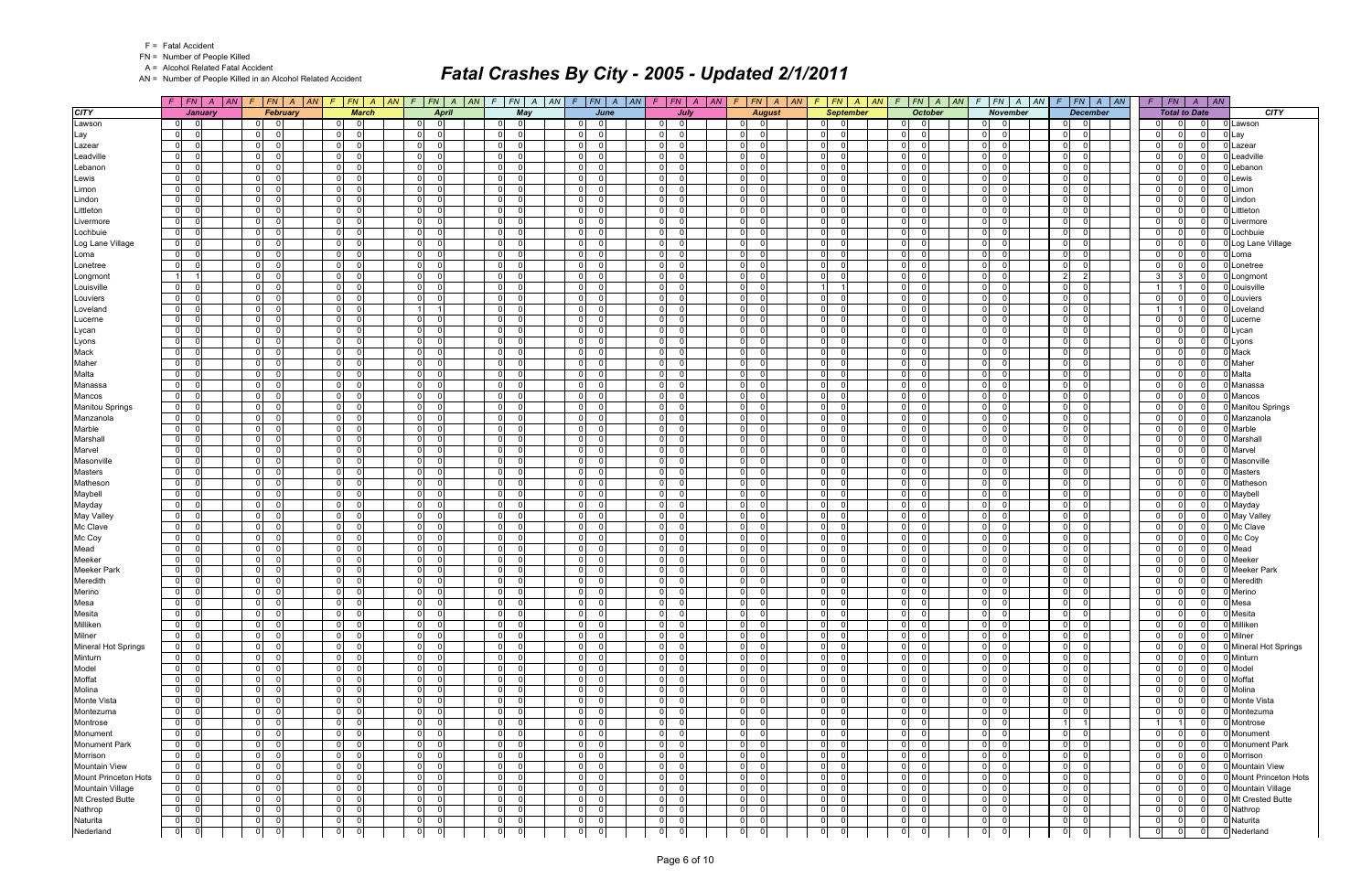FN = Number of People Killed

A = Alcohol Related Fatal Accident

AN = Number of People Killed in an Alcohol Related Accident

|                            |                            |                                   |                                                          | $F$ $ FN $ $A$ $ AN $ $F$ $ FN $ $A$ $ AN $ $F$ $ FN $ $A$ $ AN $ $F$ $ FN $ $A$ $ AN $ |                                  | $F   FN   A   AN   F   FN   A   AN   F   FN   A   AN   F   FN   A   AN   F   FN   A   AN   F   FN   A   AN   F   IN   A   AN  $ |                                       |                                                    |                             |                                                             |                                  | $F$ $ FN $ $A$ $ AN$                    |                      |                      | $F$   $FN$   $A$   $AN$                      |
|----------------------------|----------------------------|-----------------------------------|----------------------------------------------------------|-----------------------------------------------------------------------------------------|----------------------------------|---------------------------------------------------------------------------------------------------------------------------------|---------------------------------------|----------------------------------------------------|-----------------------------|-------------------------------------------------------------|----------------------------------|-----------------------------------------|----------------------|----------------------|----------------------------------------------|
| <b>CITY</b>                | <b>January</b>             | February                          | <b>March</b>                                             | <b>April</b>                                                                            | May                              | June                                                                                                                            | July                                  | <b>August</b>                                      | <b>September</b>            | <b>October</b>                                              | <b>November</b>                  | <b>December</b>                         |                      | <b>Total to Date</b> | <b>CITY</b>                                  |
| Lawson                     | -01<br>ി                   | 0 I<br>- 0                        | 0 <br>- 01                                               | $\overline{0}$<br>$\Omega$                                                              | $\Omega$<br>0                    | $\Omega$<br>- 0                                                                                                                 | $\Omega$<br>0                         | $\Omega$<br>-01                                    | $\overline{0}$              | $\overline{0}$<br>01                                        | $\overline{0}$                   | - 0<br>0                                | 0 I                  | $\Omega$             | 0 Lawson<br>- 0                              |
| Lay                        | $\overline{0}$             | $\Omega$<br>$\Omega$              | $\overline{0}$<br>$\Omega$                               | $\Omega$<br>$\Omega$                                                                    | $\Omega$<br>$\Omega$             | $\mathbf 0$<br>$\Omega$                                                                                                         | $\overline{0}$<br>$\Omega$            | $\overline{0}$<br>$\Omega$                         | 0                           | $\Omega$<br>$\mathbf 0$                                     | $\overline{0}$<br>$\Omega$       | $\overline{0}$<br>$\Omega$              | $\overline{0}$       | U                    | $\Omega$<br>ว Lay                            |
| Lazear                     | $\mathbf 0$                | $\overline{0}$<br>$\Omega$        | $\overline{0}$<br>$\Omega$                               | $\Omega$<br>$\Omega$                                                                    | $\overline{0}$<br>$\Omega$       | $\mathbf 0$<br>$\Omega$                                                                                                         | $\overline{0}$                        | $\mathbf 0$<br>$\Omega$                            | 0                           | $\overline{0}$<br>$\mathbf 0$                               | $\overline{0}$                   | $\mathbf 0$<br>$\Omega$                 | 0                    |                      | $\Omega$<br>J Lazear                         |
| Leadville                  | $\mathbf 0$                | 0 <br>$\Omega$                    | $\overline{0}$<br>$\Omega$                               | $\Omega$<br>- 0                                                                         | $\overline{0}$                   | $\mathbf 0$<br>U                                                                                                                | $\overline{0}$                        | $\mathbf 0$<br>$\Omega$                            | 0                           | $\Omega$<br>$\Omega$                                        | $\overline{0}$                   | $\overline{0}$<br>$\Omega$              | 0                    | U                    | Leadville<br>$\Omega$                        |
| Lebanon                    | $\mathbf 0$                | $\Omega$<br>$\Omega$              | $\overline{0}$<br>$\Omega$                               | $\Omega$<br>- 0                                                                         | $\overline{0}$<br>- ೧            | $\mathbf 0$<br>U                                                                                                                | $\overline{0}$                        | $\Omega$<br>$\Omega$                               | $\mathbf 0$                 | $\Omega$<br>$\Omega$                                        | $\overline{0}$                   | $\Omega$<br>- 0                         | 0                    |                      | 0 Lebanon<br>$\Omega$                        |
| Lewis                      | $\overline{0}$             | $\overline{0}$<br>$\Omega$        | 0 <br>$\Omega$                                           | $\Omega$<br>$\Omega$                                                                    | $\overline{0}$<br>- 0            | $\overline{0}$<br>$\Omega$                                                                                                      | $\overline{0}$<br>$\Omega$            | $\mathbf 0$<br>$\Omega$                            | 0                           | $\Omega$<br>$\mathbf 0$                                     | $\overline{0}$<br>$\Omega$       | $\overline{0}$<br>$\Omega$              | $\overline{0}$       | $\Omega$             | $\Omega$<br>Lewis                            |
| Limon                      | $\mathbf 0$                | 0 <br>$\Omega$                    | $\overline{0}$<br>$\Omega$                               | $\Omega$<br>- 0                                                                         | $\overline{0}$<br>$\Omega$       | $\mathbf 0$<br>$\Omega$                                                                                                         | $\overline{0}$                        | $\Omega$<br>$\Omega$                               | 0                           | $\overline{0}$<br>$\mathbf 0$                               | $\mathbf 0$                      | $\overline{0}$<br>$\Omega$              | 0                    |                      | Limon<br>$\Omega$                            |
| Lindon                     | $\mathbf 0$                | $\Omega$<br>$\Omega$              | $\overline{0}$<br>$\Omega$                               | $\Omega$<br>- 0                                                                         | $\Omega$                         | $\Omega$<br>U                                                                                                                   | $\overline{0}$                        | $\Omega$<br>$\Omega$                               | $\mathbf 0$                 | $\Omega$<br>$\Omega$                                        | $\overline{0}$                   | $\overline{0}$<br>$\Omega$              | 0                    |                      | J Lindon<br>$\Omega$                         |
| Littleton                  | $\mathbf 0$                | $\overline{0}$<br>$\Omega$        | $\overline{0}$<br>$\Omega$                               | $\Omega$<br>- 0                                                                         | $\overline{0}$<br>$\Omega$       | $\overline{0}$<br>$\Omega$                                                                                                      | $\overline{0}$                        | $\mathbf 0$<br>$\Omega$                            | 0                           | $\Omega$<br>$\Omega$                                        | $\overline{0}$                   | $\mathbf 0$<br>- 0                      | 0                    | <sup>0</sup>         | Littleton<br>$\Omega$                        |
| Livermore                  | $\mathbf 0$                | $\overline{0}$<br>$\Omega$        | $\overline{0}$<br>$\Omega$                               | $\Omega$<br>- 0                                                                         | $\Omega$<br>$\Omega$             | $\mathbf 0$<br>U                                                                                                                | $\overline{0}$<br>$\Omega$            | $\mathbf 0$<br>$\Omega$                            | $\mathbf 0$                 | $\Omega$<br>$\Omega$                                        | $\overline{0}$                   | $\mathbf 0$<br>$\Omega$                 | 0                    |                      | 0<br>0 Livermore                             |
| Lochbuie                   | $\mathbf 0$                | $\overline{0}$<br>$\Omega$        | $\overline{0}$<br>$\Omega$                               | $\Omega$<br>$\Omega$                                                                    | $\overline{0}$<br>$\Omega$       | $\mathbf 0$<br>$\Omega$                                                                                                         | $\overline{0}$                        | $\Omega$<br>$\Omega$                               | 0                           | $\overline{0}$<br>$\Omega$                                  | $\overline{0}$                   | $\mathbf 0$<br>$\Omega$                 | 0                    |                      | $\Omega$<br>J Lochbuie                       |
| Log Lane Village           | $\mathbf 0$                | $\overline{0}$<br>$\Omega$        | $\overline{0}$<br>$\Omega$                               | - O I<br>- 0                                                                            | $\overline{0}$                   | $\overline{0}$<br>$\Omega$                                                                                                      | $\overline{0}$                        | $\mathbf 0$<br>$\Omega$                            | 0                           | $\Omega$<br>$\Omega$                                        | $\overline{0}$                   | - O I<br>$\Omega$                       | 0                    | U                    | 0 Log Lane Village<br>$\Omega$               |
| Loma                       | $\mathbf 0$                | $\overline{0}$<br>$\Omega$        | $\overline{0}$<br>$\Omega$                               | $\Omega$<br>- 0                                                                         | $\overline{0}$<br>$\Omega$       | $\Omega$<br>$\Omega$                                                                                                            | $\overline{0}$                        | $\overline{0}$<br>$\Omega$                         | $\mathbf 0$                 | $\Omega$<br>$\mathbf 0$                                     | $\overline{0}$                   | $\overline{0}$<br>$\Omega$              | 0                    |                      | 0 Loma<br>$\Omega$                           |
| Lonetree                   | $\mathbf 0$                | $\overline{0}$<br>$\Omega$        | $\overline{0}$<br>$\Omega$                               | $\Omega$<br>- 0                                                                         | $\overline{0}$<br>റ              | $\mathbf 0$<br>U                                                                                                                | $\overline{0}$                        | $\mathbf 0$<br>$\Omega$                            | 0                           | $\Omega$<br>$\overline{0}$                                  | $\overline{0}$                   | $\overline{0}$<br>- 0                   | 0                    |                      | $\Omega$<br>Lonetree                         |
| Longmont                   | $\overline{1}$             | $\overline{0}$<br>$\Omega$        | $\overline{0}$<br>$\Omega$                               | $\Omega$<br>$\Omega$                                                                    | $\overline{0}$<br>$\Omega$       | $\mathbf 0$<br>$\Omega$                                                                                                         | $\overline{0}$<br>$\Omega$            | $\mathbf 0$<br>$\Omega$                            | 0                           | $\Omega$<br>$\mathbf 0$                                     | $\overline{0}$                   | $\overline{2}$<br>$\mathcal{P}$         | 3                    |                      | $\Omega$<br>Longmont                         |
| Louisville                 | $\mathbf 0$                | $\overline{0}$<br>$\Omega$        | $\overline{0}$<br>$\Omega$                               | $\Omega$<br>- 0                                                                         | $\overline{0}$<br>- 0            | $\mathbf 0$<br>$\Omega$                                                                                                         | $\overline{0}$                        | $\Omega$<br>$\Omega$                               | 1 <sup>1</sup>              | $\overline{0}$<br>$\Omega$                                  | $\overline{0}$                   | - O I<br>$\Omega$                       |                      |                      | $\Omega$<br>0 Louisville                     |
| Louviers                   | $\overline{0}$             | $\overline{0}$<br>$\Omega$        | $\overline{0}$<br>$\Omega$                               | $\Omega$<br>- 0                                                                         | $\overline{0}$<br>$\Omega$       | $\Omega$<br>$\Omega$                                                                                                            | $\overline{0}$<br>$\Omega$            | $\overline{0}$<br>$\Omega$                         | 0                           | $\overline{0}$<br>$\Omega$                                  | $\overline{0}$                   | $\overline{0}$<br>$\Omega$              | $\overline{0}$       |                      | $\Omega$<br>Louviers                         |
| Loveland                   | $\mathbf 0$                | $\overline{0}$<br>$\Omega$        | $\mathbf 0$<br>$\Omega$                                  |                                                                                         | $\overline{0}$<br>റ              | $\overline{0}$<br>U                                                                                                             | $\overline{0}$<br>$\Omega$            | $\Omega$<br>$\Omega$                               | 0                           | $\Omega$<br>$\overline{0}$                                  | $\overline{0}$                   | - O I<br>- 0                            |                      |                      | 0 Loveland<br>- 0                            |
| Lucerne                    | $\overline{0}$             | 0 <br>$\Omega$                    | $\overline{0}$<br>$\Omega$                               | $\Omega$<br>$\Omega$                                                                    | $\overline{0}$<br>$\Omega$       | $\overline{0}$<br>$\Omega$                                                                                                      | $\overline{0}$<br>$\Omega$            | $\mathbf 0$<br>$\Omega$                            | 0                           | $\Omega$<br>$\Omega$                                        | $\overline{0}$                   | $\mathbf 0$<br>$\Omega$                 | $\overline{0}$       |                      | $\Omega$<br>J Lucerne                        |
| Lycan                      | $\mathbf 0$                | $\overline{0}$<br>$\Omega$        | $\overline{0}$<br>$\Omega$                               | $\mathbf 0$<br>- 0                                                                      | $\overline{0}$<br>- 0            | $\mathbf 0$<br>$\Omega$                                                                                                         | $\overline{0}$                        | $\mathbf 0$<br>$\Omega$                            | 0                           | $\overline{0}$<br>$\mathbf 0$                               | $\overline{0}$                   | $\mathbf 0$<br>- 0                      | 0                    | U                    | - 0<br>0 Lycan                               |
| Lyons                      | $\mathbf 0$                | $\Omega$<br>$\Omega$              | $\overline{0}$<br>$\Omega$                               | $\Omega$<br>- 0                                                                         | $\Omega$<br>$\Omega$             | $\Omega$<br>$\Omega$                                                                                                            | $\overline{0}$                        | $\Omega$<br>$\Omega$                               | $\mathbf 0$                 | $\Omega$<br>$\Omega$                                        | $\overline{0}$                   | $\overline{0}$<br>$\Omega$              | 0                    |                      | $\Omega$<br>0 Lyons                          |
| Mack                       | $\mathbf 0$                | $\overline{0}$<br>$\Omega$        | $\overline{0}$<br>$\Omega$                               | $\Omega$<br>- 0                                                                         | $\overline{0}$<br>- 0            | $\overline{0}$<br>$\Omega$                                                                                                      | $\overline{0}$<br>$\Omega$            | $\mathbf 0$<br>$\Omega$                            | 0                           | $\Omega$<br>$\overline{0}$                                  | $\overline{0}$                   | - O I<br>- 0                            | 0                    | $\Omega$             | 0 Mack<br>$\Omega$                           |
| Maher                      | $\mathbf 0$                | $\overline{0}$<br>$\Omega$        | $\overline{0}$<br>$\Omega$                               | $\Omega$<br>$\Omega$                                                                    | $\overline{0}$<br>$\Omega$       | $\mathbf 0$<br>$\Omega$                                                                                                         | $\overline{0}$<br>$\Omega$            | $\mathbf 0$<br>$\Omega$                            | 0                           | $\Omega$<br>$\mathbf 0$                                     | $\overline{0}$                   | $\overline{0}$<br>$\Omega$              | $\overline{0}$       | U                    | 0 Maher<br>$\Omega$                          |
| Malta                      | $\mathbf 0$                | $\mathbf 0$<br>$\Omega$           | $\mathbf 0$<br>$\Omega$                                  | $\Omega$<br>- 0                                                                         | $\overline{0}$<br>$\cap$         | $\mathbf 0$<br>U                                                                                                                | $\mathbf 0$                           | $\Omega$<br>$\Omega$                               | $\mathbf 0$                 | $\Omega$<br>$\Omega$                                        | $\overline{0}$                   | $\Omega$<br>-C                          | 0                    |                      | 0 Malta<br>$\Omega$                          |
| Manassa                    | $\mathbf 0$                | $\overline{0}$<br>$\Omega$        | $\overline{0}$<br>$\Omega$                               | $\overline{0}$<br>- 0                                                                   | $\overline{0}$<br>- 0            | $\mathbf 0$<br>$\Omega$                                                                                                         | $\overline{0}$<br>$\Omega$            | $\overline{0}$<br>$\Omega$                         | 0                           | $\Omega$<br>$\mathbf 0$                                     | 0                                | $\overline{0}$<br>$\Omega$              | 0                    | $\Omega$             | $\Omega$<br>0 Manassa                        |
| Mancos                     | $\mathbf 0$                | $\Omega$<br>$\Omega$              | $\mathbf 0$                                              | $\Omega$<br>$\Omega$                                                                    | $\Omega$<br>- ೧                  | $\mathbf 0$<br>U                                                                                                                | $\overline{0}$                        | $\Omega$<br>$\Omega$                               | $\mathbf 0$                 | $\Omega$<br>$\Omega$                                        | $\mathbf 0$                      | $\Omega$<br>-C                          | 0                    |                      | 0 Mancos<br>- റ                              |
| <b>Manitou Springs</b>     | $\overline{0}$             | $\overline{0}$<br>$\Omega$        | 0 <br>$\Omega$                                           | $\Omega$<br>- 0                                                                         | $\overline{0}$<br>$\cap$         | $\mathbf 0$<br>$\Omega$                                                                                                         | $\overline{0}$<br>$\Omega$            | $\mathbf 0$<br>$\Omega$                            | 0                           | $\Omega$<br>$\Omega$                                        | $\overline{0}$                   | $\mathbf 0$<br>- 0                      | $\overline{0}$       |                      | Manitou Springs<br>$\Omega$                  |
| Manzanola                  | $\overline{0}$             | 0 <br>$\Omega$                    | $\overline{0}$<br>$\Omega$                               | $\Omega$<br>- 0                                                                         | $\overline{0}$<br>- ೧            | $\mathbf 0$<br>$\Omega$                                                                                                         | $\overline{0}$                        | $\Omega$<br>$\Omega$                               | 0                           | $\overline{0}$<br>$\mathbf 0$                               | $\mathbf 0$                      | $\mathbf 0$<br>$\Omega$                 | 0                    |                      | 0 Manzanola<br>$\Omega$                      |
| Marble                     | $\mathbf 0$                | $\Omega$<br>$\Omega$              | $\overline{0}$<br>$\Omega$                               | $\Omega$<br>- 0                                                                         | $\Omega$                         | $\Omega$<br>U                                                                                                                   | $\overline{0}$                        | $\Omega$<br>$\Omega$                               | $\mathbf 0$                 | $\Omega$<br>$\Omega$                                        | $\overline{0}$                   | $\mathbf 0$<br>$\Omega$                 | 0                    |                      | 0 Marble<br>$\Omega$                         |
| Marshall                   | $\mathbf 0$                | $\overline{0}$<br>$\Omega$        | $\overline{0}$<br>$\Omega$                               | $\Omega$<br>- 0                                                                         | $\overline{0}$<br>$\Omega$       | $\overline{0}$<br>$\Omega$                                                                                                      | $\overline{0}$                        | $\mathbf 0$<br>$\Omega$                            | 0                           | $\Omega$<br>$\Omega$                                        | $\overline{0}$                   | $\mathbf 0$<br>- 0                      | 0                    | $\Omega$             | $\Omega$<br>Marshall                         |
| Marvel                     | $\mathbf 0$                | $\overline{0}$<br>$\Omega$        | $\overline{0}$<br>$\Omega$                               | $\Omega$<br>- 0                                                                         | $\Omega$<br>$\Omega$             | $\mathbf 0$<br>U                                                                                                                | $\overline{0}$<br>$\Omega$            | $\mathbf 0$<br>$\Omega$                            | 0                           | $\Omega$<br>$\Omega$                                        | $\overline{0}$                   | $\mathbf 0$<br>$\Omega$                 | 0                    |                      | Marvel<br>$\Omega$                           |
| Masonville                 | $\mathbf 0$                | $\overline{0}$<br>$\Omega$        | $\overline{0}$<br>$\Omega$                               | $\Omega$<br>$\Omega$                                                                    | $\overline{0}$<br>$\Omega$       | $\mathbf 0$<br>$\Omega$                                                                                                         | $\overline{0}$                        | $\Omega$<br>$\Omega$                               | 0                           | $\Omega$<br>$\Omega$                                        | $\overline{0}$                   | $\mathbf 0$<br>$\Omega$                 | 0                    |                      | $\Omega$<br>Masonville                       |
| <b>Masters</b>             | $\mathbf 0$                | 0 <br>$\Omega$                    | $\overline{0}$<br>$\Omega$                               | - O I<br>- 0                                                                            | $\overline{0}$                   | $\overline{0}$<br>$\Omega$                                                                                                      | $\overline{0}$                        | $\mathbf 0$<br>$\Omega$                            | 0                           | $\Omega$<br>$\Omega$                                        | $\overline{0}$                   | - O I<br>$\Omega$                       | 0                    | U                    | 0 Masters<br>- 0                             |
| Matheson                   | $\mathbf 0$                | $\Omega$<br>$\Omega$              | $\overline{0}$<br>$\Omega$                               | $\Omega$<br>$\Omega$                                                                    | $\overline{0}$<br>$\Omega$       | $\mathbf 0$<br>$\Omega$                                                                                                         | $\overline{0}$                        | $\mathbf 0$<br>$\Omega$                            | $\mathbf 0$                 | $\Omega$<br>$\overline{0}$                                  | $\overline{0}$                   | $\Omega$<br>$\Omega$                    | 0                    |                      | Matheson<br>$\Omega$                         |
| Maybell                    | $\mathbf 0$                | $\overline{0}$<br>$\Omega$        | $\overline{0}$<br>$\Omega$                               | $\Omega$<br>- 0                                                                         | $\overline{0}$<br>$\Omega$       | $\mathbf 0$<br>U                                                                                                                | $\overline{0}$<br>$\Omega$            | $\mathbf 0$<br>$\Omega$                            | 0                           | $\Omega$<br>$\mathbf 0$                                     | $\overline{0}$                   | $\overline{0}$<br>$\Omega$              | $\overline{0}$       |                      | 0 Maybell<br>$\Omega$                        |
| Mayday                     | $\mathbf 0$                | $\mathbf 0$                       | $\overline{0}$<br>$\Omega$                               | $\Omega$<br>$\Omega$                                                                    | $\overline{0}$                   | $\mathbf 0$<br>$\Omega$                                                                                                         | $\overline{0}$                        | $\Omega$<br>$\Omega$                               | 0                           | $\mathbf 0$<br>$\Omega$                                     | $\mathbf 0$                      | $\mathbf 0$<br>$\Omega$                 | 0                    |                      | 0 Mayday<br>$\Omega$                         |
| <b>May Valley</b>          | $\mathbf 0$                | $\Omega$<br>$\Omega$              | $\overline{0}$<br>$\Omega$                               | $\Omega$<br>- 0                                                                         | $\Omega$                         | $\Omega$<br>U                                                                                                                   | $\overline{0}$                        | $\Omega$<br>$\Omega$                               | $\mathbf 0$                 | $\Omega$<br>$\Omega$                                        | $\overline{0}$                   | $\overline{0}$<br>$\Omega$              | 0                    |                      | 0 May Valley<br>- 0                          |
| Mc Clave                   | $\mathbf 0$                | $\overline{0}$<br>$\Omega$        | 0 <br>$\Omega$                                           | $\Omega$<br>- 0                                                                         | $\overline{0}$<br>- 0            | $\mathbf 0$<br>$\Omega$                                                                                                         | $\overline{0}$                        | $\overline{0}$<br>$\Omega$                         | 0                           | $\Omega$<br>$\mathbf 0$                                     | $\overline{0}$                   | $\overline{0}$<br>- 0                   | 0                    | U                    | 0 Mc Clave<br>$\Omega$                       |
| Mc Coy                     | $\mathbf 0$                | $\Omega$<br>$\Omega$              | $\overline{0}$<br>$\Omega$                               | $\Omega$<br>- 0                                                                         | $\overline{0}$<br>$\Omega$       | $\overline{0}$<br>$\Omega$                                                                                                      | $\overline{0}$<br>$\Omega$            | $\Omega$<br>$\Omega$                               | $\mathbf 0$                 | $\Omega$<br>$\mathbf 0$                                     | $\overline{0}$                   | $\overline{0}$<br>- 0                   | 0                    |                      | <b>D</b> Mc Coy<br>$\Omega$                  |
| Mead                       | $\overline{0}$             | 0 <br>$\Omega$                    | $\overline{0}$<br>$\Omega$                               | $\Omega$<br>$\Omega$                                                                    | $\overline{0}$<br>$\Omega$       | $\mathbf 0$<br>$\Omega$                                                                                                         | $\overline{0}$<br>$\Omega$            | $\mathbf 0$<br>$\Omega$                            | 0                           | $\Omega$<br>$\Omega$                                        | $\overline{0}$                   | $\mathbf 0$<br>$\Omega$                 | $\overline{0}$       | $\Omega$             | $\Omega$<br>Mead                             |
| Meeker                     | $\mathbf 0$                | $\overline{0}$<br>$\Omega$        | $\overline{0}$<br>$\Omega$                               | $\mathbf 0$<br>- 0                                                                      | 0 <br>- 0                        | $\mathbf 0$<br>$\Omega$                                                                                                         | $\overline{0}$                        | $\mathbf 0$<br>$\Omega$                            | 0                           | $\overline{0}$<br>$\mathbf 0$                               | $\mathbf 0$                      | $\mathbf 0$<br>- 0                      | 0                    | U                    | 0 Meeker<br>- 0                              |
| <b>Meeker Park</b>         | $\mathbf 0$                | $\Omega$<br>$\Omega$              | $\overline{0}$<br>$\Omega$                               | $\Omega$<br>- 0                                                                         | $\Omega$<br>$\Omega$             | $\Omega$<br>$\Omega$                                                                                                            | $\overline{0}$                        | $\Omega$<br>$\Omega$                               | $\mathbf 0$                 | $\Omega$<br>$\Omega$                                        | $\overline{0}$                   | $\overline{0}$<br>$\Omega$              | 0                    | $\Omega$             | $\Omega$<br>Meeker Park                      |
| Meredith<br>Merino         | $\mathbf 0$<br>$\mathbf 0$ | 0 <br>$\Omega$<br> 0 <br>$\Omega$ | $\overline{0}$<br>$\Omega$<br>$\overline{0}$<br>$\Omega$ | $\Omega$<br>$\Omega$<br>$\Omega$<br>$\Omega$                                            | 0 <br>- 0<br> 0 <br>$\Omega$     | $\overline{0}$<br>U<br> 0 <br>$\Omega$                                                                                          | 0 <br>0<br>$\overline{0}$<br>$\Omega$ | $\mathbf 0$<br>$\Omega$<br>$\mathbf 0$<br>$\Omega$ | 0                           | $\Omega$<br>$\overline{0}$<br>$\overline{0}$<br>$\mathbf 0$ | $\overline{0}$<br>$\overline{0}$ | - O I<br>- 0<br>$\mathbf 0$<br>$\Omega$ | 0                    | $\Omega$             | $\Omega$<br>Meredith<br>0 Merino<br>$\Omega$ |
|                            |                            | $\mathbf 0$                       | $\mathbf{0}$                                             | $\mathbf 0$                                                                             | $\overline{0}$<br>$\overline{0}$ | 0<br>$\mathbf{0}$                                                                                                               | $\Omega$                              | $\Omega$<br>$\mathbf 0$                            | 0                           | $\overline{0}$<br>$\mathbf 0$                               | $\Omega$                         | 0                                       | $\overline{0}$       | $\Omega$             | 0                                            |
| Mesa<br>Mesita             | $\mathbf 0$<br> 0          | 0 <br>0l<br>ol                    | 0 <br> 0 <br>$\Omega$                                    | $\mathbf 0$<br>$\overline{0}$<br>- Ol                                                   | 0 <br>$\Omega$                   | $\overline{0}$<br>$\Omega$                                                                                                      | 0 <br> 0 <br>$\Omega$                 | 0 <br>$\overline{0}$                               | 0 <br>$\overline{0}$<br>- 0 | 0 <br>$\mathbf 0$                                           | $\mathbf{0}$<br> 0 <br>$\Omega$  | $\mathbf 0$<br> 0 <br>$\mathbf 0$       | 0 <br>$\overline{0}$ | $\overline{0}$       | 0 Mesa<br>0 Mesita<br>$\overline{0}$         |
| Milliken                   | $\mathbf 0$                | $\overline{0}$<br>$\Omega$        | $\overline{0}$<br>$\overline{\mathbf{0}}$                | $\overline{0}$<br>$\Omega$                                                              | $\overline{0}$<br>- 01           | $\overline{0}$<br>$\Omega$                                                                                                      | $\overline{0}$<br>$\Omega$            | $\mathbf 0$<br>$\Omega$                            | $\overline{0}$<br>- 0       | $\overline{0}$<br>$\mathbf 0$                               | $\overline{0}$<br>- 0            | $\overline{0}$<br>$\Omega$              | 0                    | $\Omega$             | 0 Milliken<br>$\Omega$                       |
| Milner                     | 0 <br>- 0                  | $\overline{0}$<br>$\overline{0}$  | 0 <br>$\overline{\mathbf{0}}$                            | $\overline{0}$<br>$\Omega$                                                              | 0 <br>$\overline{\phantom{0}}$   | $\overline{0}$<br>$\Omega$                                                                                                      | 0 <br>$\Omega$                        | 0 <br>$\Omega$                                     | $\overline{0}$<br>- റ       | 0 <br>$\mathbf 0$                                           | 0 <br>$\Omega$                   | 0 <br>0                                 | $\overline{0}$       | $\Omega$             | 0 Milner<br>$\Omega$                         |
| <b>Mineral Hot Springs</b> | $\overline{0}$             | 0 <br>$\Omega$                    | 0 <br>$\Omega$                                           | $\mathbf 0$<br>0                                                                        | 0 <br>- 0                        | $\mathbf 0$<br>$\Omega$                                                                                                         | $\overline{0}$<br>$\Omega$            | $\mathbf 0$<br>$\Omega$                            | $\overline{0}$              | $\overline{0}$<br>$\mathbf 0$                               | 0 <br>$\Omega$                   | $\mathbf 0$<br>$\Omega$                 | $\overline{0}$       | 0                    | 0 Mineral Hot Springs<br>$\mathbf 0$         |
| Minturn                    | $\mathbf 0$                | 0l<br>$\overline{0}$              | 0 <br>$\Omega$                                           | $\overline{0}$<br>$\Omega$                                                              | 0 <br>$\Omega$                   | $\overline{0}$<br>$\Omega$                                                                                                      | 0 <br>$\Omega$                        | $\overline{0}$<br>$\Omega$                         | 0                           | 0 <br>$\mathbf 0$                                           | 0 <br>$\Omega$                   | $\overline{0}$<br>0                     | 0                    | $\Omega$             | $\overline{0}$<br>0 Minturn                  |
| Model                      | $\overline{0}$             | 0 <br>- 0                         | 0 <br>- 0                                                | - O I<br>$\Omega$                                                                       | $\overline{0}$<br>- 01           | $\overline{0}$<br>$\Omega$                                                                                                      | $\overline{0}$<br>-0                  | $\mathbf 0$<br>$\Omega$                            | $\overline{0}$              | $\overline{0}$<br>$\mathbf 0$                               | $\overline{0}$                   | 0 <br>-0                                | $\overline{0}$       | $\Omega$             | 0 Model<br>$\Omega$                          |
| Moffat                     | $\mathbf 0$                | $\overline{0}$<br>$\Omega$        | $\overline{0}$<br>$\Omega$                               | $\overline{0}$<br>$\Omega$                                                              | $\overline{0}$<br>$\Omega$       | $\overline{0}$<br>$\Omega$                                                                                                      | $\overline{0}$<br>$\Omega$            | $\mathbf 0$<br>$\Omega$                            | $\overline{0}$              | $\overline{0}$<br>$\mathbf 0$                               | 0 <br>$\Omega$                   | 0 <br>$\Omega$                          | $\overline{0}$       | $\Omega$             | 0 Moffat<br>$\Omega$                         |
| Molina                     | $\overline{0}$             | $\overline{0}$<br>$\Omega$        | $\overline{0}$<br>$\Omega$                               | $\mathbf 0$<br>$\Omega$                                                                 | 0 <br>- Ol                       | $\overline{0}$<br>$\Omega$                                                                                                      | $\overline{0}$<br>$\Omega$            | 0 <br>$\Omega$                                     | $\overline{0}$              | $\overline{0}$<br>$\mathbf 0$                               | $\overline{0}$<br>$\Omega$       | $\mathbf 0$<br>$\Omega$                 | $\overline{0}$       | U                    | $\Omega$<br>0 Molina                         |
| Monte Vista                | $\overline{0}$             | 0 <br>$\Omega$                    | 0 <br>$\overline{0}$                                     | $\overline{0}$<br> 0                                                                    | 0 <br>$\overline{0}$             | $\mathbf 0$<br>$\Omega$                                                                                                         | 0 <br>$\Omega$                        | 0 <br>$\overline{0}$                               | $\overline{0}$              | 0 <br>$\mathbf 0$                                           | 0 <br>$\Omega$                   | 0 <br>0                                 | $\overline{0}$       | $\Omega$             | 0 Monte Vista<br>- 0                         |
| Montezuma                  | $\mathbf 0$                | $\overline{0}$<br>$\Omega$        | $\overline{0}$<br>$\overline{0}$                         | $\mathbf 0$<br>$\Omega$                                                                 | 0 <br>$\Omega$                   | $\overline{0}$<br>$\Omega$                                                                                                      | $\overline{0}$<br>$\Omega$            | $\mathbf 0$<br>$\Omega$                            | 0                           | $\overline{0}$<br>$\mathbf 0$                               | $\overline{0}$                   | $\mathbf 0$<br>$\Omega$                 | 0                    |                      | $\Omega$<br>0 Montezuma                      |
| Montrose                   | $\overline{0}$             | 0 <br>$\Omega$                    | 0 <br>- 0                                                | 0l<br>- Ol                                                                              | 0 <br>$\Omega$                   | $\overline{0}$<br>$\Omega$                                                                                                      | 0 <br>$\Omega$                        | 0 <br>$\Omega$                                     | $\overline{0}$              | $\overline{0}$<br>$\mathbf 0$                               | $\overline{0}$<br>$\Omega$       | $\overline{1}$                          | 11                   |                      | $\Omega$<br>0 Montrose                       |
| Monument                   | $\overline{0}$             | 0 <br>$\Omega$                    | $\overline{0}$<br>$\Omega$                               | $\mathbf 0$<br>$\Omega$                                                                 | $\overline{0}$<br>$\overline{0}$ | $\mathbf 0$<br>$\Omega$                                                                                                         | $\overline{0}$                        | $\mathbf 0$<br>$\Omega$                            | $\overline{0}$              | $\mathbf 0$<br>$\mathbf 0$                                  | $\overline{0}$                   | $\mathbf 0$<br>$\Omega$                 | $\overline{0}$       |                      | - 0<br>0 Monument                            |
| <b>Monument Park</b>       | $\mathbf 0$                | $\overline{0}$<br>$\Omega$        | $\overline{0}$<br>$\overline{0}$                         | - O I<br>$\Omega$                                                                       | 0 <br>$\Omega$                   | $\mathbf 0$<br>$\Omega$                                                                                                         | $\overline{0}$<br>$\Omega$            | $\mathbf 0$<br>$\Omega$                            | 0                           | $\overline{0}$<br>$\mathbf 0$                               | 0 <br>- റ'                       | 0 <br>$\Omega$                          | 0                    | U                    | 0 Monument Park<br>- 0                       |
| Morrison                   | $\overline{0}$             | $\overline{0}$<br>$\Omega$        | 0 <br>$\Omega$                                           | $\mathbf 0$<br>$\Omega$                                                                 | 0 <br>$\Omega$                   | $\overline{0}$<br>$\Omega$                                                                                                      | $\overline{0}$<br>$\Omega$            | $\mathbf 0$<br>$\Omega$                            | $\overline{0}$              | $\overline{0}$<br>$\mathbf 0$                               | 0 <br>$\Omega$                   | 0 <br>$\Omega$                          | 0                    | $\Omega$             | $\Omega$<br>0 Morrison                       |
| Mountain View              | $\overline{0}$             | $\mathbf 0$<br>$\Omega$           | $\overline{0}$<br>$\Omega$                               | $\overline{0}$<br>$\Omega$                                                              | $\overline{0}$<br>$\Omega$       | $\overline{0}$<br>$\Omega$                                                                                                      | $\overline{0}$<br>$\Omega$            | $\mathbf 0$<br>$\Omega$                            | $\overline{0}$<br>- 0       | $\overline{0}$<br>$\mathbf 0$                               | $\overline{0}$<br>$\Omega$       | $\mathbf{0}$<br>$\Omega$                | $\overline{0}$       | $\Omega$             | 0 Mountain View<br>- 0                       |
| Mount Princeton Hots       | $\overline{0}$             | 0 <br>0                           | 0 <br>$\Omega$                                           | $\mathbf 0$<br>$\Omega$                                                                 | 0 <br>- Ol                       | $\overline{0}$<br>$\Omega$                                                                                                      | $\overline{0}$<br>$\Omega$            | 0 <br>$\Omega$                                     | $\overline{0}$              | $\overline{0}$<br>$\mathbf 0$                               | 0 <br>$\Omega$                   | $\mathbf 0$<br>$\Omega$                 | $\overline{0}$       |                      | 0 Mount Princeton Hots<br>$\Omega$           |
| <b>Mountain Village</b>    | $\overline{0}$             | $\overline{0}$<br>$\Omega$        | 0 <br>$\Omega$                                           | $\overline{0}$<br>$\Omega$                                                              | 0 <br>$\Omega$                   | $\mathbf 0$<br>$\Omega$                                                                                                         | $\overline{0}$<br>$\Omega$            | $\mathbf 0$<br>$\Omega$                            | $\overline{0}$              | $\overline{0}$<br>$\mathbf 0$                               | 0 <br>$\Omega$                   | $\mathbf 0$<br>$\Omega$                 | $\overline{0}$       | $\Omega$             | 0 Mountain Village<br>$\Omega$               |
| Mt Crested Butte           | $\mathbf 0$                | $\overline{0}$<br>$\Omega$        | $\overline{0}$<br>$\Omega$                               | $\Omega$<br>$\Omega$                                                                    | $\overline{0}$<br>- 0            | $\mathbf 0$<br>$\Omega$                                                                                                         | $\overline{0}$                        | $\overline{0}$<br>$\Omega$                         | 0                           | $\overline{0}$<br>$\mathbf 0$                               | $\overline{0}$                   | $\overline{0}$<br>$\Omega$              | 0                    |                      | 0 Mt Crested Butte<br>$\Omega$               |
| Nathrop                    | $\overline{0}$             | 0 <br>$\Omega$                    | 0 <br>- 0                                                | - O I<br>0                                                                              | $\overline{0}$<br>$\Omega$       | $\overline{0}$<br>$\Omega$                                                                                                      | 0 <br>0                               | 0 <br>$\mathbf 0$                                  | $\overline{0}$              | 0 <br>$\mathbf 0$                                           | $\overline{0}$<br>$\Omega$       | $\mathbf 0$<br>$\Omega$                 | $\overline{0}$       | $\Omega$             | 0 Nathrop<br>$\Omega$                        |
| Naturita                   | $\overline{0}$             | $\overline{0}$<br>$\Omega$        | 0 <br>$\Omega$                                           | $\mathbf 0$<br>$\Omega$                                                                 | 0 <br>- Ol                       | $\mathbf 0$<br>$\Omega$                                                                                                         | $\overline{0}$<br>$\Omega$            | $\mathbf 0$<br>$\Omega$                            | 0                           | $\overline{0}$<br>$\mathbf 0$                               | $\overline{0}$<br>$\Omega$       | $\mathbf 0$<br>$\Omega$                 | $\overline{0}$       | $\Omega$             | 0 Naturita<br>$\Omega$                       |
| Nederland                  | $\overline{0}$<br> 0       | 0 <br> 0                          | $\mathbf{O}$<br>$\mathbf 0$                              | $\overline{0}$<br>$\mathbf 0$                                                           | $\overline{0}$<br>$\circ$        | $\pmb{0}$<br>$\mathbf 0$                                                                                                        | $\mathbf{0}$<br>$\mathbf 0$           | $\mathbf{0}$<br>$\mathbf 0$                        | $\overline{0}$<br>$\Omega$  | $\overline{0}$<br>$\mathbf 0$                               | $\mathbf{0}$<br>$\mathbf 0$      | $\overline{0}$<br>0                     | 0                    | $\Omega$             | 0 Nederland<br> 0                            |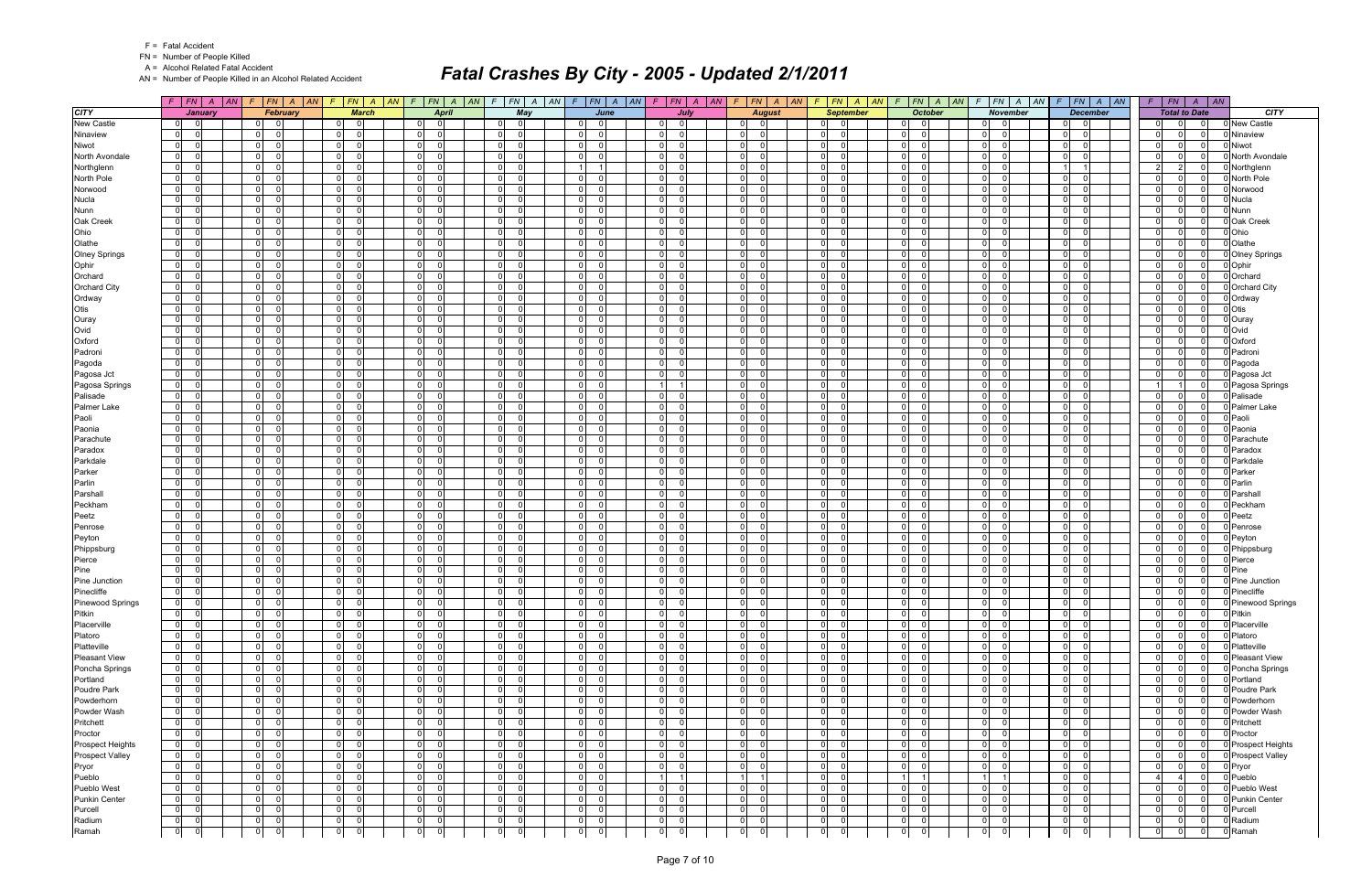|  | <b>Fatal Accident</b> |
|--|-----------------------|
|--|-----------------------|

A = Alcohol Related Fatal Accident

AN = Number of People Killed in an Alcohol Related Accident

|                                        | $F$ $ FN $ $A$ $ AN $                                    | $F$ $ FN $ $A$ $ AN $                        | FN A AN<br>F                                                 | $F$ $ FN $ $A$ $ AN $                                    | $\mathcal{F}$                             | $FN$ $A$ $AN$<br>$F$   $FN$   $A$   $AN$              | $F$ $ FN $ $A$ $ AN $                                    | FN A AN<br>F                                        | $F$ $ FN $ $A$ $ AN $                   | $F$ $ FN$ $ A$ $ AN$                                        |                                                                | $F$   FN   A   AN   F   FN   A   AN                | FN A <br>F                                                       |                              |
|----------------------------------------|----------------------------------------------------------|----------------------------------------------|--------------------------------------------------------------|----------------------------------------------------------|-------------------------------------------|-------------------------------------------------------|----------------------------------------------------------|-----------------------------------------------------|-----------------------------------------|-------------------------------------------------------------|----------------------------------------------------------------|----------------------------------------------------|------------------------------------------------------------------|------------------------------|
| <b>CITY</b>                            | January                                                  | February                                     | <b>March</b>                                                 | <b>April</b>                                             | May                                       | June                                                  | July                                                     | <b>August</b>                                       | <b>September</b>                        | <b>October</b>                                              | <b>November</b>                                                | <b>December</b>                                    | <b>Total to Date</b>                                             | <b>CITY</b>                  |
| <b>New Castle</b>                      | 0 <br>$\overline{0}$                                     | - 01<br>0                                    | $\overline{\phantom{0}}$<br> 0                               | - ol<br>- O I                                            | $\overline{0}$<br>$\overline{0}$          | $\Omega$<br>$\Omega$                                  | $\Omega$<br>$\overline{0}$                               | $\overline{0}$<br>$\Omega$                          | $\overline{0}$<br>- 0                   | 0 <br>$\overline{0}$                                        | $\overline{0}$<br>$\Omega$                                     | - 01<br>$\overline{0}$                             | $\overline{0}$<br>$\overline{0}$<br>$\Omega$                     | 0 New Castle                 |
| Ninaview                               | 0 <br>$\Omega$                                           | $\overline{0}$<br>- 0                        | $\overline{0}$<br>$\Omega$                                   | $\overline{0}$<br>$\Omega$                               | $\Omega$<br>$\Omega$                      | 0<br>$\Omega$                                         | $\Omega$                                                 | $\overline{0}$<br>$\Omega$                          | 0                                       | $\Omega$<br>$\Omega$                                        | $\overline{0}$<br>$\Omega$                                     | $\Omega$<br>- 0                                    | $\Omega$<br>0<br>$\Omega$                                        | Ninaview                     |
| Niwot                                  | $\overline{0}$<br>$\Omega$                               | 0 <br>- 0                                    | 0 <br>- 01                                                   | $\overline{0}$<br>- 0 l                                  | 0 <br>$\Omega$                            | $\mathbf 0$<br>$\Omega$                               | $\overline{0}$<br>$\Omega$                               | 0 <br>$\Omega$                                      | $\overline{0}$<br>- 0                   | $\Omega$<br>$\overline{0}$                                  | $\overline{0}$<br>$\Omega$                                     | 0 I<br>$\overline{0}$                              | $\overline{0}$<br>$\Omega$<br>- 0                                | Niwot                        |
| North Avondale                         | 0 <br>$\Omega$                                           | $\overline{0}$                               | $\overline{0}$<br>$\Omega$                                   | $\overline{0}$<br>$\Omega$                               | 0 <br>$\Omega$                            | $\Omega$<br>$\Omega$                                  | $\overline{0}$                                           | $\Omega$<br>$\Omega$                                | 0                                       | $\Omega$<br>$\Omega$                                        | $\overline{0}$<br>$\Omega$                                     | $\Omega$<br>$\Omega$                               | $\Omega$<br>$\Omega$                                             | North Avondale               |
| Northglenn                             | $\overline{0}$<br>$\Omega$                               | $\overline{0}$<br>$\Omega$                   | 0 I<br>$\overline{0}$                                        | $\overline{0}$<br>- 0                                    | 0 <br>$\Omega$                            | $\overline{1}$                                        | $\overline{0}$                                           | $\overline{0}$<br>$\Omega$                          | 0                                       | $\Omega$<br>$\Omega$                                        | $\overline{0}$<br>$\Omega$                                     |                                                    | $\overline{2}$<br>2 <sup>1</sup><br>- 0                          | Northglenn                   |
| North Pole                             | $\overline{0}$<br>$\Omega$                               | $\overline{0}$<br>$\Omega$                   | $\overline{0}$<br>$\Omega$                                   | $\overline{0}$<br>$\Omega$                               | 0 <br>$\Omega$                            | $\overline{0}$<br>$\Omega$                            | $\overline{0}$                                           | $\mathbf 0$<br>$\Omega$                             | 0                                       | $\overline{0}$<br>$\overline{0}$                            | $\overline{0}$<br>$\Omega$<br>$\Omega$                         | $\overline{0}$<br>$\Omega$                         | $\mathbf 0$<br>$\Omega$<br>$\Omega$                              | North Pole                   |
| Norwood                                | $\overline{0}$<br>$\Omega$<br>$\Omega$                   | $\overline{0}$<br>$\cap$                     | $\overline{0}$<br>$\overline{\mathbf{0}}$<br>$\Omega$        | $\overline{0}$<br>$\Omega$                               | $\Omega$<br>$\Omega$<br>$\Omega$          | $\mathbf 0$<br>$\Omega$<br>$\Omega$<br>$\Omega$       | $\overline{0}$                                           | $\mathbf 0$<br>$\Omega$<br>$\Omega$                 | $\overline{0}$<br>- 0                   | $\Omega$<br>$\Omega$                                        | $\overline{0}$<br>$\Omega$                                     | $\overline{0}$<br>$\Omega$                         | $\mathbf 0$<br>0<br>- 0<br>$\Omega$<br>$\Omega$                  | Norwood                      |
| Nucla                                  | $\overline{0}$<br>$\overline{0}$<br>$\Omega$             | $\overline{0}$<br>$\overline{0}$<br>$\Omega$ | $\overline{0}$<br>$\overline{0}$<br>$\overline{0}$           | $\overline{0}$<br>$\Omega$<br>$\overline{0}$<br>$\Omega$ | 0 <br>$\overline{0}$<br>$\Omega$          | $\Omega$<br>$\Omega$                                  | $\overline{0}$<br>$\overline{0}$                         | $\mathbf{0}$<br>$\mathbf 0$<br>$\Omega$             | 0 <br> 0                                | $\Omega$<br>$\Omega$<br>$\Omega$<br>$\Omega$                | $\overline{0}$<br>$\overline{0}$<br>$\Omega$                   | $\Omega$<br>$\Omega$<br>$\overline{0}$<br>$\Omega$ | $\Omega$<br>$\mathbf 0$<br>$\Omega$<br>$\Omega$                  | Nucla<br>Nunn                |
| Nunn<br>Oak Creek                      | 0 <br>$\Omega$                                           | $\overline{0}$<br>$\Omega$                   | $\overline{0}$<br>$\Omega$                                   | $\overline{0}$<br>$\Omega$                               | 0 <br>$\Omega$                            | $\overline{0}$<br>$\Omega$                            | $\overline{0}$                                           | $\mathbf 0$<br>$\Omega$                             | 0                                       | $\Omega$<br>$\mathbf 0$                                     | $\overline{0}$<br>$\Omega$                                     | $\Omega$<br>$\Omega$                               | $\Omega$<br>$\Omega$<br>$\Omega$                                 | Oak Creek                    |
| Ohio                                   | $\overline{0}$<br>$\Omega$                               | $\overline{0}$<br>$\Omega$                   | $\overline{0}$<br>- 01                                       | $\overline{0}$<br>$\Omega$                               | 0 <br>$\Omega$                            | $\mathbf 0$<br>$\Omega$                               | $\overline{0}$<br>$\Omega$                               | 0 <br>$\Omega$                                      | 0                                       | $\Omega$<br>$\mathbf 0$                                     | $\overline{0}$<br>$\Omega$                                     | 0 I<br>$\Omega$                                    | $\mathbf 0$<br>$\Omega$<br>- 0                                   | Ohio                         |
| Olathe                                 | 0 <br>$\Omega$                                           | $\overline{0}$                               | $\overline{0}$<br>$\overline{0}$                             | $\overline{0}$<br>$\Omega$                               | 0 <br>$\Omega$                            | $\mathbf 0$<br>$\Omega$                               | $\overline{0}$                                           | $\mathbf 0$<br>$\Omega$                             | 0                                       | $\Omega$<br>$\mathbf 0$                                     | $\overline{0}$<br>$\Omega$                                     | $\Omega$<br>$\Omega$                               | $\Omega$<br>$\Omega$<br>$\Omega$                                 | Olathe                       |
| <b>Olney Springs</b>                   | $\overline{0}$<br>$\Omega$                               | $\overline{0}$<br>റ                          | $\overline{0}$<br>-01                                        | $\overline{0}$<br>$\Omega$                               | 0 <br>$\Omega$                            | 0<br>$\Omega$                                         | $\overline{0}$                                           | $\mathbf 0$<br>$\Omega$                             | 0                                       | $\overline{0}$<br>$\mathbf 0$                               | $\overline{0}$<br>$\Omega$                                     | 01<br>$\Omega$                                     | $\Omega$<br>0<br>$\Omega$                                        | <b>Olney Springs</b>         |
| Ophir                                  | - Ol<br>$\Omega$                                         | $\overline{0}$<br>$\Omega$                   | $\overline{0}$<br> 0                                         | $\overline{0}$<br>$\Omega$                               | $\overline{0}$<br>$\Omega$                | $\overline{0}$<br>$\Omega$                            | $\overline{0}$                                           | $\mathbf 0$<br>$\Omega$                             | 0                                       | $\Omega$<br>$\Omega$                                        | $\overline{0}$<br>$\Omega$                                     | 0 I<br>$\Omega$                                    | $\mathbf 0$<br>$\Omega$<br>$\Omega$                              | Ophir                        |
| Orchard                                | $\overline{0}$<br>$\Omega$                               | $\overline{0}$<br>$\Omega$                   | $\overline{0}$<br>$\overline{\mathbf{0}}$                    | $\overline{0}$<br>$\Omega$                               | $\Omega$<br>$\Omega$                      | $\overline{0}$<br>$\Omega$                            | $\overline{0}$<br>$\Omega$                               | $\mathbf 0$<br>$\Omega$                             | 0 <br>- C                               | $\Omega$<br>$\Omega$                                        | $\overline{0}$<br>$\Omega$                                     | $\Omega$<br>$\Omega$                               | $\Omega$<br>0<br>$\Omega$                                        | Orchard                      |
| Orchard City                           | $\overline{0}$<br>$\Omega$                               | $\overline{0}$<br>$\cap$                     | 0 <br>$\Omega$                                               | $\overline{0}$<br>$\Omega$                               | 0 <br>$\Omega$                            | $\mathbf 0$<br>$\Omega$                               | $\overline{0}$<br>$\Omega$                               | 0 <br>$\Omega$                                      | $\overline{0}$                          | $\Omega$<br>$\Omega$                                        | $\overline{0}$<br>$\cap$                                       | 0 I<br>$\Omega$                                    | $\Omega$<br>$\Omega$<br>- 0                                      | Orchard City                 |
| Ordway                                 | 0 <br>$\Omega$                                           | $\overline{0}$                               | $\Omega$<br>$\overline{0}$                                   | $\overline{0}$<br>$\Omega$                               | $\overline{0}$<br>$\Omega$                | $\mathbf 0$<br>$\Omega$                               | $\overline{0}$                                           | $\mathbf 0$<br>$\Omega$                             | 0                                       | $\overline{0}$<br>$\Omega$                                  | $\overline{0}$<br>$\Omega$                                     | $\Omega$<br>$\Omega$                               | $\Omega$<br>$\Omega$<br>$\Omega$                                 | Ordway                       |
| Otis                                   | - Ol<br>$\Omega$                                         | $\overline{0}$<br>$\Omega$                   | 0 I<br>$\Omega$                                              | $\overline{0}$<br>$\Omega$                               | $\Omega$<br>$\Omega$                      | $\overline{0}$<br>$\Omega$                            | $\overline{0}$<br>$\Omega$                               | $\overline{0}$<br>$\Omega$                          | 0                                       | $\overline{0}$<br>$\Omega$                                  | $\overline{0}$<br>$\Omega$                                     | 0 I<br>$\Omega$                                    | $\Omega$<br>$\Omega$<br>$\Omega$                                 | Otis                         |
| Ouray                                  | $\overline{0}$<br>$\Omega$                               | $\overline{0}$<br>- 0                        | $\overline{0}$<br>$\Omega$                                   | $\overline{0}$<br>$\Omega$                               | 0 <br>$\Omega$                            | $\overline{0}$<br>$\Omega$                            | $\overline{0}$<br>$\Omega$                               | $\mathbf 0$<br>$\Omega$                             | 0                                       | $\Omega$<br>$\overline{0}$                                  | $\overline{0}$<br>$\Omega$                                     | $\overline{0}$<br>$\Omega$                         | $\mathbf 0$<br>$\Omega$<br>- 0                                   | Ouray                        |
| Ovid                                   | $\overline{0}$<br>$\Omega$                               | $\overline{0}$<br>$\Omega$                   | 0 <br>- 01                                                   | $\overline{0}$<br>$\Omega$                               | $\Omega$<br>$\Omega$                      | $\mathbf 0$<br>$\Omega$                               | $\overline{0}$<br>$\Omega$                               | $\mathbf 0$<br>$\Omega$                             | 0                                       | $\Omega$<br>$\Omega$                                        | $\overline{0}$<br>$\cap$                                       | - Ol<br>$\Omega$                                   | $\Omega$<br>$\Omega$<br>$\Omega$                                 | Ovid                         |
| Oxford                                 | $\overline{0}$<br>$\Omega$                               | $\overline{0}$<br>n                          | $\overline{0}$<br>$\Omega$                                   | $\overline{0}$<br>$\Omega$                               | 0 <br>$\Omega$                            | $\mathbf 0$<br>$\Omega$                               | $\overline{0}$                                           | $\overline{0}$<br>$\Omega$                          | 0                                       | $\Omega$<br>$\mathbf 0$                                     | $\overline{0}$<br>$\Omega$                                     | $\overline{0}$<br>$\Omega$                         | $\Omega$<br>$\Omega$<br>$\Omega$                                 | Oxford                       |
| Padroni                                | - Ol<br>$\Omega$                                         | $\overline{0}$<br>$\Omega$<br>$\Omega$       | $\Omega$<br> 0                                               | $\overline{0}$<br>$\Omega$                               | 0 <br>$\Omega$                            | $\overline{0}$<br>$\Omega$<br>$\Omega$                | $\overline{0}$                                           | $\mathbf 0$<br>$\Omega$                             | 0                                       | $\Omega$<br>$\Omega$                                        | $\overline{0}$<br>$\Omega$<br>$\overline{0}$<br>$\Omega$       | 0 I<br>$\Omega$                                    | $\mathbf 0$<br>$\Omega$<br>$\Omega$                              | Padroni                      |
| Pagoda                                 | $\overline{0}$<br>$\Omega$<br>$\overline{0}$<br>$\Omega$ | $\overline{0}$<br>$\overline{0}$<br>$\Omega$ | $\overline{0}$<br>$\overline{\mathbf{0}}$<br> 0 <br>$\Omega$ | $\overline{0}$<br>$\Omega$<br>$\overline{0}$<br>$\Omega$ | $\Omega$<br>$\Omega$<br> 0 <br>$\Omega$   | $\overline{0}$<br>$\overline{0}$<br>$\Omega$          | $\overline{0}$<br>$\Omega$<br>$\overline{0}$<br>$\Omega$ | $\mathbf 0$<br>$\Omega$<br> 0 <br>$\Omega$          | 0 <br>- 0<br>$\overline{0}$             | $\Omega$<br>$\Omega$<br>$\Omega$<br>$\Omega$                | $\overline{0}$<br>$\Omega$                                     | $\Omega$<br>$\Omega$<br>0 I<br>$\Omega$            | $\Omega$<br>0<br>$\Omega$<br>$\Omega$<br>$\Omega$<br>$\Omega$    | Pagoda                       |
| Pagosa Jct<br>Pagosa Springs           | 0 <br>$\Omega$                                           | $\overline{0}$<br>$\Omega$                   | $\overline{0}$<br>$\overline{0}$                             | $\overline{0}$<br>$\Omega$                               | $\overline{0}$<br>$\Omega$                | $\mathbf 0$<br>$\Omega$                               |                                                          | $\mathbf 0$<br>$\Omega$                             | 0                                       | $\overline{0}$<br>$\Omega$                                  | $\overline{0}$<br>$\Omega$                                     | $\Omega$<br>$\Omega$                               |                                                                  | Pagosa Jct<br>Pagosa Springs |
| Palisade                               | $\overline{0}$<br>$\Omega$                               | 0 <br>$\Omega$                               | 0 I<br>$\Omega$                                              | $\overline{0}$<br>- 0                                    | 0 <br>$\Omega$                            | $\Omega$<br>$\Omega$                                  | $\overline{0}$                                           | $\overline{0}$<br>$\Omega$                          | 0                                       | $\Omega$<br>$\Omega$                                        | $\overline{0}$<br>$\Omega$                                     | 0 I<br>$\Omega$                                    | $\mathbf 0$<br>$\Omega$<br>$\Omega$                              | Palisade                     |
| Palmer Lake                            | $\overline{0}$<br>$\Omega$                               | $\overline{0}$<br>- 0                        | $\overline{0}$<br>$\Omega$                                   | $\overline{0}$<br>$\Omega$                               | 0 <br>$\Omega$                            | $\overline{0}$<br>$\Omega$                            | $\overline{0}$                                           | $\mathbf 0$<br>$\Omega$                             | 0                                       | $\overline{0}$<br>$\mathbf 0$                               | $\overline{0}$<br>$\Omega$                                     | - O I<br>$\Omega$                                  | $\Omega$<br>$\Omega$<br>$\Omega$                                 | <b>Palmer Lake</b>           |
| Paoli                                  | $\overline{0}$<br>$\Omega$                               | $\overline{0}$<br>$\cap$                     | $\overline{0}$<br>- 01                                       | $\overline{0}$<br>$\Omega$                               | $\Omega$<br>$\Omega$                      | $\mathbf 0$<br>$\Omega$                               | $\overline{0}$<br>$\Omega$                               | $\mathbf 0$<br>$\Omega$                             | $\overline{0}$<br>- 0                   | $\Omega$<br>$\mathbf 0$                                     | $\circ$<br>$\Omega$                                            | $\overline{0}$<br>$\Omega$                         | $\mathbf 0$<br>0<br>$\Omega$                                     | Paoli                        |
| Paonia                                 | 0 <br>$\Omega$                                           | $\overline{0}$                               | $\overline{0}$<br>$\Omega$                                   | $\overline{0}$<br>$\Omega$                               | 0 <br>$\Omega$                            | $\mathbf 0$<br>$\Omega$                               | $\overline{0}$                                           | $\mathbf{O}$<br>$\Omega$                            | 0                                       | $\Omega$<br>$\Omega$                                        | $\overline{0}$<br>$\Omega$                                     | $\Omega$<br>$\Omega$                               | $\Omega$<br>$\Omega$<br>$\Omega$                                 | Paonia                       |
| Parachute                              | 0 <br>$\Omega$                                           | $\overline{0}$<br>$\Omega$                   | $\overline{0}$<br>$\overline{0}$                             | $\overline{0}$<br>$\Omega$                               | $\overline{0}$<br>$\Omega$                | $\Omega$<br>$\Omega$                                  | $\overline{0}$                                           | $\mathbf 0$<br>$\Omega$                             | $\overline{0}$                          | $\Omega$<br>$\mathbf 0$                                     | $\overline{0}$<br>$\Omega$                                     | 0 I<br>$\Omega$                                    | $\mathbf 0$<br>$\Omega$<br>$\Omega$                              | Parachute                    |
| Paradox                                | 0 <br>$\Omega$                                           | $\overline{0}$<br>$\Omega$                   | $\overline{0}$<br>$\Omega$                                   | $\overline{0}$<br>$\Omega$                               | $\Omega$<br>$\Omega$                      | $\overline{0}$<br>$\Omega$                            | $\overline{0}$                                           | $\mathbf 0$<br>$\Omega$                             | 0                                       | $\Omega$<br>$\Omega$                                        | $\overline{0}$<br>$\Omega$                                     | $\Omega$<br>$\Omega$                               | $\Omega$<br>$\Omega$<br>$\Omega$                                 | Paradox                      |
| Parkdale                               | $\overline{0}$<br>$\Omega$                               | 0 <br>$\cap$                                 | $\overline{0}$<br>$\Omega$                                   | $\overline{0}$<br>$\Omega$                               | 0 <br>$\Omega$                            | $\mathbf 0$<br>$\Omega$                               | $\overline{0}$<br>$\Omega$                               | $\mathbf 0$<br>$\Omega$                             | $\overline{0}$                          | $\Omega$<br>$\Omega$                                        | $\overline{0}$<br>$\Omega$                                     | 0 I<br>$\Omega$                                    | $\mathbf 0$<br>$\Omega$<br>- 0                                   | Parkdale                     |
| Parker                                 | 0 <br>$\Omega$                                           | $\overline{0}$                               | $\overline{0}$<br>$\Omega$                                   | $\overline{0}$<br>$\Omega$                               | 0 <br>$\Omega$                            | $\Omega$<br>$\Omega$                                  | $\overline{0}$                                           | $\mathbf 0$<br>$\Omega$                             | 0                                       | $\Omega$<br>$\Omega$                                        | $\overline{0}$<br>$\Omega$                                     | $\Omega$<br>$\Omega$                               | $\Omega$<br>$\Omega$<br>$\Omega$                                 | Parker                       |
| Parlin                                 | 0                                                        | $\overline{0}$<br>$\Omega$                   | 0 I<br>- 0                                                   | $\overline{0}$<br>- 0                                    | 0 <br>$\Omega$                            | $\Omega$<br><sup>0</sup>                              | $\overline{0}$                                           | $\mathbf 0$<br>$\Omega$                             | 0                                       | $\Omega$<br>$\Omega$                                        | $\overline{0}$<br>$\Omega$                                     | $\overline{0}$<br>$\Omega$                         | $\Omega$<br>0<br>$\Omega$                                        | Parlin                       |
| Parshall                               | $\overline{0}$<br>$\Omega$                               | $\overline{0}$<br>$\Omega$                   | $\overline{0}$<br>- Ol                                       | $\overline{0}$<br>$\Omega$                               | 0 <br>$\Omega$                            | $\overline{0}$<br>$\Omega$                            | $\overline{0}$                                           | $\mathbf 0$<br>$\Omega$                             | 0                                       | $\overline{0}$<br>$\mathbf 0$                               | $\overline{0}$<br>$\Omega$                                     | $\Omega$<br>$\Omega$                               | $\Omega$<br>$\Omega$<br>$\Omega$                                 | Parshall                     |
| Peckham                                | $\overline{0}$<br>$\Omega$                               | $\overline{0}$<br>$\cap$                     | $\overline{0}$<br>$\overline{\mathbf{0}}$                    | $\overline{0}$<br>$\Omega$                               | $\Omega$<br>$\Omega$                      | $\mathbf 0$<br>$\Omega$                               | $\overline{0}$<br>$\Omega$                               | $\mathbf 0$<br>$\Omega$                             | $\overline{0}$                          | $\Omega$<br>$\overline{0}$                                  | $\circ$<br>$\Omega$<br>$\Omega$                                | $\overline{0}$<br>$\Omega$                         | $\mathbf 0$<br>0<br>- 0                                          | Peckham                      |
| Peetz<br>Penrose                       | 0 <br>$\Omega$<br>$\overline{0}$<br>$\Omega$             | $\overline{0}$<br>$\overline{0}$<br>n        | $\overline{0}$<br>$\Omega$<br>$\Omega$<br>$\overline{0}$     | $\overline{0}$<br>$\Omega$<br>$\overline{0}$<br>$\Omega$ | 0 <br>$\Omega$<br> 0 <br>$\Omega$         | $\mathbf 0$<br>$\Omega$<br>0<br>$\Omega$              | $\overline{0}$<br>$\overline{0}$                         | $\mathbf{0}$<br>$\Omega$<br>$\mathbf 0$<br>$\Omega$ | 0 <br> 0                                | $\Omega$<br>$\overline{0}$<br>$\overline{0}$<br>$\mathbf 0$ | $\overline{0}$<br>$\overline{0}$<br>$\Omega$                   | $\Omega$<br>$\Omega$<br>$\overline{0}$<br>$\Omega$ | $\Omega$<br>$\Omega$<br>$\Omega$<br>$\mathbf 0$<br>0<br>$\Omega$ | Peetz<br>Penrose             |
| Peyton                                 | - Ol                                                     | $\overline{0}$                               | 0 I<br>$\Omega$                                              | $\overline{0}$<br>$\Omega$                               | 0 <br>$\Omega$                            | $\Omega$<br><sup>0</sup>                              | $\overline{0}$                                           | $\Omega$<br>$\Omega$                                | 0                                       | $\Omega$<br>$\Omega$                                        | $\overline{0}$<br>$\Omega$                                     | $\overline{0}$<br>$\Omega$                         | $\Omega$<br>0                                                    | Peyton                       |
| Phippsburg                             | $\overline{0}$<br>$\Omega$                               | $\overline{0}$<br>- 0                        | $\overline{0}$<br>$\overline{\mathbf{0}}$                    | $\overline{0}$<br>$\Omega$                               | 0 <br>$\Omega$                            | $\overline{0}$<br>$\Omega$                            | $\overline{0}$<br>$\Omega$                               | $\mathbf 0$<br>$\Omega$                             | 0 <br>- 0                               | $\overline{0}$<br>$\Omega$                                  | $\overline{0}$<br>$\Omega$                                     | - O I<br>$\Omega$                                  | $\Omega$<br>0<br>- 0                                             | Phippsburg                   |
| Pierce                                 | $\overline{0}$<br>$\Omega$                               | $\overline{0}$<br>$\Omega$                   | 0 <br>$\Omega$                                               | $\overline{0}$<br>$\Omega$                               | 0 <br>$\Omega$                            | $\mathbf 0$<br>$\Omega$                               | $\overline{0}$<br>$\Omega$                               | $\mathbf 0$<br>$\Omega$                             | 0                                       | $\overline{0}$<br>$\Omega$                                  | $\overline{0}$<br>$\Omega$                                     | $\Omega$<br>$\Omega$                               | $\Omega$<br>$\Omega$<br>$\Omega$                                 | Pierce                       |
| Pine                                   | 0 <br>$\Omega$                                           | $\overline{0}$<br>$\Omega$                   | $\Omega$<br>$\overline{0}$                                   | $\overline{0}$<br>$\Omega$                               | $\overline{0}$<br>$\Omega$                | $\Omega$<br><sup>0</sup>                              | $\overline{0}$                                           | $\Omega$<br>$\Omega$                                | 0 <br>$\sqrt{ }$                        | $\Omega$<br>$\Omega$                                        | $\overline{0}$<br>$\Omega$                                     | $\overline{0}$<br>$\Omega$                         | $\Omega$<br>$\Omega$<br>$\Omega$                                 | Pine                         |
| Pine Junction                          | 0 <br>$\Omega$                                           | 0 <br>$\Omega$                               | $\overline{0}$<br>$\overline{0}$                             | $\overline{0}$<br>$\Omega$                               | $\overline{0}$<br>$\Omega$                | 0<br>$\Omega$                                         | $\overline{0}$<br>$\Omega$                               | $\mathbf 0$<br>$\Omega$                             | 0 <br>- 0                               | $\Omega$<br>$\Omega$                                        | $\overline{0}$<br>$\Omega$                                     | 0 I<br>$\Omega$                                    | $\mathbf 0$<br>$\Omega$<br>$\Omega$                              | Pine Junction                |
| Pinecliffe                             | $\overline{0}$<br>$\Omega$                               | $\overline{0}$<br>$\Omega$                   | $\overline{0}$<br>- ol                                       | $\overline{0}$<br>$\Omega$                               | 0 <br>$\Omega$                            | $\overline{0}$<br>$\Omega$                            | $\overline{0}$<br>0                                      | $\mathbf 0$<br>$\Omega$                             | 0 <br>- 0                               | $\overline{0}$<br>$\Omega$                                  | $\overline{0}$<br>$\Omega$                                     | $\overline{0}$<br>- 01                             | $\mathbf 0$<br>$\Omega$<br>$\Omega$                              | Pinecliffe                   |
| Pinewood Springs                       | $\mathbf 0$<br>$\mathbf 0$                               | 0 <br>$\Omega$                               | 0 <br>$\Omega$                                               | $\overline{0}$<br>$\mathbf 0$                            | 0 <br>$\mathbf 0$                         | $\overline{0}$                                        | 0                                                        | $\Omega$<br>$\Omega$                                | 0 <br>$\Omega$                          | $\overline{0}$<br>$\overline{0}$                            | 0 <br>$\overline{0}$                                           | 0 <br>- 01                                         | $\Omega$<br>0                                                    | 0 Pinewood Springs           |
| Pitkin                                 | 0 <br>$\mathbf 0$                                        | $\overline{0}$<br>$\Omega$                   | $\overline{0}$<br>- ol                                       | $\overline{0}$<br> 0                                     | 0 <br> 0                                  | $\mathbf 0$<br>$\Omega$                               | $\overline{0}$<br>$\Omega$                               | $\mathbf 0$<br>$\Omega$                             | $\overline{0}$                          | $\overline{0}$<br>$\mathbf 0$                               | $\overline{0}$<br>$\Omega$                                     | 0 <br> 0                                           | $\mathbf 0$<br>$\overline{0}$<br>0                               | Pitkin                       |
| Placerville                            | $\overline{0}$<br>$\overline{0}$                         | $\overline{0}$<br>$\overline{0}$             | - ol<br> 0                                                   | $\overline{0}$<br>- 0 l                                  | 0 <br>ol                                  | $\mathbf 0$<br>$\Omega$                               | $\overline{0}$<br>$\Omega$                               | 0 <br>$\Omega$                                      | $\overline{0}$<br>$\Omega$              | $\overline{0}$<br>$\overline{0}$                            | $\overline{0}$<br>$\Omega$                                     | 0 I<br> 0                                          | $\mathbf 0$<br>$\Omega$<br>$\overline{0}$                        | Placerville                  |
| Platoro                                | $\overline{0}$<br>$\Omega$                               | 0 <br>$\Omega$                               | 0 <br>$\overline{\phantom{0}}$                               | $\overline{0}$<br> 0                                     | 0 <br> 0                                  | $\overline{0}$<br>$\Omega$                            | 0 <br>0                                                  | 0 <br>$\Omega$                                      | $\overline{0}$<br>- 0                   | $\overline{0}$<br>$\overline{0}$                            | $\overline{0}$<br>$\Omega$                                     | $\overline{0}$<br>$\overline{0}$                   | $\Omega$<br>0<br>$\Omega$                                        | Platoro                      |
| Platteville                            | $\overline{0}$<br>$\Omega$                               | $\overline{0}$<br>$\Omega$                   | 0 <br>$\overline{\mathbf{0}}$                                | $\overline{0}$<br>$\overline{0}$                         | 0 <br> 0                                  | $\overline{0}$<br>$\Omega$                            | $\overline{0}$<br>$\Omega$                               | 0 <br>$\Omega$                                      | $\overline{0}$<br>- 0                   | $\overline{0}$<br>$\overline{0}$                            | $\overline{0}$<br>$\Omega$                                     | 0 <br> 0                                           | $\mathbf 0$<br>$\Omega$<br>- 0                                   | Platteville                  |
| <b>Pleasant View</b><br>Poncha Springs | 0 <br>$\Omega$<br>$\overline{0}$<br>- O I                | $\overline{0}$<br>- 0<br> 0 <br>- 01         | $\overline{0}$<br> 0 <br> 0                                  | $\overline{0}$<br>0<br>$\overline{0}$                    | 0 <br> 0 <br> 0                           | $\mathbf 0$<br>$\Omega$<br>$\mathbf 0$<br>$\Omega$    | 0 <br>$\Omega$<br> 0 <br>$\Omega$                        | 0 <br>$\mathbf 0$<br> 0 <br>$\overline{0}$          | $\overline{0}$<br>$\overline{0}$<br>- 0 | 0 <br>$\mathbf 0$<br>$\overline{0}$<br>$\mathbf 0$          | 0 <br>$\Omega$<br> 0 <br>$\overline{0}$                        | $\overline{0}$<br> 0 <br>$\overline{0}$            | $\Omega$<br>$\Omega$<br>$\Omega$<br>$\mathbf 0$<br>- 0           | Pleasant View                |
| Portland                               | $\overline{0}$<br>$\Omega$                               | $\overline{0}$<br>$\overline{0}$             | 0 <br>$\overline{0}$<br> 0                                   | 0 <br>$\overline{0}$<br>$\Omega$                         | 0 <br> 0 <br>$\Omega$                     | $\overline{0}$<br>$\Omega$                            | $\overline{0}$                                           | $\mathbf 0$<br>$\Omega$                             | 0 <br>- 0                               | $\overline{0}$<br>$\mathbf 0$                               | $\overline{0}$<br>$\Omega$                                     | 0 <br>$\Omega$<br>$\mathbf 0$                      | 0 <br>$\Omega$<br>0                                              | Poncha Springs<br>Portland   |
| Poudre Park                            | $\overline{0}$<br>$\Omega$                               | $\overline{0}$<br>$\Omega$                   | $\overline{0}$<br>$\overline{\phantom{0}}$                   | $\overline{0}$<br>- 01                                   | 0 <br>- 01                                | $\overline{0}$<br>$\Omega$                            | $\overline{0}$<br>$\Omega$                               | 0 <br>$\Omega$                                      | $\overline{0}$<br>- 0                   | $\overline{0}$<br>$\overline{0}$                            | $\overline{0}$<br>$\Omega$                                     | $\overline{0}$<br> 0                               | $\mathbf 0$<br>$\Omega$<br>- 0                                   | Poudre Park                  |
| Powderhorn                             | 0 <br>$\Omega$                                           | $\overline{0}$<br>$\Omega$                   | $\overline{0}$<br> 0                                         | $\overline{0}$<br>$\mathbf 0$                            | 0 <br> 0                                  | $\mathbf 0$<br>$\Omega$                               | $\overline{0}$                                           | 0 <br>$\mathbf 0$                                   | $\overline{0}$                          | $\overline{0}$<br>$\mathbf 0$                               | $\overline{0}$<br>$\Omega$                                     | 0 <br> 0                                           | $\mathbf 0$<br>$\Omega$<br>$\Omega$                              | Powderhorn                   |
| Powder Wash                            | $\overline{0}$<br>$\Omega$                               | $\overline{0}$<br>$\Omega$                   | - ol<br> 0                                                   | $\overline{0}$<br>$\Omega$                               | 0 <br>ol                                  | $\mathbf 0$<br>$\Omega$                               | $\overline{0}$<br>$\Omega$                               | 0 <br>$\Omega$                                      | $\overline{0}$                          | $\overline{0}$<br>$\mathbf 0$                               | $\overline{0}$<br>$\Omega$                                     | $\overline{0}$<br>$\overline{\mathbf{0}}$          | $\mathbf 0$<br>$\Omega$<br>- 0                                   | Powder Wash                  |
| Pritchett                              | 0 <br>$\Omega$                                           | $\overline{0}$<br>$\Omega$                   | $\overline{0}$<br> 0                                         | $\overline{0}$<br>$\mathbf 0$                            | 0 <br> 0                                  | $\overline{0}$<br>$\Omega$                            | $\overline{0}$<br>$\Omega$                               | 0 <br>$\Omega$                                      | $\overline{0}$<br>- 0                   | $\overline{0}$<br>$\mathbf 0$                               | $\overline{0}$<br>$\Omega$                                     | 0 <br> 0                                           | $\Omega$<br>$\Omega$<br>$\Omega$                                 | Pritchett                    |
| Proctor                                | $\overline{0}$<br>- O I                                  | $\overline{0}$<br>$\Omega$                   | $\overline{0}$<br>$\overline{\phantom{0}}$                   | $\overline{0}$<br>$\overline{0}$                         | 0 <br> 0                                  | $\overline{0}$<br>$\Omega$                            | $\overline{0}$<br>$\Omega$                               | 0 <br>$\Omega$                                      | $\overline{0}$<br>- 0                   | $\overline{0}$<br>$\overline{0}$                            | $\overline{0}$<br>$\Omega$                                     | 0 <br> 0                                           | $\mathbf 0$<br>$\Omega$<br>- 0                                   | Proctor                      |
| <b>Prospect Heights</b>                | 0 <br>$\Omega$                                           | $\overline{0}$<br>$\Omega$                   | $\overline{0}$<br> 0                                         | $\overline{0}$<br>$\mathbf 0$                            | 0 <br> 0                                  | $\mathbf 0$<br>$\Omega$                               | $\overline{0}$<br>$\Omega$                               | 0 <br>$\Omega$                                      | $\overline{0}$<br>- 0                   | $\overline{0}$<br>$\mathbf 0$                               | $\overline{0}$<br>$\Omega$                                     | 0 <br> 0                                           | $\Omega$<br>$\Omega$<br>$\Omega$                                 | Prospect Heights             |
| <b>Prospect Valley</b>                 | $\overline{0}$<br>- O I                                  | 0 <br>$\Omega$                               | 0 <br>$\overline{\phantom{0}}$                               | $\overline{0}$<br> 0                                     | 0 <br> 0                                  | $\mathbf 0$<br>$\Omega$                               | 0 <br>$\Omega$                                           | 0 <br>$\Omega$                                      | $\overline{0}$                          | $\overline{0}$<br>$\mathbf 0$                               | $\overline{0}$<br>$\Omega$                                     | $\overline{0}$<br> 0                               | $\overline{0}$<br>$\Omega$<br>- O I                              | 0 Prospect Valley            |
| Pryor                                  | $\overline{0}$<br>$\Omega$                               | $\overline{0}$<br>$\overline{0}$             | $\overline{0}$<br> 0                                         | $\overline{0}$<br>$\Omega$                               | 0 <br>$\mathbf 0$                         | $\overline{0}$<br>$\Omega$                            | $\overline{0}$<br>$\Omega$                               | $\mathbf 0$<br>$\Omega$                             | 0 <br>- 0                               | $\overline{0}$<br>$\mathbf 0$                               | $\overline{0}$<br>$\Omega$                                     | 0 <br> 0                                           | $\Omega$<br>$\Omega$<br>$\Omega$                                 | Pryor                        |
| Pueblo                                 | $\overline{0}$<br>$\Omega$                               | $\overline{0}$<br>$\overline{0}$             | 0 <br>$\overline{\phantom{0}}$                               | $\overline{0}$<br>- 01                                   | 0 <br> 0                                  | $\mathbf 0$<br>$\Omega$                               | 11                                                       | 1                                                   | $\overline{0}$<br>- 0                   | $1 \vert$<br>$\overline{1}$                                 | 1                                                              | $\overline{0}$<br> 0                               | $\overline{a}$<br>$\overline{4}$<br>- 0                          | Pueblo                       |
| <b>Pueblo West</b>                     | 0 <br>$\Omega$                                           | $\overline{0}$<br>$\Omega$                   | $\overline{0}$<br> 0                                         | $\overline{0}$<br>$\mathbf 0$                            | 0 <br>$\mathbf 0$                         | $\mathbf 0$<br>$\Omega$                               | $\overline{0}$                                           | $\mathbf 0$<br>$\Omega$                             | $\overline{0}$                          | $\overline{0}$<br>$\mathbf 0$                               | $\overline{0}$<br>$\Omega$                                     | 0 <br> 0                                           | $\mathbf 0$<br>$\Omega$                                          | <b>Pueblo West</b>           |
| <b>Punkin Center</b>                   | $\overline{0}$<br>$\Omega$                               | $\overline{0}$<br>- 0                        | $\overline{0}$<br>$\overline{0}$                             | $\overline{0}$<br>0                                      | 0 <br>$\Omega$                            | $\mathbf 0$<br>$\Omega$                               | $\overline{0}$                                           | $\mathbf 0$<br>$\Omega$                             | $\overline{0}$                          | $\overline{0}$<br>$\mathbf 0$                               | $\overline{0}$<br>$\Omega$                                     | 0 <br>$\mathbf 0$                                  | $\Omega$<br>$\Omega$<br>$\Omega$                                 | Punkin Center                |
| Purcell<br>Radium                      | $\overline{0}$<br>$\Omega$<br> 0 <br>$\Omega$            | 0 <br>- 0<br>$\overline{0}$<br>$\mathbf 0$   | 0 <br>- 01<br>$\overline{0}$<br> 0                           | $\overline{0}$<br>$\Omega$<br>$\overline{0}$             | 0 <br>$\Omega$<br> 0                      | $\mathbf 0$<br>$\Omega$<br>$\overline{0}$<br>$\Omega$ | $\overline{0}$<br>$\overline{0}$<br>0                    | 0 <br>$\Omega$<br>$\mathbf 0$<br>$\mathbf 0$        | $\overline{0}$<br>- 0<br>$\overline{0}$ | $\overline{0}$<br>$\mathbf 0$<br>$\overline{0}$             | $\overline{0}$<br>$\overline{0}$<br>$\overline{0}$<br>$\Omega$ | $\overline{0}$<br>$\Omega$<br>$\overline{0}$       | $\mathbf 0$<br>$\Omega$<br>$\Omega$<br>$\mathbf 0$<br>0<br>0     | Purcell<br>Radium            |
| Ramah                                  | $\overline{0}$<br>$\mathbf 0$                            | $\mathbf 0$                                  |                                                              | 0                                                        | 0                                         | 0 <br>$\mathbf 0$                                     | $\mathbf 0$                                              | 0                                                   | C<br>$\mathbf 0$                        | $\overline{0}$<br>$\overline{0}$                            | 0                                                              | 0 <br> 0                                           | 0 <br>$\overline{0}$<br>$\mathbf 0$                              | 0 Ramah                      |
|                                        |                                                          | 0                                            | $\mathbf{0}$<br>$\overline{\mathbf{0}}$                      | $\mathbf{0}$<br>$\overline{0}$                           | $\overline{0}$<br>$\overline{\mathbf{0}}$ |                                                       | $\mathbf{0}$                                             | $\overline{0}$                                      | 0                                       | $\overline{0}$                                              | $\overline{0}$                                                 | 0                                                  |                                                                  |                              |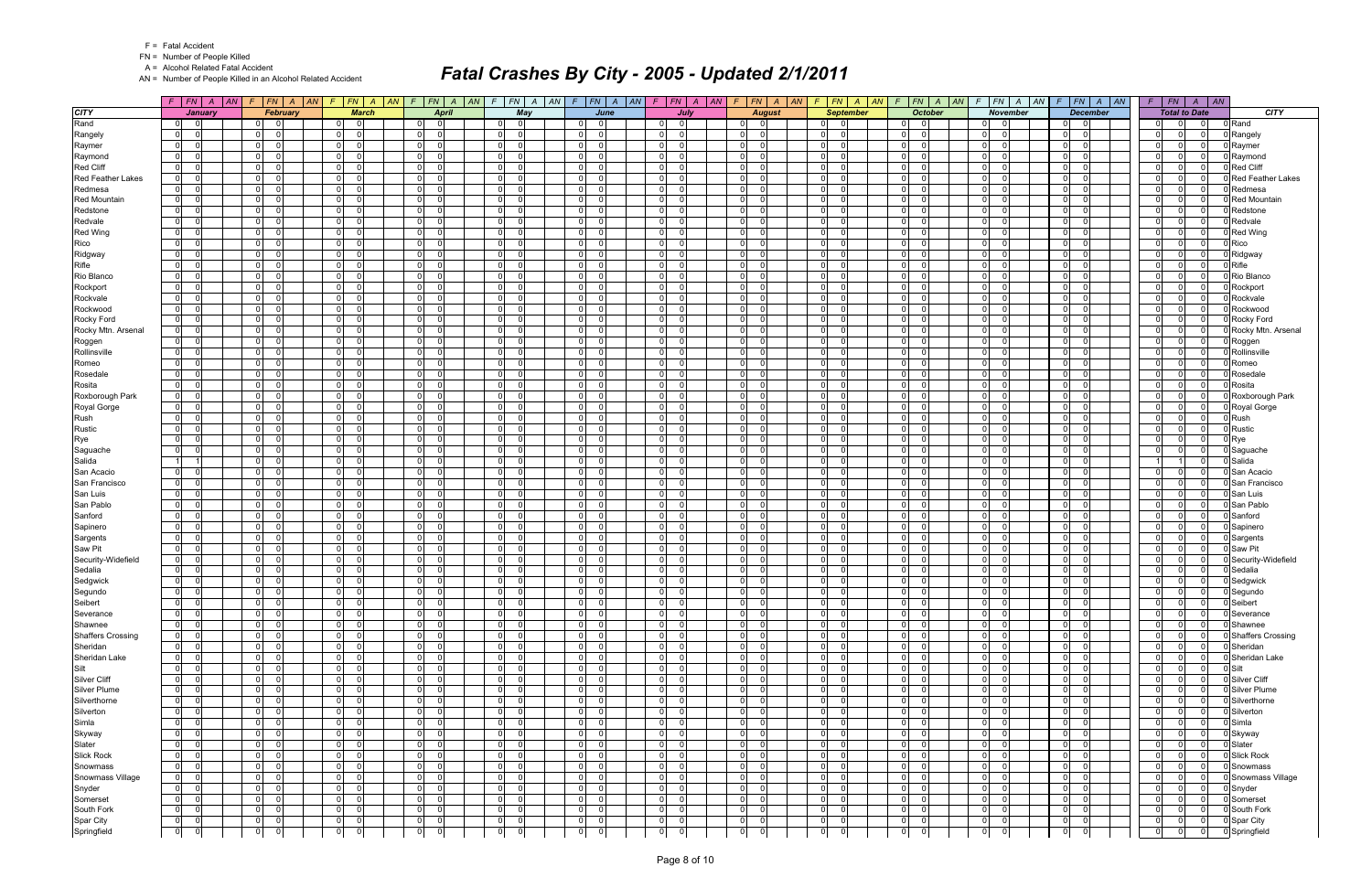FN = Number of People Killed

A = Alcohol Related Fatal Accident

AN = Number of People Killed in an Alcohol Related Accident

|                          | $F$   $FN$   $A$   $AN$          |                                  |                | $F$ $FN$ $A$ $AN$ $F$ $FN$ $A$ $AN$       | $F$ $FN$ $A$ $AN$           |                                            | $F$ $FN$ $A$ $AN$ $F$ $FN$ $A$ $AN$ $F$ $FN$ $A$ $AN$ $F$ $FN$ $A$ $AN$ |                                  |                                  | $F$   $FN$   $A$   $AN$                    | $F$ $ FN $ $A$ $ AN $            |                                           | $F$ $F$ $\vert$ $F$ $\vert$ $A$ $\vert$ $AN$ $\vert$ $F$ $\vert$ $F$ $\vert$ $F$ $\vert$ $A$ $\vert$ $AN$ |          | $F$   $FN$   $A$   $AN$                      |                          |
|--------------------------|----------------------------------|----------------------------------|----------------|-------------------------------------------|-----------------------------|--------------------------------------------|-------------------------------------------------------------------------|----------------------------------|----------------------------------|--------------------------------------------|----------------------------------|-------------------------------------------|-----------------------------------------------------------------------------------------------------------|----------|----------------------------------------------|--------------------------|
| <b>CITY</b>              | <b>January</b>                   |                                  | February       | <b>March</b>                              | <b>April</b>                | May                                        | June                                                                    | July                             | <b>August</b>                    | <b>September</b>                           | <b>October</b>                   | <b>November</b>                           | <b>December</b>                                                                                           |          | <b>Total to Date</b>                         | <b>CITY</b>              |
| Rand                     | -01<br>ി                         | 01<br>- 0                        |                | $\overline{0}$<br>- 0                     | $\mathbf 0$<br>$\Omega$     | $\Omega$<br>01                             | $\Omega$<br>$\overline{0}$                                              | $\Omega$<br>01                   | $\Omega$<br>$\overline{0}$       | 0 <br>- 0                                  | $\Omega$<br>-01                  | $0\qquad 0$                               | $\overline{\mathbf{0}}$<br>0                                                                              |          | $\Omega$<br>$\Omega$<br>$\Omega$             | 0 Rand                   |
| Rangely                  | $\mathbf 0$                      | $\overline{0}$<br>$\Omega$       |                | $\overline{0}$<br>$\Omega$                | $\overline{0}$<br>$\Omega$  | $\overline{0}$<br>- 0                      | -ol<br><sup>0</sup>                                                     | 0 <br>$\Omega$                   | -ol<br>$\Omega$                  | $\overline{0}$<br>- 0                      | $\Omega$<br>$\Omega$             | 0 <br>$\Omega$                            | 0 I<br>- 0                                                                                                |          | $\Omega$<br>$\Omega$<br>$\Omega$             | Rangely                  |
| Raymer                   | $\mathbf 0$                      | $\overline{0}$<br>$\Omega$       |                | $\overline{0}$<br>$\Omega$                | $\mathbf 0$<br>$\Omega$     | 0 <br>$\Omega$                             | 0 <br>$\Omega$                                                          | 0                                | -ol<br>$\Omega$                  | 0                                          | $\Omega$<br>$\Omega$             | $\overline{0}$<br>$\Omega$                | 0 <br>$\Omega$                                                                                            |          | $\Omega$<br>$\Omega$                         | Raymer                   |
| Raymond                  | $\mathbf 0$                      | $\overline{0}$                   |                | $\overline{0}$<br>$\Omega$                | $\mathbf 0$<br>$\Omega$     | $\overline{0}$                             | $\mathbf 0$<br><sup>0</sup>                                             | $\overline{0}$                   | 0 <br>$\Omega$                   | 0                                          | $\Omega$<br>$\Omega$             | $\overline{0}$<br>$\Omega$                | - 0 l<br>$\Omega$                                                                                         | $\Omega$ | $\Omega$<br>$\Omega$                         | Raymond                  |
| <b>Red Cliff</b>         | $\mathbf 0$                      | $\overline{0}$<br>$\Omega$       |                | $\overline{0}$<br>$\Omega$                | $\Omega$<br>$\Omega$        | $\overline{0}$<br>- C                      | $\mathbf{0}$<br>$\Omega$                                                | 0                                | -ol<br>$\Omega$                  | 0                                          | $\Omega$<br>$\Omega$             | $\overline{0}$                            | n l<br>$\Omega$                                                                                           | $\Omega$ | $\Omega$<br>$\Omega$                         | <b>Red Cliff</b>         |
| <b>Red Feather Lakes</b> | $\mathbf 0$                      | 0 <br>$\Omega$                   |                | $\overline{0}$<br>$\Omega$                | $\mathbf{0}$<br>$\Omega$    | $\mathbf{0}$<br>- 0                        | - ol<br><sup>n</sup>                                                    | 0 <br>$\Omega$                   | 0 <br>$\Omega$                   | $\overline{0}$                             | $\Omega$<br>$\Omega$             | $\overline{0}$<br>$\Omega$                | 0 I<br>- 0                                                                                                |          | $\Omega$<br>$\Omega$<br>$\Omega$             | <b>Red Feather Lakes</b> |
| Redmesa                  | $\mathbf 0$                      | $\overline{0}$                   | $\Omega$       | $\overline{0}$<br>$\Omega$                | $\mathbf 0$<br>$\Omega$     | $\overline{0}$<br>$\Omega$                 | $\mathbf 0$<br>$\Omega$                                                 | 0                                | 0 <br>$\Omega$                   | 0                                          | $\Omega$<br>$\Omega$             | $\overline{0}$<br>$\Omega$                | $\Omega$<br>$\Omega$                                                                                      |          | $\Omega$<br>$\Omega$                         | Redmesa                  |
| <b>Red Mountain</b>      | $\mathbf 0$                      | $\Omega$                         | $\Omega$       | $\overline{0}$<br>$\Omega$                | $\overline{0}$<br>$\Omega$  | $\overline{0}$                             | -ol<br><sup>n</sup>                                                     | $\overline{0}$                   | -01<br>- 0                       | 0                                          | $\Omega$<br>$\Omega$             | $\overline{0}$<br>$\Omega$                | 0 I<br>$\Omega$                                                                                           |          | $\Omega$<br>$\Omega$                         | <b>Red Mountain</b>      |
| Redstone                 | $\mathbf 0$                      | $\overline{0}$<br>$\Omega$       |                | $\overline{0}$<br>$\Omega$                | $\mathbf 0$<br>$\Omega$     | $\overline{0}$<br>$\Omega$                 | 0 <br>$\Omega$                                                          | 0                                | -ol<br>$\Omega$                  | 0                                          | $\Omega$<br>$\Omega$             | $\overline{0}$<br>$\Omega$                | $\Omega$<br>$\Omega$                                                                                      |          | $\Omega$<br>$\Omega$<br>$\Omega$             | Redstone                 |
| Redvale                  | $\mathbf 0$                      | $\overline{0}$                   | $\Omega$       | $\overline{0}$<br>$\Omega$                | $\overline{0}$<br>$\Omega$  | $\overline{0}$<br>$\Omega$                 | -ol                                                                     | 0 <br>$\Omega$                   | -01<br>$\Omega$                  | $\overline{0}$                             | $\Omega$<br>$\Omega$             | $\overline{0}$                            | 0 I<br>- 0                                                                                                | $\Omega$ | $\Omega$<br>$\Omega$                         | Redvale                  |
| <b>Red Wing</b>          | $\mathbf 0$                      | $\circ$                          |                | $\circ$<br>$\Omega$                       | $\Omega$<br>$\Omega$        | $\overline{0}$<br>$\Omega$                 | $\mathbf 0$<br>U                                                        | 0                                | -ol<br>$\Omega$                  | 0                                          | $\Omega$<br>$\Omega$             | $\overline{0}$<br>$\Omega$                | $\Omega$<br>$\Omega$                                                                                      | $\Omega$ | $\Omega$<br>$\Omega$                         | <b>Red Wing</b>          |
| Rico                     | $\mathbf 0$                      | $\overline{0}$                   |                | $\overline{0}$<br>$\Omega$                | $\mathbf 0$<br>$\Omega$     | $\overline{0}$                             | $\overline{0}$<br><sup>0</sup>                                          | $\overline{0}$                   | 0 <br>$\Omega$                   | $\overline{0}$                             | $\Omega$<br>$\Omega$             | $\overline{0}$<br>$\Omega$                | $\mathbf 0$<br>$\Omega$                                                                                   |          | $\Omega$<br>$\Omega$<br>$\Omega$             | Rico                     |
| Ridgway                  | $\mathbf 0$                      | $\overline{0}$<br>$\Omega$       |                | $\overline{0}$<br>$\Omega$                | $\overline{0}$<br>$\Omega$  | $\overline{0}$<br>$\Omega$                 | - ol<br><sup>0</sup>                                                    | $\overline{0}$                   | -01<br>$\Omega$                  | 0                                          | $\Omega$<br>$\Omega$             | $\overline{0}$<br>$\Omega$                | $\Omega$<br>$\Omega$                                                                                      |          | $\Omega$<br>$\Omega$<br>$\Omega$             | Ridgway                  |
| Rifle                    | $\mathbf 0$                      | $\overline{0}$<br>$\Omega$       |                | $\overline{0}$<br>$\Omega$                | $\overline{0}$<br>$\Omega$  | 0 <br>- C                                  | $\overline{0}$<br>$\Omega$                                              | 0 <br>∩                          | 0 <br>$\Omega$                   | 0                                          | $\Omega$<br>$\Omega$             | $\overline{0}$<br>$\Omega$                | $\mathbf 0$<br>$\Omega$                                                                                   |          | $\Omega$<br>$\Omega$<br>$\Omega$             | Rifle                    |
| Rio Blanco               | $\mathbf 0$                      | $\overline{0}$<br>$\cap$         |                | $\overline{0}$<br>$\Omega$                | $\overline{0}$<br>$\Omega$  | $\mathbf{0}$<br>$\Omega$                   | 0 <br>$\Omega$                                                          | 0 <br>$\Omega$                   | -ol<br>$\Omega$                  | 0                                          | $\Omega$<br>$\Omega$             | $\overline{0}$                            | n l<br>$\Omega$                                                                                           |          | $\Omega$<br>$\Omega$<br>$\Omega$             | Rio Blanco               |
| Rockport                 | $\mathbf 0$                      | $\overline{0}$                   | $\Omega$       | $\overline{0}$<br>$\Omega$                | $\mathbf 0$<br>$\Omega$     | $\overline{0}$                             | 0 <br><sup>n</sup>                                                      | $\overline{0}$                   | $\Omega$<br>$\Omega$             | 0                                          | $\Omega$<br>$\Omega$             | $\overline{0}$<br>$\Omega$                | 0 <br>$\Omega$                                                                                            |          | $\Omega$<br>$\Omega$                         | Rockport                 |
|                          | $\mathbf 0$                      | 0 <br>$\Omega$                   |                | $\overline{0}$<br>$\Omega$                | $\overline{0}$<br>$\Omega$  | 0 <br>$\Omega$                             | - ol<br>$\Omega$                                                        | 0                                | $\mathbf{0}$<br>$\Omega$         | 0                                          | $\Omega$<br>$\Omega$             | $\overline{0}$<br>$\Omega$                | - 0 l<br>$\Omega$                                                                                         |          | $\Omega$<br>$\Omega$<br>$\Omega$             |                          |
| Rockvale                 |                                  | $\Omega$                         |                |                                           |                             |                                            | $\mathbf{0}$<br>$\Omega$                                                |                                  |                                  |                                            | $\Omega$                         | $\overline{0}$<br>$\Omega$                |                                                                                                           | $\Omega$ | $\Omega$                                     | Rockvale                 |
| Rockwood                 | $\mathbf 0$                      | $\overline{0}$<br>$\cap$         |                | $\overline{0}$<br>$\Omega$<br>$\Omega$    | $\overline{0}$<br>$\Omega$  | 0 <br>- 0<br>$\Omega$                      | $\Omega$                                                                | $\overline{0}$<br>n<br>$\Omega$  | -ol<br>$\Omega$<br>$\Omega$      | 0                                          | $\Omega$                         | $\Omega$                                  | $\Omega$<br>- 0                                                                                           |          | - 0<br>$\Omega$<br>$\Omega$                  | Rockwood                 |
| Rocky Ford               | $\overline{0}$                   | $\overline{0}$                   |                | $\overline{0}$                            | 0 <br>$\Omega$              | 0                                          | -ol                                                                     | 0                                | 0                                | $\overline{0}$                             | $\Omega$<br>$\Omega$             | $\overline{0}$                            | 0 I<br>$\Omega$                                                                                           |          | $\Omega$                                     | Rocky Ford               |
| Rocky Mtn. Arsenal       | $\mathbf 0$                      | $\overline{0}$                   | $\Omega$       | $\overline{0}$<br>$\Omega$                | $\mathbf 0$<br>$\Omega$     | $\overline{0}$                             | $\mathbf 0$<br><sup>0</sup>                                             | $\overline{0}$                   | 0 <br>$\Omega$                   | 0                                          | $\Omega$<br>$\mathbf 0$          | $\overline{0}$<br>$\Omega$                | 0l<br>$\Omega$                                                                                            |          | $\Omega$<br>$\Omega$                         | Rocky Mtn. Arsenal       |
| Roggen                   | $\mathbf 0$                      | $\Omega$                         | $\Omega$       | $\overline{0}$<br>$\Omega$                | $\mathbf 0$<br>$\Omega$     | 0 <br>$\Omega$                             | -ol<br>U                                                                | $\overline{0}$                   | $\mathbf{0}$<br>$\Omega$         | 0                                          | $\Omega$<br>$\Omega$             | 0 <br>$\Omega$                            | 0 I<br>$\Omega$                                                                                           | $\Omega$ | $\Omega$<br>$\Omega$                         | Roggen                   |
| Rollinsville             | $\mathbf 0$                      | $\overline{0}$<br>$\Omega$       |                | $\overline{0}$<br>$\Omega$                | $\mathbf{0}$<br>$\Omega$    | $\overline{0}$<br>- റ                      | ol<br>$\Omega$                                                          | 0 <br>$\Omega$                   | 0 <br>$\Omega$                   | 0 <br>ſ                                    | $\overline{0}$<br>$\Omega$       | $\overline{0}$<br>$\Omega$                | $\mathbf 0$<br>$\Omega$                                                                                   |          | $\Omega$<br>$\Omega$<br>$\Omega$             | Rollinsville             |
| Romeo                    | $\mathbf 0$                      | $\overline{0}$                   | $\Omega$       | $\overline{0}$<br>$\Omega$                | 0 <br>$\Omega$              | $\overline{0}$<br>$\Omega$                 | -ol<br>U                                                                | 0 <br>$\Omega$                   | 0 <br>$\Omega$                   | 0                                          | $\Omega$<br>$\Omega$             | $\overline{0}$<br>$\Omega$                | $\Omega$<br>$\Omega$                                                                                      |          | $\Omega$<br>$\Omega$<br>$\Omega$             | Romeo                    |
| Rosedale                 | $\mathbf 0$                      | $\mathbf 0$<br>$\Omega$          |                | $\mathbf 0$<br>$\Omega$                   | $\Omega$<br>$\Omega$        | $\overline{0}$<br>$\sqrt{ }$               | $\mathbf 0$<br><sup>n</sup>                                             | $\mathbf{0}$                     | $\Omega$<br>$\Omega$             | 0                                          | $\Omega$<br>$\Omega$             | $\overline{0}$<br>$\Omega$                | $\Omega$<br>$\Omega$                                                                                      |          | $\Omega$<br>$\Omega$                         | Rosedale                 |
| Rosita                   | $\mathbf 0$                      | 0 <br>$\Omega$                   |                | $\overline{0}$<br>$\Omega$                | 0 <br>$\Omega$              | $\overline{0}$<br>- 0                      | - ol<br>$\Omega$                                                        | 0 <br>$\Omega$                   | $\mathbf{0}$<br>$\Omega$         | $\overline{0}$                             | $\Omega$<br>$\Omega$             | $\overline{0}$<br>$\Omega$                | 0 I<br>$\Omega$                                                                                           |          | $\Omega$<br>$\Omega$<br>$\Omega$             | Rosita                   |
| Roxborough Park          | $\mathbf 0$                      | $\Omega$<br>$\Omega$             |                | $\mathbf 0$                               | $\Omega$<br>$\Omega$        | $\overline{0}$<br>- 0                      | $\overline{0}$<br><sup>n</sup>                                          | 0                                | -ol<br>$\Omega$                  | 0                                          | $\Omega$<br>$\Omega$             | $\overline{0}$                            | - Ol<br>$\Omega$                                                                                          |          | $\Omega$<br>$\Omega$                         | Roxborough Park          |
| Royal Gorge              | $\mathbf 0$                      | 0                                | $\Omega$       | $\circ$<br>$\Omega$                       | $\mathbf{0}$<br>$\Omega$    | $\overline{0}$<br>- 0                      | -ol<br><sup>n</sup>                                                     | 0 <br>$\Omega$                   | 0 <br>$\Omega$                   | $\overline{0}$                             | $\Omega$<br>$\Omega$             | $\overline{0}$<br>$\Omega$                | 0 I<br>- 0                                                                                                |          | $\Omega$<br>$\Omega$<br>$\Omega$             | Royal Gorge              |
| Rush                     | $\mathbf 0$                      | $\overline{0}$                   |                | $\overline{0}$<br>$\Omega$                | $\mathbf 0$<br>$\Omega$     | $\overline{0}$                             | $\mathbf 0$<br>$\Omega$                                                 | 0                                | $\mathbf{0}$<br>$\Omega$         | 0                                          | $\Omega$<br>$\Omega$             | $\overline{0}$<br>$\Omega$                | $\Omega$<br>$\Omega$                                                                                      |          | $\Omega$<br>$\Omega$                         | Rush                     |
| Rustic                   | $\mathbf 0$                      | $\Omega$                         | $\Omega$       | $\overline{0}$<br>$\Omega$                | $\mathbf 0$<br>$\Omega$     | $\overline{0}$                             | $\Omega$<br><sup>n</sup>                                                | $\overline{0}$                   | -01<br>$\Omega$                  | 0                                          | $\Omega$<br>$\Omega$             | $\overline{0}$<br>$\Omega$                | - 0 l<br>$\Omega$                                                                                         |          | $\Omega$<br>$\Omega$                         | Rustic                   |
| Rye                      | $\mathbf 0$                      | 0 <br>$\cap$                     |                | $\overline{0}$<br>$\Omega$                | $\mathbf 0$<br>$\Omega$     | $\overline{0}$<br>$\Omega$                 | 0 <br>$\Omega$                                                          | 0 <br>$\Omega$                   | -ol<br>$\Omega$                  | 0                                          | $\Omega$<br>$\Omega$             | $\overline{0}$<br>$\Omega$                | - 0 l<br>$\Omega$                                                                                         |          | $\Omega$<br>$\Omega$<br>$\Omega$             | Rye                      |
| Saguache                 | $\mathbf 0$                      | $\overline{0}$                   | $\Omega$       | $\overline{0}$<br>$\Omega$                | $\mathbf 0$<br>$\Omega$     | $\overline{0}$<br>$\Omega$                 | -ol<br><sup>n</sup>                                                     | 0 <br>$\Omega$                   | -01<br>$\Omega$                  | $\overline{0}$                             | $\Omega$<br>$\Omega$             | $\overline{0}$<br>$\Omega$                | - 0 l<br>- 0                                                                                              | $\Omega$ | $\Omega$<br>$\Omega$                         | Saguache                 |
| Salida                   | 1                                | $\overline{0}$                   |                | $\overline{0}$<br>$\Omega$                | $\Omega$<br>$\Omega$        | $\overline{0}$<br>$\Omega$                 | $\mathbf 0$<br>U                                                        | 0                                | -ol<br>$\Omega$                  | 0                                          | $\Omega$<br>$\Omega$             | $\overline{0}$<br>$\Omega$                | $\Omega$<br>$\Omega$                                                                                      |          | $\Omega$                                     | Salida                   |
| San Acacio               | $\overline{0}$                   | $\overline{0}$                   | $\Omega$       | $\overline{0}$<br>$\Omega$                | $\mathbf 0$<br>$\Omega$     | $\overline{0}$                             | $\overline{0}$<br><sup>0</sup>                                          | $\overline{0}$                   | 0 <br>$\Omega$                   | $\overline{0}$                             | $\Omega$<br>$\Omega$             | $\overline{0}$<br>$\Omega$                | $\mathbf 0$<br>$\Omega$                                                                                   | $\Omega$ | $\Omega$<br>$\Omega$                         | San Acacio               |
| San Francisco            | $\mathbf 0$                      | $\Omega$<br>$\Omega$             |                | $\overline{0}$<br>$\Omega$                | $\Omega$<br>$\Omega$        | $\overline{0}$<br>$\Omega$                 | $\overline{0}$<br><sup>0</sup>                                          | $\overline{0}$                   | -ol<br>$\Omega$                  | 0                                          | $\Omega$<br>$\Omega$             | $\overline{0}$                            | n l<br>$\Omega$                                                                                           | $\Omega$ | $\Omega$<br>$\Omega$                         | San Francisco            |
| San Luis                 | $\mathbf 0$                      | $\overline{0}$<br>$\cap$         |                | $\overline{0}$<br>$\Omega$                | $\mathbf{0}$<br>$\Omega$    | $\mathbf{0}$<br>- 0                        | - ol<br><sup>n</sup>                                                    | 0 <br>$\Omega$                   | 0 <br>$\Omega$                   | $\overline{0}$                             | $\Omega$<br>$\Omega$             | $\overline{0}$<br>$\Omega$                | 0 I<br>- 0                                                                                                |          | $\Omega$<br>$\Omega$<br>$\Omega$             | San Luis                 |
| San Pablo                | $\mathbf 0$                      | $\overline{0}$                   |                | $\overline{0}$                            | $\mathbf 0$<br>$\Omega$     | $\overline{0}$                             | $\mathbf 0$<br>U                                                        | $\overline{0}$                   | $\Omega$<br>$\Omega$             | 0                                          | $\Omega$<br>$\Omega$             | $\overline{0}$<br>$\Omega$                | $\Omega$<br>$\Omega$                                                                                      |          | $\Omega$<br>$\Omega$                         | San Pablo                |
| Sanford                  | $\mathbf 0$                      | $\overline{0}$                   |                | $\overline{0}$<br>$\Omega$                | $\overline{0}$<br>$\Omega$  | $\overline{0}$                             | $\Omega$<br><sup>n</sup>                                                | $\overline{0}$                   | -01<br>$\Omega$                  | 0                                          | $\Omega$<br>$\Omega$             | $\overline{0}$<br>$\Omega$                | - 0 l<br>$\Omega$                                                                                         |          | $\Omega$<br>$\Omega$                         | Sanford                  |
| Sapinero                 | $\mathbf 0$                      | $\overline{0}$<br>$\Omega$       |                | $\overline{0}$<br>$\Omega$                | $\overline{0}$<br>$\Omega$  | $\overline{0}$                             | $\overline{0}$<br>$\Omega$                                              | 0                                | 0 <br>$\Omega$                   | 0                                          | $\Omega$<br>$\Omega$             | $\overline{0}$                            | - 0 l<br>$\Omega$                                                                                         |          | $\Omega$<br>$\Omega$<br>$\Omega$             | Sapinero                 |
| Sargents                 | $\mathbf 0$                      | $\Omega$<br>$\Omega$             |                | $\overline{0}$<br>$\Omega$                | $\Omega$<br>$\Omega$        | 0 <br>$\Omega$                             | $\overline{0}$<br>$\Omega$                                              | 0 <br>n                          | -ol<br>$\Omega$                  | 0                                          | $\Omega$<br>$\Omega$             | $\overline{0}$<br>$\Omega$                | $\Omega$<br>- 0                                                                                           | $\Omega$ | $\Omega$<br>$\Omega$                         | Sargents                 |
| Saw Pit                  | $\overline{0}$                   | $\overline{0}$<br>$\cap$         |                | $\overline{0}$<br>$\Omega$                | $\Omega$<br>$\Omega$        | 0 <br>$\Omega$                             | -ol<br>$\Omega$                                                         | 0                                | 0 <br>$\Omega$                   | $\overline{0}$                             | $\Omega$<br>$\Omega$             | $\overline{0}$<br>$\Omega$                | - 0 l<br>$\Omega$                                                                                         |          | $\Omega$<br>$\Omega$<br>$\Omega$             | 0 Saw Pit                |
| Security-Widefield       | $\mathbf 0$                      | $\overline{0}$                   |                | $\overline{0}$<br>$\Omega$                | $\mathbf 0$<br>$\Omega$     | $\overline{0}$                             | $\mathbf 0$<br><sup>0</sup>                                             | $\overline{0}$                   | 0 <br>$\Omega$                   | 0                                          | $\Omega$<br>$\mathbf 0$          | $\overline{0}$<br>$\Omega$                | 0 <br>$\Omega$                                                                                            |          | $\Omega$<br>$\Omega$                         | 0 Security-Widefield     |
| Sedalia                  | $\mathbf 0$                      | $\overline{0}$                   | $\Omega$       | $\overline{0}$<br>$\Omega$                | $\mathbf 0$<br>$\Omega$     | 0 <br>$\Omega$                             | -ol                                                                     | $\overline{0}$                   | -01<br>$\Omega$                  | $\overline{0}$                             | $\Omega$<br>$\Omega$             | 0 <br>$\Omega$                            | - 0 l<br>$\Omega$                                                                                         | $\Omega$ | $\Omega$<br>$\Omega$                         | Sedalia                  |
| Sedgwick                 | $\mathbf 0$                      | $\overline{0}$<br>$\Omega$       |                | $\overline{0}$<br>$\Omega$                | - O I<br>$\Omega$           | $\overline{0}$<br>- 0                      | 0 <br><sup>n</sup>                                                      | 0 <br>$\Omega$                   | 0 <br>$\Omega$                   | $\overline{0}$<br>- 0                      | $\Omega$<br>$\Omega$             | $\overline{0}$<br>∩                       | $\mathbf 0$<br>$\Omega$                                                                                   |          | $\Omega$<br>$\Omega$<br>$\Omega$             | Sedgwick                 |
| Segundo                  | $\mathbf 0$                      | 0 <br>$\Omega$                   |                | $\overline{0}$<br>$\Omega$                | 0 <br>$\Omega$              | 0 <br>$\mathbf 0$                          | 0 <br>$\Omega$                                                          | 0 <br>$\Omega$                   | 0 <br>$\Omega$                   | $\overline{0}$<br>$\Omega$                 | $\overline{0}$<br>$\Omega$       | $\overline{0}$<br>$\Omega$                | $\overline{0}$<br>-01                                                                                     |          | $\Omega$<br>$\Omega$<br>$\Omega$             | 0 Segundo                |
| Seibert                  | $\mathbf 0$                      | $\mathbf{0}$                     | 0              | 0 <br>$\mathbf 0$                         | 0 <br>$\mathbf 0$           | 0 <br>$\overline{0}$                       | $\overline{0}$<br>$\mathbf 0$                                           | $\overline{0}$<br>$\mathbf 0$    | $\mathbf{0}$<br>$\mathbf 0$      | $\overline{0}$<br>- 01                     | 0 <br>$\mathbf 0$                | 0 <br> 0                                  | 0 <br> 0                                                                                                  |          | $\overline{0}$<br>$\mathbf 0$<br>- O I       | 0 Seibert                |
| Severance                | 0 <br>$\overline{0}$             | $\overline{0}$                   | $\Omega$       | 0 <br>$\overline{0}$                      | 0 <br>$\overline{0}$        | 0 <br>$\Omega$                             | 0 <br>$\mathbf 0$                                                       | $\overline{0}$<br>$\overline{0}$ | $\overline{0}$<br>$\Omega$       | 0 <br>$\overline{\phantom{0}}$             | 0 <br>$\overline{0}$             | $ 0 $ 0                                   | 0 <br>$\overline{\mathbf{0}}$                                                                             |          | $\Omega$<br> 0 <br>0 l                       | 0 Severance              |
| Shawnee                  | 0                                | $\overline{0}$<br>- 0            |                | 0 <br>$\overline{\mathbf{0}}$             | 0 <br>$\Omega$              | $0$ 0                                      | $\overline{0}$<br>$\Omega$                                              | $\overline{0}$<br>$\Omega$       | 0 <br>$\overline{0}$             | 0 <br>$\overline{\phantom{0}}$             | 0 <br>$\overline{0}$             | $0$ 0                                     | $\overline{\mathbf{0}}$<br>01                                                                             |          | $\Omega$<br>$\Omega$<br>$\Omega$             | 0 Shawnee                |
| <b>Shaffers Crossing</b> | $\overline{0}$<br>$\overline{0}$ | $\overline{0}$                   | $\overline{0}$ | $\overline{0}$<br>$\overline{\mathbf{0}}$ | 0 <br>$\overline{0}$        | $0$ 0                                      | 0 <br>$\overline{0}$                                                    | $\overline{0}$<br>$\Omega$       | $\overline{0}$<br>$\overline{0}$ | $0$ 0                                      | 0 <br>$\overline{\phantom{0}}$   | $ 0 $ 0                                   | $\overline{0}$<br> 0                                                                                      |          | $\Omega$<br>$\Omega$<br>$\Omega$             | 0 Shaffers Crossing      |
| Sheridan                 | 0 <br>$\overline{0}$             | $\overline{0}$<br>$\Omega$       |                | 0 <br>$\overline{\mathbf{0}}$             | 0 <br>0                     | $0\qquad 0$                                | 0 <br>$\Omega$                                                          | $\overline{0}$<br>$\Omega$       | 0 <br>$\mathbf 0$                | $0 \vert 0$                                | 0 <br>$\overline{0}$             | $0\qquad 0$                               | 0 <br>$\overline{0}$                                                                                      |          | $\Omega$<br>0 I<br>$\Omega$                  | 0 Sheridan               |
| Sheridan Lake            | 0 <br>- 0                        | $\overline{0}$                   | - Ol           | 0 <br>$\overline{\mathbf{0}}$             | 0 <br>$\Omega$              | $0$ 0                                      | $\overline{0}$<br>$\mathbf 0$                                           | $\overline{0}$<br>$\overline{0}$ | $\mathbf{0}$<br>$\overline{0}$   | $\overline{0}$<br>$\Omega$                 | 0 <br>$\overline{0}$             | $\overline{0}$<br>$\overline{0}$          | 0 I<br> 0                                                                                                 |          | $\Omega$<br>$\Omega$<br>0 l                  | 0 Sheridan Lake          |
| Silt                     | $\overline{0}$                   | $\overline{0}$<br>- 0            |                | $\overline{0}$<br>$\overline{\mathbf{0}}$ | 0 <br>0                     | $0$ 0                                      | 0 <br>$\Omega$                                                          | $\overline{0}$<br>- 0            | 0 <br>- O I                      | $0 \vert 0$                                | 0 <br>$\overline{0}$             | $\overline{0}$<br>$\Omega$                | $\overline{0}$<br>$\overline{0}$                                                                          |          | $\overline{0}$<br>0 I<br>$\Omega$            | 0 Silt                   |
|                          | 0                                | $\overline{0}$<br>$\Omega$       |                | 0 <br>$\overline{0}$                      | 0 <br>$\mathbf 0$           | $\overline{0}$<br>$\overline{\phantom{0}}$ | $\overline{0}$<br>$\Omega$                                              | $\overline{0}$<br>$\Omega$       | 0 <br>$\overline{0}$             | $\overline{0}$<br>$\overline{\mathbf{0}}$  | $\overline{0}$<br>$\overline{0}$ | $\overline{0}$<br>- 0                     | $\overline{0}$<br> 0                                                                                      |          | $\Omega$<br>$\Omega$<br>$\Omega$             | 0 Silver Cliff           |
| <b>Silver Cliff</b>      |                                  | $\Omega$                         |                | $\overline{0}$                            | $\Omega$                    |                                            | $\Omega$                                                                | $\Omega$                         | 0 <br>$\Omega$                   |                                            |                                  | 0 <br>$\Omega$                            |                                                                                                           |          | $\Omega$<br>$\Omega$<br>$\Omega$             |                          |
| Silver Plume             | $\overline{0}$                   | $\overline{0}$                   |                | 0                                         | 0                           | 0 <br>$\overline{\mathbf{0}}$              | 0                                                                       | 0                                |                                  | $\overline{0}$<br>$\overline{0}$           | $\overline{0}$<br>$\mathbf 0$    |                                           | $\overline{0}$<br>$\overline{0}$                                                                          |          |                                              | 0 Silver Plume           |
| Silverthorne             | 0                                | $\overline{0}$                   | $\overline{0}$ | 0 <br>$\overline{\mathbf{0}}$             | 0 <br>$\mathbf 0$           | $0$ 0                                      | 0 <br>$\Omega$                                                          | $\overline{0}$<br>$\Omega$       | $\overline{0}$<br>$\overline{0}$ | $ 0 $ $ 0 $                                | 0 <br>$\overline{0}$             | $0$ 0                                     | 01<br> 0                                                                                                  |          | $\Omega$<br>0 I<br>$\Omega$                  | 0 Silverthorne           |
| Silverton                | $\overline{0}$                   | $\overline{0}$<br>$\Omega$       |                | 0 <br>$\overline{0}$                      | 0 <br>$\Omega$              | $0$ 0                                      | 0 <br>$\Omega$                                                          | $\overline{0}$<br>$\Omega$       | 0 <br>$\mathbf 0$                | $\overline{0}$<br>$\overline{\mathbf{0}}$  | $\overline{0}$<br>$\overline{0}$ | 0 <br>$\overline{0}$                      | $\overline{0}$<br> 0                                                                                      |          | $\Omega$<br>$\Omega$<br>$\Omega$             | 0 Silverton              |
| Simla                    | 0                                | $\overline{0}$<br>- 0            |                | $\overline{0}$<br>$\overline{\mathbf{0}}$ | 0 <br>0                     | $0$ 0                                      | 0 <br>$\Omega$                                                          | $\overline{0}$<br>$\Omega$       | $\overline{0}$<br>$\overline{0}$ | $0\qquad 0$                                | 0 <br>$\overline{0}$             | $ 0 $ 0                                   | 01<br> 0                                                                                                  |          | -01<br>$\Omega$<br>$\overline{0}$            | 0 Simla                  |
| Skyway                   | $\overline{0}$                   | $\overline{0}$<br>$\Omega$       |                | 0 <br>$\Omega$                            | 0 <br>$\Omega$              | $\overline{0}$<br>$\overline{\mathbf{0}}$  | 0 <br>$\Omega$                                                          | 0                                | 0 <br>$\Omega$                   | 0 <br>$\overline{0}$                       | $\overline{0}$<br>$\overline{0}$ | 0 <br>$\Omega$                            | $\overline{0}$<br>$\overline{0}$                                                                          |          | $\Omega$<br>$\Omega$                         | 0 Skyway                 |
| Slater                   | $\overline{0}$                   | 0 <br>- 0                        |                | 0 <br>$\overline{\mathbf{0}}$             | 0 <br>$\Omega$              | $0$ 0                                      | 0 <br>$\Omega$                                                          | $\overline{0}$<br>$\Omega$       | 0 <br>$\Omega$                   | $\overline{0}$<br>- 01                     | 0 <br>$\overline{0}$             | $0\qquad 0$                               | $\overline{0}$<br> 0                                                                                      |          | $\Omega$<br>$\Omega$<br>$\Omega$             | 0 Slater                 |
| <b>Slick Rock</b>        | $\overline{0}$                   | $\overline{0}$<br>$\overline{0}$ |                | 0 <br>$\overline{0}$                      | 0 <br>0                     | $0$ 0                                      | $\overline{0}$<br>$\Omega$                                              | $\overline{0}$<br>$\overline{0}$ | 0 <br>$\overline{0}$             | $\overline{0}$<br>$\overline{\phantom{0}}$ | $\overline{0}$<br>$\overline{0}$ | $ 0 $ 0                                   | $\overline{0}$<br> 0                                                                                      |          | $\Omega$<br>$\Omega$<br>$\Omega$             | 0 Slick Rock             |
| Snowmass                 | $\mathbf 0$<br>- 0               | $\overline{0}$<br>$\overline{0}$ |                | 0 <br>$\overline{\mathbf{0}}$             | 0 <br>$\Omega$              | $\overline{0}$<br>$\overline{0}$           | $\overline{0}$<br>$\Omega$                                              | $\overline{0}$<br>$\Omega$       | 0 <br>$\overline{0}$             | $\overline{0}$<br>$\overline{\mathbf{0}}$  | $\overline{0}$<br> 0             | $\overline{0}$<br>$\Omega$                | $\overline{0}$<br>- 01                                                                                    |          | $\Omega$<br>$\Omega$<br>$\overline{0}$       | 0 Snowmass               |
| Snowmass Village         | $\overline{0}$                   | $\overline{0}$                   | 0              | 0 <br>$\overline{\mathbf{0}}$             | 0 <br>$\mathbf 0$           | 0 <br>$\overline{\mathbf{0}}$              | 0 <br>$\Omega$                                                          | 0 <br>0                          | 0 <br>$\mathbf 0$                | $0 \vert 0$                                | $\overline{0}$<br>$\overline{0}$ | $0\qquad 0$                               | $\overline{0}$<br> 0                                                                                      |          | $\Omega$<br>$\Omega$                         | 0 Snowmass Village       |
| Snyder                   | $\mathbf 0$                      | 0                                | $\Omega$       | 0 <br>$\Omega$                            | 0 <br>0                     | $\overline{0}$<br>$\overline{0}$           | $\overline{0}$<br>$\Omega$                                              | $\overline{0}$<br>$\Omega$       | 0 <br>$\overline{0}$             | $\overline{0}$<br>$\overline{\mathbf{0}}$  | $\overline{0}$<br>$\overline{0}$ | $\overline{0}$<br>$\overline{\mathbf{0}}$ | $\overline{0}$<br>$\overline{0}$                                                                          |          | $\Omega$<br>$\overline{0}$<br>$\Omega$       | 0 Snyder                 |
| Somerset                 | $\mathbf 0$                      | $\overline{0}$<br>$\Omega$       |                | $\overline{0}$<br>$\Omega$                | $\mathbf{0}$<br>$\Omega$    | $\overline{0}$<br>$\overline{0}$           | 0 <br>$\Omega$                                                          | $\mathbf{0}$<br>$\Omega$         | $\mathbf{0}$<br>$\overline{0}$   | $\overline{0}$<br>- 0                      | 0 <br>$\overline{0}$             | $\overline{0}$<br>$\overline{0}$          | 0 <br>$\overline{0}$                                                                                      |          | $\Omega$<br>$\Omega$<br>$\Omega$             | <b>Somerset</b>          |
| South Fork               | 0                                | $\overline{0}$<br>- 0            |                | $\overline{0}$<br>$\overline{\mathbf{0}}$ | 0 <br>0                     | $0$ 0                                      | 0 <br>$\Omega$                                                          | $\overline{0}$<br>0              | $\overline{0}$<br>$\overline{0}$ | 0 <br>$\overline{\phantom{0}}$             | 0 <br>$\overline{0}$             | $\overline{0}$<br>- 01                    | 01<br> 0                                                                                                  |          | $\Omega$<br>$\Omega$<br>$\Omega$             | South Fork               |
| Spar City                | $\overline{0}$                   | 0 <br>$\Omega$                   |                | 0 <br>$\Omega$                            | 0 <br>$\mathbf 0$           | $\overline{0}$<br>$\overline{\phantom{0}}$ | 0 <br>$\Omega$                                                          | 0 <br>$\Omega$                   | 0 <br>$\overline{0}$             | $\overline{0}$<br>$\overline{\mathbf{0}}$  | $\overline{0}$<br>$\overline{0}$ | 0 <br>$\overline{0}$                      | $\overline{0}$<br>$\Omega$                                                                                |          | $\Omega$<br>$\overline{0}$<br>$\overline{0}$ | 0 Spar City              |
| Springfield              | $\mathbf{0}$<br>$\overline{0}$   | $\overline{0}$                   | 0              | $\overline{0}$<br>$\mathbf{0}$            | $\mathbf{0}$<br>$\mathbf 0$ | $\overline{0}$<br>$\overline{0}$           | $\overline{0}$<br>$\mathbf 0$                                           | $\mathbf{0}$<br>$\mathbf 0$      | $\overline{0}$<br>$\mathbf 0$    | 0 <br>$\mathbf 0$                          | $\overline{0}$<br>$\overline{0}$ | 0 <br>$\mathbf 0$                         | 0 <br> 0                                                                                                  |          | 0 <br>$\overline{0}$<br>$\mathbf 0$          | 0 Springfield            |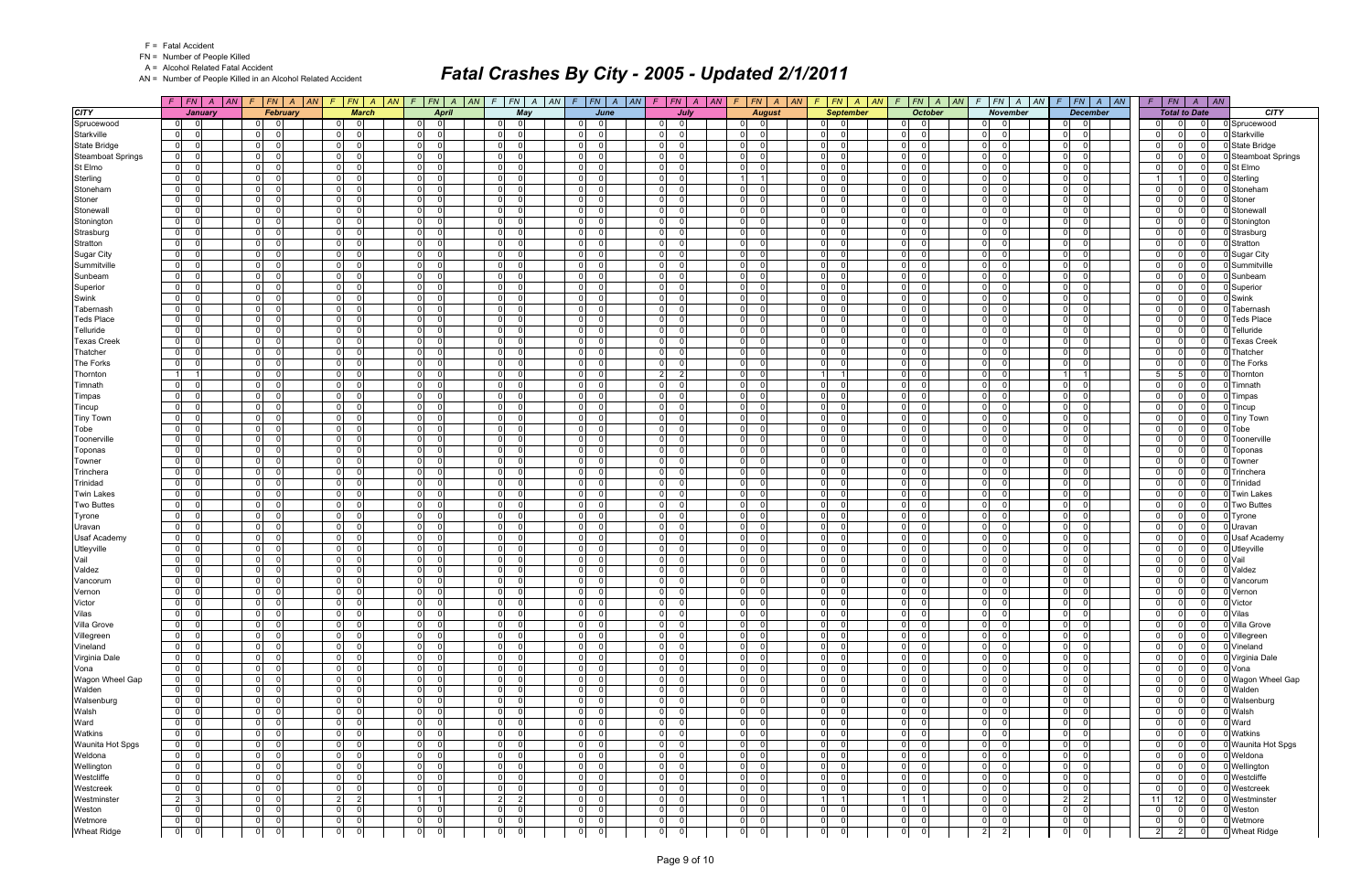|  | <b>Fatal Accident</b> |
|--|-----------------------|
|--|-----------------------|

A = Alcohol Related Fatal Accident

AN = Number of People Killed in an Alcohol Related Accident

|                                | $F$   $FN$   $A$   $AN$                            | F.                                           | FN A AN F FN A AN                                      | $F$ $FN$ $A$<br> AN                             | FN A AN<br>$\mathcal{F}$                                 |                                                             | $F$ $ FN $ $A$ $ AN $ $F$ $ FN $ $A$ $ AN $  | $F$   $FN$   $A$   $AN$                           | $F$   $FN$   $A$   $AN$                            |                                                    | $F$ $FN$ $A$ $AN$ $F$ $FN$ $A$ $AN$          | $F$ $ FN $ $A$ $ AN$                          |                         | $A \parallel AN$<br>$F$   $FN$         |                                 |
|--------------------------------|----------------------------------------------------|----------------------------------------------|--------------------------------------------------------|-------------------------------------------------|----------------------------------------------------------|-------------------------------------------------------------|----------------------------------------------|---------------------------------------------------|----------------------------------------------------|----------------------------------------------------|----------------------------------------------|-----------------------------------------------|-------------------------|----------------------------------------|---------------------------------|
| <b>CITY</b>                    | January                                            | February                                     | <b>March</b>                                           | <b>April</b>                                    | May                                                      | June                                                        | July                                         | <b>August</b>                                     | <b>September</b>                                   | <b>October</b>                                     | <b>November</b>                              | <b>December</b>                               |                         | <b>Total to Date</b>                   | <b>CITY</b>                     |
| Sprucewood                     | $\overline{0}$<br>ി                                | 01<br>$\Omega$                               | $\overline{0}$                                         | $\mathbf 0$<br>$\Omega$                         | $\Omega$<br>$\Omega$                                     | $\overline{0}$<br>$\Omega$                                  | $\Omega$<br>01                               | $\overline{0}$<br>- 0                             | $\overline{0}$                                     | $\Omega$<br>- 0                                    | 0                                            | 0<br>$\overline{\mathbf{0}}$                  | $\Omega$                | $\Omega$<br>$\Omega$                   | Sprucewood                      |
| Starkville                     | $\overline{0}$                                     | $\overline{0}$<br>$\Omega$                   | $\overline{0}$<br>$\Omega$                             | $\Omega$<br>$\Omega$                            | $\overline{0}$<br>$\Omega$                               | $\Omega$<br>U                                               | $\overline{0}$<br>$\Omega$                   | -ol<br>$\Omega$                                   | $\overline{0}$                                     | $\Omega$<br>$\Omega$                               | 0 <br>$\Omega$                               | $\Omega$<br>$\Omega$                          | $\Omega$                | $\Omega$<br>$\Omega$                   | Starkville                      |
| <b>State Bridge</b>            | $\mathbf 0$                                        | $\overline{0}$<br>$\Omega$                   | $\mathbf 0$<br>$\Omega$                                | $\Omega$<br>$\Omega$                            | $\overline{0}$<br>- 0                                    | $\mathbf 0$<br><sup>0</sup>                                 | $\overline{0}$                               | $\Omega$<br>$\Omega$                              | 0                                                  | $\Omega$<br>$\Omega$                               | $\overline{0}$<br>$\Omega$                   | 0 <br>$\Omega$                                |                         | $\Omega$<br>$\Omega$                   | State Bridge                    |
| <b>Steamboat Springs</b>       | $\overline{0}$                                     | $\overline{0}$<br>$\cap$                     | $\overline{0}$<br>$\Omega$                             | $\mathbf{0}$<br>$\Omega$                        | $\overline{0}$<br>- 0                                    | - ol<br>$\Omega$                                            | $\mathbf{0}$<br>$\Omega$                     | $\mathbf{0}$<br>$\Omega$                          | $\overline{0}$<br>- C                              | $\overline{0}$<br>$\Omega$                         | $\overline{0}$<br>$\Omega$                   | 0 I<br>- 0                                    | $\Omega$                | $\Omega$<br>$\Omega$                   | <b>Steamboat Springs</b>        |
| St Elmo                        | $\mathbf 0$                                        | $\overline{0}$<br>$\Omega$                   | $\overline{0}$<br>$\Omega$                             | $\overline{0}$<br>$\Omega$                      | 0 <br>- റ                                                | $\overline{0}$<br>$\Omega$                                  | 0 <br>$\Omega$                               | -ol<br>$\Omega$                                   | 0                                                  | $\Omega$<br>$\Omega$                               | $\overline{0}$<br>$\Omega$                   | $\mathbf 0$<br>- 0                            | $\Omega$                | $\Omega$<br>$\Omega$                   | St Elmo                         |
| Sterling                       | $\mathbf 0$                                        | $\overline{0}$<br>$\cap$                     | $\overline{0}$<br>$\Omega$                             | $\mathbf{0}$<br>$\Omega$                        | $\overline{0}$<br><u>ິດ</u>                              | 0 <br>$\Omega$                                              | 0 <br>$\Omega$                               | $1 \vert$                                         | $\overline{0}$<br>- C                              | $\Omega$<br>$\Omega$                               | 0 <br>$\cap$                                 | 0 I<br>- 0                                    |                         | $\Omega$                               | Sterling                        |
| Stoneham                       | $\overline{0}$                                     | $\overline{0}$<br>$\Omega$                   | $\overline{0}$<br>$\Omega$                             | $\mathbf 0$<br>$\Omega$                         | $\overline{0}$                                           | $\mathbf 0$<br><sup>0</sup>                                 | $\overline{0}$                               | 0 <br>$\Omega$                                    | 0                                                  | $\Omega$<br>$\Omega$                               | $\overline{0}$<br>$\Omega$                   | 0 <br>$\Omega$                                |                         | $\Omega$<br>$\Omega$                   | Stoneham                        |
| Stoner                         | $\mathbf 0$                                        | $\overline{0}$<br>$\cap$                     | $\overline{0}$<br>$\Omega$                             | $\overline{0}$<br>$\Omega$                      | 0 <br>- 0                                                | - ol<br>$\Omega$                                            | $\overline{0}$                               | -01<br>$\Omega$                                   | 0                                                  | $\Omega$<br>$\Omega$                               | 0 <br>$\Omega$                               | - 0 l<br>- 0                                  | $\Omega$                | $\Omega$<br>$\Omega$                   | Stoner                          |
| Stonewall                      | $\mathbf 0$                                        | $\overline{0}$<br>$\Omega$                   | $\overline{0}$<br>$\Omega$                             | $\mathbf{0}$<br>$\Omega$                        | $\overline{0}$<br>- റ                                    | ol<br>$\Omega$                                              | 0 <br>$\Omega$                               | 0 <br>$\Omega$                                    | $\overline{0}$                                     | $\Omega$<br>$\Omega$                               | $\overline{0}$<br>$\Omega$                   | 0 I<br>- 0                                    | $\Omega$                | $\Omega$<br>$\Omega$                   | Stonewall                       |
| Stonington                     | $\mathbf 0$                                        | $\overline{0}$<br>$\Omega$                   | $\overline{0}$<br>$\Omega$                             | $\mathbf 0$<br>$\Omega$                         | $\overline{0}$<br>$\Omega$                               | -ol<br>U                                                    | 0 <br>$\Omega$                               | 0 <br>$\Omega$                                    | $\overline{0}$                                     | $\Omega$<br>$\Omega$                               | 0 <br>$\Omega$                               | $\Omega$<br>$\Omega$                          | $\Omega$                | $\Omega$<br>$\Omega$                   | Stoningtor                      |
| Strasburg                      | $\mathbf 0$                                        | $\overline{0}$<br>$\Omega$                   | $\overline{0}$<br>$\Omega$                             | $\mathbf 0$<br>$\Omega$                         | $\overline{0}$<br>- റ                                    | $\mathbf 0$<br>$\Omega$                                     | $\overline{0}$                               | $\overline{0}$<br>$\Omega$                        | $\overline{0}$                                     | $\Omega$<br>$\Omega$                               | $\overline{0}$<br>$\Omega$                   | 0 <br>$\Omega$                                | $\Omega$                | $\Omega$<br>$\Omega$                   | Strasburg                       |
| Stratton                       | $\mathbf 0$                                        | $\overline{0}$<br>$\Omega$                   | $\overline{0}$<br>$\Omega$                             | 0 <br>$\Omega$                                  | $\overline{0}$<br>$\Omega$                               | - ol<br><sup>0</sup>                                        | $\overline{0}$                               | $\mathbf{0}$<br>$\Omega$                          | $\overline{0}$                                     | $\Omega$<br>$\Omega$                               | $\overline{0}$<br>$\Omega$                   | 0 I<br>$\Omega$                               | $\Omega$                | $\Omega$<br>$\Omega$                   | Stratton                        |
| Sugar City                     | $\mathbf 0$                                        | $\Omega$                                     | $\mathbf 0$                                            | $\Omega$<br>$\Omega$                            | $\Omega$<br>- 0                                          | $\Omega$<br><sup>n</sup>                                    | $\Omega$                                     | $\Omega$<br>$\Omega$                              | 0                                                  | $\Omega$<br>$\Omega$                               | $\overline{0}$                               | - Ol<br>$\Omega$                              | $\Omega$                | $\Omega$                               | Sugar City                      |
| Summitville                    | $\mathbf 0$                                        | $\overline{0}$<br>$\cap$                     | 0 <br>$\Omega$                                         | $\mathbf{0}$<br>$\Omega$                        | $\mathbf{0}$<br><u>ິດ</u>                                | 0 <br>$\Omega$                                              | 0 <br>$\Omega$                               | $\mathbf{0}$<br>$\Omega$                          | $\overline{0}$                                     | $\overline{0}$<br>$\Omega$                         | 0 <br>$\Omega$                               | 0 I<br>- 0                                    | $\Omega$                | $\Omega$<br>$\Omega$                   | Summitville                     |
| Sunbeam                        | $\mathbf 0$                                        | $\overline{0}$                               | $\overline{0}$                                         | $\mathbf 0$<br>$\Omega$                         | $\overline{0}$                                           | $\mathbf 0$<br><sup>0</sup>                                 | $\overline{0}$                               | $\Omega$<br>$\Omega$                              | 0                                                  | $\Omega$<br>$\Omega$                               | $\overline{0}$<br>$\Omega$                   | $\Omega$<br>$\Omega$                          |                         | $\Omega$<br>$\Omega$                   | Sunbeam                         |
| Superior                       | $\mathbf 0$                                        | $\overline{0}$                               | $\overline{0}$<br>$\Omega$                             | $\overline{0}$<br>$\Omega$                      | $\overline{0}$                                           | $\Omega$<br><sup>n</sup>                                    | $\overline{0}$                               | -01<br>$\Omega$                                   | 0                                                  | $\Omega$<br>$\Omega$                               | $\overline{0}$<br>$\Omega$<br>$\Omega$       | $\mathbf 0$<br>$\Omega$                       | $\Omega$                | $\Omega$<br>$\Omega$                   | Superior                        |
| Swink                          | $\mathbf 0$                                        | $\overline{0}$<br>$\Omega$<br>$\Omega$       | $\overline{0}$<br>$\Omega$<br>$\Omega$                 | $\overline{0}$<br>$\Omega$                      | $\overline{0}$<br>- C                                    | - ol<br>$\Omega$                                            | 0                                            | -ol<br>$\Omega$                                   | 0                                                  | $\Omega$<br>$\Omega$                               | $\overline{0}$<br>$\Omega$                   | - 0 l<br>$\Omega$                             | $\Omega$<br>$\Omega$    | $\Omega$<br>$\Omega$<br>$\Omega$       | Swink                           |
| Tabernash                      | $\mathbf 0$                                        | $\overline{0}$                               | $\overline{0}$<br>$\Omega$                             | $\overline{0}$<br>$\Omega$                      | $\overline{0}$<br><u>ິດ</u><br>$\Omega$                  | -ol<br><sup>0</sup><br>$\Omega$                             | $\mathbf{0}$<br>$\Omega$                     | -ol<br>$\Omega$<br>$\Omega$                       | $\overline{0}$<br>- 0                              | $\Omega$<br>$\Omega$<br>$\Omega$                   | $\overline{0}$<br>$\Omega$                   | - 0 l<br>- 0                                  |                         | $\Omega$<br>$\Omega$                   | Tabernash                       |
| <b>Teds Place</b>              | $\mathbf 0$                                        | $\overline{0}$<br>$\Omega$<br>$\Omega$       | $\overline{0}$<br>$\Omega$                             | $\mathbf 0$<br>$\Omega$                         | 0                                                        | 0 <br><sup>0</sup>                                          | 0                                            | -ol<br>$\Omega$                                   | 0                                                  | $\Omega$<br>$\Omega$                               | $\overline{0}$<br>$\Omega$                   | $\Omega$<br>$\Omega$                          |                         | $\Omega$<br>$\Omega$                   | <b>Teds Place</b>               |
| Telluride                      | $\mathbf 0$<br>$\mathbf 0$                         | $\overline{0}$<br>$\overline{0}$<br>$\Omega$ | $\overline{0}$<br>$\overline{0}$<br>$\Omega$           | $\mathbf 0$<br>$\Omega$<br>$\Omega$<br>$\Omega$ | 0 <br>$\overline{0}$<br>- 0                              | $\overline{0}$<br>$\overline{0}$<br>$\Omega$                | $\overline{0}$<br> 0                         | $\mathbf{0}$<br>-01<br>$\Omega$                   | $\overline{0}$<br> 0                               | $\Omega$<br>$\Omega$<br>$\Omega$                   | $\overline{0}$<br>$\overline{0}$<br>$\Omega$ | $\mathbf 0$<br>$\Omega$<br>n l<br>$\Omega$    | $\Omega$<br>$\Omega$    | $\Omega$<br>$\Omega$<br>$\Omega$       | Telluride                       |
| <b>Texas Creek</b><br>Thatcher | $\overline{0}$                                     | $\overline{0}$<br>$\Omega$                   | $\overline{0}$<br>$\Omega$                             | $\mathbf{0}$<br>$\Omega$                        | $\mathbf{0}$<br>- 0                                      | -ol<br><sup>n</sup>                                         | 0 <br>$\Omega$                               | $\mathbf{0}$<br>$\Omega$                          | $\overline{0}$                                     | $\Omega$<br>$\Omega$                               | $\overline{0}$<br>$\Omega$                   | 0 I<br>- 0                                    | $\Omega$                | $\Omega$<br>$\Omega$                   | <b>Texas Creek</b><br>Thatcher  |
|                                | $\mathbf 0$                                        | $\mathbf 0$                                  | $\overline{0}$                                         | $\mathbf 0$<br>$\Omega$                         | $\overline{0}$<br>$\Omega$                               | $\mathbf 0$<br><sup>0</sup>                                 | 0                                            | $\Omega$<br>$\Omega$                              | 0                                                  | $\Omega$<br>$\Omega$                               | $\overline{0}$<br>$\Omega$                   | $\Omega$<br>$\Omega$                          | $\Omega$                | $\Omega$<br>$\Omega$                   |                                 |
| The Forks                      | $\overline{1}$                                     | $\Omega$<br>$\Omega$                         | $\overline{0}$<br>$\Omega$                             | $\overline{0}$<br>$\Omega$                      | $\overline{0}$<br>- 0                                    | $\Omega$<br><sup>0</sup>                                    | $2 \mid$<br>$\overline{2}$                   | $\overline{0}$<br>$\Omega$                        | 11                                                 | $\Omega$<br>$\Omega$                               | 0 <br>$\Omega$                               | -11                                           | $5 \frac{1}{2}$         | 5<br>$\Omega$                          | The Forks<br>Thornton           |
| Thornton<br>Timnath            | $\mathbf 0$                                        | $\overline{0}$<br>$\Omega$                   | $\overline{0}$<br>$\Omega$                             | $\mathbf 0$<br>$\Omega$                         | $\overline{0}$<br>- 0                                    | 0 <br>$\Omega$                                              | 0                                            | 0 <br>$\Omega$                                    | 0                                                  | $\Omega$<br>$\Omega$                               | $\overline{0}$<br>$\Omega$                   | - 0 l<br>$\Omega$                             | $\Omega$                | $\Omega$<br>$\Omega$                   | Timnath                         |
| Timpas                         | $\mathbf 0$                                        | $\Omega$                                     | $\mathbf 0$                                            | $\Omega$<br>- 0                                 | $\Omega$                                                 | $\Omega$<br><sup>n</sup>                                    | $\overline{0}$                               | -ol<br>$\Omega$                                   | 0                                                  | 0<br>$\Omega$                                      | $\overline{0}$<br>∩                          | $\mathbf 0$<br>$\Omega$                       | $\Omega$                | $\Omega$<br>$\Omega$                   | Timpas                          |
| Tincup                         | $\overline{0}$                                     | $\overline{0}$                               | $\overline{0}$<br>$\Omega$                             | $\mathbf{0}$<br>$\Omega$                        | $\overline{0}$<br>$\Omega$                               | 0 <br>$\Omega$                                              | 0                                            | 0 <br>$\Omega$                                    | $\overline{0}$                                     | $\Omega$<br>$\Omega$                               | $\overline{0}$<br>$\Omega$                   | - 0 l<br>$\Omega$                             | $\Omega$                | $\Omega$<br>$\Omega$                   | Tincup                          |
| <b>Tiny Town</b>               | $\mathbf 0$                                        | $\overline{0}$<br>$\Omega$                   | $\overline{0}$<br>$\Omega$                             | $\mathbf 0$<br>$\Omega$                         | $\overline{0}$                                           | $\mathbf 0$<br><sup>0</sup>                                 | $\overline{0}$                               | 0 <br>$\Omega$                                    | $\overline{0}$                                     | $\Omega$<br>$\Omega$                               | $\overline{0}$<br>$\Omega$                   | 0 <br>$\Omega$                                |                         | $\Omega$<br>$\Omega$                   | <b>Tiny Town</b>                |
| Tobe                           | $\mathbf 0$                                        | $\overline{0}$<br>$\cap$                     | $\overline{0}$<br>$\Omega$                             | $\overline{0}$<br>$\Omega$                      | 0 <br>- 0                                                | - ol<br>$\Omega$                                            | $\overline{0}$<br>$\Omega$                   | -01<br>$\Omega$                                   | 0                                                  | $\Omega$<br>$\Omega$                               | 0 <br>$\Omega$                               | - 0 l<br>- 0                                  | $\Omega$                | $\Omega$<br>$\Omega$                   | Tobe                            |
| Toonerville                    | $\mathbf 0$                                        | $\overline{0}$<br>$\Omega$                   | $\overline{0}$<br>$\Omega$                             | $\overline{0}$<br>$\Omega$                      | $\overline{0}$<br>- 0                                    | ol<br>$\Omega$                                              | 0 <br>$\Omega$                               | 0 <br>$\Omega$                                    | $\overline{0}$                                     | $\Omega$<br>$\Omega$                               | $\overline{0}$<br>$\Omega$                   | 0 I<br>$\Omega$                               | $\Omega$                | $\Omega$<br>$\Omega$                   | Toonerville                     |
| Toponas                        | $\overline{0}$                                     | $\overline{0}$<br>$\cap$                     | $\overline{0}$<br>$\Omega$                             | $\mathbf 0$<br>$\Omega$                         | $\overline{0}$<br>$\Omega$                               | -ol<br>$\Omega$                                             | 0                                            | -ol<br>$\Omega$                                   | $\overline{0}$                                     | $\Omega$<br>$\Omega$                               | 0 <br>$\Omega$                               | $\Omega$<br>$\Omega$                          | $\Omega$                | $\Omega$<br>$\Omega$                   | Toponas                         |
| Towner                         | $\mathbf 0$                                        | $\overline{0}$<br>$\Omega$                   | $\overline{0}$<br>$\Omega$                             | $\mathbf 0$<br>$\Omega$                         | $\overline{0}$<br>- 0                                    | 0 <br>$\Omega$                                              | $\overline{0}$                               | -01<br>$\Omega$                                   | $\overline{0}$                                     | $\Omega$<br>$\Omega$                               | $\overline{0}$<br>$\Omega$                   | 0 <br>$\Omega$                                |                         | $\Omega$<br>$\Omega$                   | Towner                          |
| Trinchera                      | $\mathbf 0$                                        | $\overline{0}$<br>$\Omega$                   | $\overline{0}$<br>$\Omega$                             | 0 <br>$\Omega$                                  | $\overline{0}$<br>$\Omega$                               | - ol<br><sup>0</sup>                                        | $\overline{0}$<br>$\Omega$                   | $\mathbf{0}$<br>$\Omega$                          | $\overline{0}$                                     | $\Omega$<br>$\Omega$                               | 0 <br>$\Omega$                               | 0 I<br>$\Omega$                               | $\Omega$                | $\Omega$<br>$\Omega$                   | Trinchera                       |
| Trinidad                       | $\mathbf 0$                                        | $\overline{0}$<br>$\Omega$                   | $\mathbf 0$<br>$\Omega$                                | - O I<br>$\Omega$                               | 0 <br>- റ                                                | $\Omega$<br>$\Omega$                                        | 0 <br>n                                      | -01<br>$\Omega$                                   | $\overline{0}$<br>- 0                              | $\Omega$<br>$\Omega$                               | $\overline{0}$<br>$\Omega$                   | $\mathbf 0$<br>- 0                            | $\Omega$                | $\Omega$<br>$\Omega$                   | Trinidad                        |
| <b>Twin Lakes</b>              | $\mathbf 0$                                        | 0 <br>$\Omega$                               | $\overline{0}$<br>$\Omega$                             | 0 <br>$\Omega$                                  | $\overline{0}$<br>$\Omega$                               | 0 <br>$\Omega$                                              | 0 <br>$\Omega$                               | 0 <br>$\Omega$                                    | $\overline{0}$                                     | $\Omega$<br>$\Omega$                               | 0 <br>$\Omega$                               | 0 I<br>$\Omega$                               | $\Omega$                | $\Omega$<br>$\Omega$                   | <b>Twin Lakes</b>               |
| <b>Two Buttes</b>              | $\mathbf 0$                                        | $\overline{0}$                               | $\mathbf 0$<br>$\Omega$                                | $\mathbf 0$<br>$\Omega$                         | $\overline{0}$                                           | $\mathbf 0$<br>$\Omega$                                     | $\overline{0}$                               | 0 <br>$\Omega$                                    | 0                                                  | $\Omega$<br>$\Omega$                               | $\overline{0}$<br>$\Omega$                   | $\Omega$<br>$\Omega$                          |                         | $\Omega$<br>$\Omega$                   | <b>Two Buttes</b>               |
| Tyrone                         | $\mathbf 0$                                        | $\overline{0}$<br>$\Omega$                   | $\overline{0}$<br>$\Omega$                             | $\mathbf 0$<br>$\Omega$                         | $\overline{0}$<br>- 0                                    | -ol<br>$\Omega$                                             | $\overline{0}$                               | -01<br>$\Omega$                                   | $\overline{0}$                                     | $\Omega$<br>$\Omega$                               | 0 <br>$\Omega$                               | 0 I<br>- 0                                    | $\Omega$                | $\Omega$<br>$\Omega$                   | Tyrone                          |
| Uravan                         | $\mathbf 0$                                        | $\overline{0}$<br>$\Omega$                   | $\overline{0}$<br>$\Omega$                             | $\mathbf 0$<br>$\Omega$                         | 0 <br>- 0                                                | $\overline{0}$<br>$\Omega$                                  | 0                                            | -ol<br>$\Omega$                                   | $\overline{0}$                                     | $\Omega$<br>$\Omega$                               | $\overline{0}$                               | $\mathbf 0$<br>$\Omega$                       | $\Omega$                | $\Omega$<br>$\Omega$                   | Uravan                          |
| <b>Usaf Academy</b>            | $\mathbf 0$                                        | $\overline{0}$                               | $\overline{0}$<br>$\Omega$                             | $\mathbf 0$<br>$\Omega$                         | $\overline{0}$<br>- 0                                    | -ol<br><sup>n</sup>                                         | $\mathbf{0}$<br>$\Omega$                     | -01<br>$\Omega$                                   | $\overline{0}$<br>- 0                              | $\Omega$<br>$\Omega$                               | $\overline{0}$<br>$\Omega$                   | $\mathbf 0$<br>- 0                            | $\Omega$                | $\Omega$<br>$\Omega$                   | <b>Usaf Academy</b>             |
| Utleyville                     | $\mathbf 0$                                        | $\overline{0}$<br>$\Omega$                   | $\overline{0}$<br>$\Omega$                             | $\mathbf 0$<br>$\Omega$                         | 0 <br>- C                                                | 0 <br>$\Omega$                                              | 0                                            | -ol<br>$\Omega$                                   | 0                                                  | $\Omega$<br>$\Omega$                               | $\overline{0}$<br>$\Omega$                   | $\Omega$<br>$\Omega$                          |                         | $\Omega$<br>$\Omega$                   | 0 Utleyville                    |
| Vail                           | $\mathbf 0$                                        | $\overline{0}$<br>$\Omega$                   | $\overline{0}$<br>$\Omega$                             | $\mathbf 0$<br>$\Omega$                         | 0                                                        | $\overline{0}$<br><sup>n</sup>                              | $\overline{0}$                               | -01<br>$\Omega$                                   | $\overline{0}$                                     | $\Omega$<br>$\Omega$                               | $\overline{0}$<br>$\Omega$                   | $\mathbf 0$<br>$\Omega$                       | $\Omega$                | $\Omega$<br>$\Omega$                   | Vail                            |
| Valdez                         | $\mathbf 0$                                        | $\overline{0}$<br>$\Omega$                   | $\overline{0}$<br>$\Omega$                             | $\Omega$<br>$\Omega$                            | $\overline{0}$<br>- റ                                    | $\overline{0}$<br><sup>0</sup>                              | 0 <br>$\Omega$                               | -01<br>$\Omega$                                   | 0 <br>- C                                          | $\Omega$<br>$\Omega$                               | $\overline{0}$<br>$\Omega$                   | n l<br>$\Omega$                               | $\Omega$                | $\Omega$<br>$\Omega$                   | Valdez                          |
| Vancorum                       | $\mathbf 0$                                        | $\overline{0}$<br>$\Omega$                   | $\overline{0}$<br>$\Omega$                             | - O I<br>$\Omega$                               | 0 <br>- 0                                                | 0 <br><sup>n</sup>                                          | 0 <br>$\Omega$                               | 0 <br>$\Omega$                                    | $\overline{0}$<br>- 0                              | $\Omega$<br>$\Omega$                               | 0 <br>$\Omega$                               | 0 I<br>- 0                                    | $\Omega$                | $\Omega$<br>$\Omega$                   | Vancorum                        |
| Vernon                         | $\mathbf 0$                                        | 0 <br>$\Omega$                               | $\overline{0}$<br>$\Omega$                             | 0 <br>$\Omega$                                  | 0 <br>$\Omega$                                           | 0 <br>$\Omega$                                              | 0 <br>$\Omega$                               | 0 <br>$\Omega$                                    | 0 <br>$\Omega$                                     | 0 <br>$\Omega$                                     | $\overline{0}$<br>$\Omega$                   | $\overline{0}$<br>$\Omega$                    | $\mathbf 0$             | $\Omega$<br>$\Omega$                   | 0 Vernon                        |
| Victor                         | 0 <br>$\Omega$                                     | $\overline{0}$<br> 0                         | $\overline{0}$<br>$\overline{0}$                       | 0 <br>$\mathbf 0$                               | 0 <br>$\overline{0}$                                     | $\overline{0}$<br>$\mathbf 0$                               | $\mathbf 0$<br> 0                            | $\mathbf 0$<br>$\mathbf 0$                        | $\overline{0}$<br>$\Omega$                         | 0 <br>$\mathbf 0$                                  | $\overline{0}$<br>$\overline{0}$             | $\overline{0}$<br>$\overline{0}$              | $\mathbf 0$             | $\overline{0}$<br>$\overline{0}$       | 0 Victor                        |
| Vilas                          | $\overline{0}$<br>- 0                              | $\overline{0}$<br>$\overline{0}$             | 0 <br>$\overline{0}$                                   | 0 <br>$\mathbf 0$                               | 0 <br>$\Omega$                                           | 0 <br>$\overline{0}$                                        | 0 <br>$\Omega$                               | 0 <br>$\Omega$                                    | $\overline{0}$<br>$\overline{\mathbf{0}}$          | $\overline{0}$<br>$\mathbf 0$                      | 0 <br>$\Omega$                               | $\overline{0}$<br> 0                          | $\Omega$                | $\overline{0}$<br>$\overline{0}$       | 0 Vilas                         |
| Villa Grove                    | 0                                                  | $\overline{0}$<br>$\overline{0}$             | 0 <br>$\overline{\mathbf{0}}$                          | 0 <br>$\Omega$                                  | $\overline{0}$<br>$\overline{0}$                         | 0 <br>$\Omega$                                              | $\overline{0}$<br>$\Omega$                   | 0 <br>$\overline{0}$                              | $\overline{0}$<br>$\overline{\mathbf{0}}$          | $\overline{0}$<br>$\overline{0}$                   | $\overline{0}$<br>$\overline{0}$             | $\overline{0}$<br> 0                          | $\Omega$                | $\Omega$<br>$\Omega$                   | 0 Villa Grove                   |
| Villegreen                     | $\overline{0}$                                     | $\overline{0}$<br>$\overline{0}$             | 0 <br>$\overline{0}$                                   | 0 <br>$\mathbf 0$                               | $\overline{0}$<br>$\overline{\mathbf{0}}$                | 0 <br>$\Omega$                                              | 0 <br>$\Omega$                               | 0 <br>$\Omega$                                    | $\overline{0}$<br>- 0                              | $\overline{0}$<br>$\mathbf 0$                      | $\overline{0}$<br>$\Omega$                   | $\overline{0}$<br> 0                          |                         | $\Omega$<br>$\Omega$                   | 0 Villegreen                    |
| Vineland                       | $\mathbf 0$                                        | $\overline{0}$<br>$\Omega$                   | 0 <br>$\overline{\mathbf{0}}$                          | 0 <br>0                                         | $\overline{0}$<br>$\overline{\phantom{0}}$               | 0 <br>$\Omega$                                              | $\overline{0}$<br>$\Omega$                   | 0 <br>$\Omega$                                    | $\overline{0}$<br>$\overline{\mathbf{0}}$          | $\overline{0}$<br>$\overline{0}$                   | $0\qquad 0$                                  | $\overline{0}$<br> 0                          | $\Omega$                | $\Omega$<br>0 I                        | 0 Vineland                      |
| Virginia Dale                  | $\overline{0}$                                     | 0 <br>$\overline{0}$                         | 0 <br>$\overline{0}$                                   | 0 <br>$\Omega$                                  | 0 <br>$\overline{0}$                                     | $\overline{0}$<br>$\Omega$                                  | $\overline{0}$<br>$\overline{0}$             | 0 <br>$\Omega$                                    | $\overline{0}$<br>- 0                              | $\overline{0}$<br>$\mathbf 0$                      | 0 <br>$\Omega$                               | $\overline{0}$<br> 0                          | $\Omega$                | $\Omega$<br>$\Omega$                   | 0 Virginia Dale                 |
| Vona                           | $\overline{0}$                                     | $\overline{0}$<br>$\Omega$                   | $\overline{0}$<br>$\overline{0}$                       | 0 <br>$\mathbf 0$                               | 0 <br>$\overline{\mathbf{0}}$                            | 0 <br>$\Omega$                                              | $\overline{0}$<br>$\Omega$                   | 0 <br>$\overline{0}$                              | $\overline{0}$<br>$\overline{\mathbf{0}}$          | $\overline{0}$<br>$\overline{0}$                   | 0 <br>- 01                                   | $\overline{0}$<br>$\overline{0}$              | $\Omega$                | $\Omega$<br>0 I                        | 0 Vona                          |
| Wagon Wheel Gap                | $\overline{0}$                                     | 0 <br>$\Omega$                               | $\overline{0}$<br>$\Omega$                             | 0 <br>$\Omega$                                  | $\overline{0}$<br>$\overline{0}$                         | 0 <br>$\Omega$                                              | 0 <br>$\Omega$                               | 0 <br>$\overline{0}$                              | $\overline{0}$<br>- 0                              | $\overline{0}$<br>$\overline{0}$                   | $\overline{0}$<br>$\Omega$                   | 0 <br>$\Omega$                                |                         | $\Omega$<br>$\Omega$                   | 0 Wagon Wheel Gap               |
| Walden                         | $\overline{0}$                                     | 0 <br> 0                                     | 0 <br>$\mathbf 0$                                      | 0 <br>0                                         | $\overline{0}$<br>$\overline{\mathbf{0}}$                | 0 <br>$\Omega$                                              | 0 <br>0                                      | 0 <br>$\mathbf 0$                                 | $\overline{0}$<br>- 0                              | 0 <br>$\mathbf 0$                                  | $\overline{0}$<br>- 0                        | $\overline{0}$<br> 0                          | $\Omega$                | $\Omega$<br>$\Omega$                   | 0 Walden                        |
| Walsenburg                     | 0                                                  | $\overline{0}$<br>$\Omega$                   | 0 <br>$\overline{0}$                                   | 0 <br>$\mathbf 0$                               | $\overline{0}$<br>$\Omega$                               | 0 <br>$\Omega$                                              | $\overline{0}$<br>$\Omega$                   | 0 <br>$\mathbf 0$                                 | $\overline{0}$<br>- 01                             | $\overline{0}$<br>$\mathbf 0$                      | $0\qquad 0$                                  | $\overline{0}$<br> 0                          | $\Omega$                | $\overline{0}$<br>0 l                  | Walsenburg                      |
| Walsh                          | $\overline{0}$                                     | $\overline{0}$<br>$\Omega$                   | $\overline{0}$<br>$\overline{\mathbf{0}}$              | 0 <br>0                                         | 0 <br>$\overline{\mathbf{0}}$                            | $\overline{0}$<br>$\Omega$                                  | $\overline{0}$<br>$\Omega$                   | 0 <br>$\mathbf 0$                                 | $\overline{0}$<br>$\overline{\mathbf{0}}$          | $\overline{0}$<br>$\overline{0}$                   | $\overline{0}$<br>$\Omega$                   | $\overline{0}$<br>$\overline{\mathbf{0}}$     | $\Omega$                | $\Omega$<br>$\Omega$                   | 0 Walsh                         |
| Ward                           | $\overline{0}$                                     | $\overline{0}$<br>$\Omega$                   | 0 <br>$\overline{0}$                                   | 0 <br>$\mathbf 0$                               | 0 <br>$\overline{\phantom{0}}$                           | 0 <br>$\Omega$                                              | 0 <br>$\Omega$                               | $\overline{0}$<br>$\mathbf 0$                     | $\overline{0}$<br>$\overline{\mathbf{0}}$          | $\overline{0}$<br>$\overline{0}$                   | $ 0 $ 0                                      | $\overline{0}$<br> 0                          | $\Omega$                | 0 <br>$\Omega$                         | Ward                            |
| Watkins                        | $\overline{0}$                                     | $\overline{0}$<br>$\Omega$                   | 0 <br>0                                                | 0 <br>0                                         | 0 <br>$\overline{\mathbf{0}}$                            | 0 <br>$\Omega$                                              | 0 <br>$\Omega$<br>$\Omega$                   | 0 <br>$\overline{0}$                              | $\overline{0}$<br>$\overline{\mathbf{0}}$          | $\overline{0}$<br>$\overline{0}$                   | $0$ 0                                        | $\overline{0}$<br>$\overline{0}$              | $\mathbf 0$<br>$\Omega$ | $\Omega$<br>$\Omega$<br>$\Omega$       | Watkins                         |
| Waunita Hot Spgs<br>Weldona    | 0                                                  | 0 <br>- Ol<br>$\overline{0}$<br>- 0          | 0 <br>$\overline{0}$<br> 0 <br>$\overline{\mathbf{0}}$ | 0 <br>$\mathbf 0$<br> 0                         | $\overline{0}$<br>$\overline{\mathbf{0}}$<br>$0\qquad 0$ | $\overline{0}$<br>$\mathbf 0$<br>$\overline{0}$<br>$\Omega$ | $\overline{0}$<br>$\overline{0}$<br>$\Omega$ | $\mathbf{0}$<br>$\mathbf 0$<br> 0 <br>$\mathbf 0$ | $\overline{0}$<br>- 01<br>$\overline{0}$           | $\overline{0}$<br> 0 <br>$\overline{0}$            | $0\qquad 0$<br>$ 0 $ 0                       | $\overline{0}$<br>$\overline{0}$              | $\Omega$                | $\overline{0}$<br>$\Omega$<br>$\Omega$ | 0 Waunita Hot Spgs<br>0 Weldona |
|                                | $\overline{0}$<br>$\overline{0}$<br>$\overline{0}$ | $\overline{0}$<br>$\Omega$                   | 0 <br>$\Omega$                                         | 0<br> 0 <br>$\Omega$                            | $\overline{0}$<br>$\overline{\mathbf{0}}$                | 0 <br>$\Omega$                                              | 0 <br>$\Omega$                               | 0 <br>$\mathbf 0$                                 | $\overline{\mathbf{0}}$<br>$\overline{\mathbf{0}}$ | $\overline{0}$<br>$\overline{0}$<br>$\overline{0}$ | $\overline{0}$<br>$\Omega$                   | $\overline{0}$<br>$\overline{0}$<br> 0 <br> 0 | $\Omega$                | $\Omega$<br>$\Omega$                   | 0 Wellington                    |
| Wellington<br>Westcliffe       | $\overline{0}$                                     | 0 <br>$\Omega$                               | 0 <br>$\Omega$                                         | 0 <br>$\Omega$                                  | $\overline{0}$<br>$\overline{\mathbf{0}}$                | 0 <br>$\Omega$                                              | $\overline{0}$<br>$\Omega$                   | 0 <br>$\Omega$                                    | $\overline{0}$<br>$\overline{0}$<br>- 0            | 0 <br>$\mathbf 0$                                  | $\overline{0}$<br>$\Omega$                   | $\overline{0}$<br>$\overline{0}$              |                         | $\Omega$<br>$\Omega$                   | Westcliffe                      |
| Westcreek                      | 0                                                  | $\overline{0}$<br>$\Omega$                   | 0 <br>$\overline{0}$                                   | 0 <br>$\Omega$                                  | 0 <br>$\overline{\mathbf{0}}$                            | $\overline{0}$<br>$\Omega$                                  | $\overline{0}$<br>$\Omega$                   | $\overline{0}$<br>$\overline{0}$                  | $\overline{0}$<br>- 0                              | $\overline{0}$<br>$\overline{0}$                   | $\overline{0}$<br>$\overline{\mathbf{0}}$    | $\overline{0}$<br> 0                          | $\Omega$                | $\overline{0}$<br>$\overline{0}$       | Westcreek                       |
| Westminster                    | $\vert$ 2                                          | 0 <br>$\Omega$                               | 2 <br>$\overline{2}$                                   | $\overline{1}$<br>- 1                           | $\vert$ 2<br>$\overline{2}$                              | 0 <br>$\Omega$                                              | $\overline{0}$<br>0                          | 0 <br>$\mathbf 0$                                 | 1<br>- 1                                           | 11<br>$\overline{1}$                               | 0 <br>- 01                                   | 2 <br>$\vert$ 2                               | 11                      | 12<br>$\Omega$                         | Westminster                     |
| Weston                         | $\overline{0}$                                     | 0 <br>$\Omega$                               | 0 <br>$\overline{0}$                                   | 0 <br>$\mathbf 0$                               | $\overline{0}$<br>$\overline{0}$                         | $\overline{0}$<br>$\Omega$                                  | $\overline{0}$<br>$\Omega$                   | 0 <br>$\mathbf 0$                                 | $\overline{0}$<br>- 0                              | $\overline{0}$<br>$\overline{0}$                   | $\overline{0}$<br>$\overline{\mathbf{0}}$    | $\overline{0}$<br>$\overline{0}$              | $\Omega$                | $\Omega$<br>0 I                        | Weston                          |
| Wetmore                        | $\mathbf 0$                                        | $\overline{0}$<br>$\Omega$                   | $\overline{0}$<br>$\Omega$                             | $\mathbf 0$<br>$\mathbf 0$                      | $\overline{0}$<br>$\overline{\mathbf{0}}$                | 0 <br>$\Omega$                                              | 0 <br>$\mathbf 0$                            | 0 <br>$\mathbf 0$                                 | $\overline{0}$<br>- 0                              | $\overline{0}$<br>$\mathbf 0$                      | $\overline{0}$<br>$\Omega$                   | $\overline{0}$<br>$\overline{0}$              | $\mathbf 0$             | $\Omega$<br>$\Omega$                   | 0 Wetmore                       |
| <b>Wheat Ridge</b>             | $\overline{0}$                                     | 0 <br> 0                                     | $\mathbf{0}$<br>$\mathbf 0$                            | $\overline{0}$<br>$\mathbf 0$                   | $\overline{0}$<br>$\mathbf{0}$                           | $\mathbf 0$<br>$\mathbf 0$                                  | $\overline{0}$<br>$\overline{0}$             | $\mathbf{0}$<br>$\mathbf 0$                       | $\overline{\mathbf{0}}$<br>0                       | $\mathbf{0}$<br>$\mathbf 0$                        | $\overline{2}$<br>$\vert$ 2                  | 0 <br> 0                                      | $\mathbf{2}$            | $\vert$ 2<br>$\overline{0}$            | 0 Wheat Ridge                   |
|                                |                                                    |                                              |                                                        |                                                 |                                                          |                                                             |                                              |                                                   |                                                    |                                                    |                                              |                                               |                         |                                        |                                 |